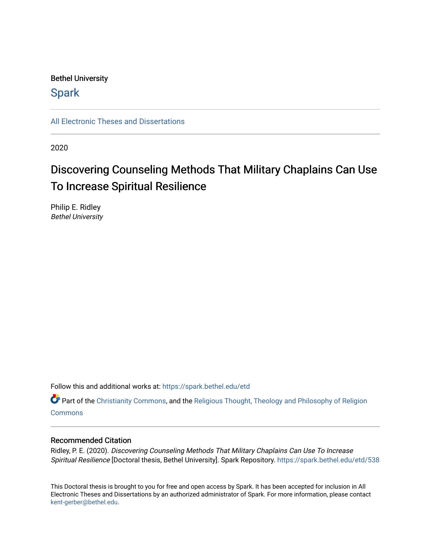# Bethel University

# **Spark**

[All Electronic Theses and Dissertations](https://spark.bethel.edu/etd) 

2020

# Discovering Counseling Methods That Military Chaplains Can Use To Increase Spiritual Resilience

Philip E. Ridley Bethel University

Follow this and additional works at: [https://spark.bethel.edu/etd](https://spark.bethel.edu/etd?utm_source=spark.bethel.edu%2Fetd%2F538&utm_medium=PDF&utm_campaign=PDFCoverPages)

Part of the [Christianity Commons,](http://network.bepress.com/hgg/discipline/1181?utm_source=spark.bethel.edu%2Fetd%2F538&utm_medium=PDF&utm_campaign=PDFCoverPages) and the [Religious Thought, Theology and Philosophy of Religion](http://network.bepress.com/hgg/discipline/544?utm_source=spark.bethel.edu%2Fetd%2F538&utm_medium=PDF&utm_campaign=PDFCoverPages)  **[Commons](http://network.bepress.com/hgg/discipline/544?utm_source=spark.bethel.edu%2Fetd%2F538&utm_medium=PDF&utm_campaign=PDFCoverPages)** 

# Recommended Citation

Ridley, P. E. (2020). Discovering Counseling Methods That Military Chaplains Can Use To Increase Spiritual Resilience [Doctoral thesis, Bethel University]. Spark Repository. [https://spark.bethel.edu/etd/538](https://spark.bethel.edu/etd/538?utm_source=spark.bethel.edu%2Fetd%2F538&utm_medium=PDF&utm_campaign=PDFCoverPages) 

This Doctoral thesis is brought to you for free and open access by Spark. It has been accepted for inclusion in All Electronic Theses and Dissertations by an authorized administrator of Spark. For more information, please contact [kent-gerber@bethel.edu](mailto:kent-gerber@bethel.edu).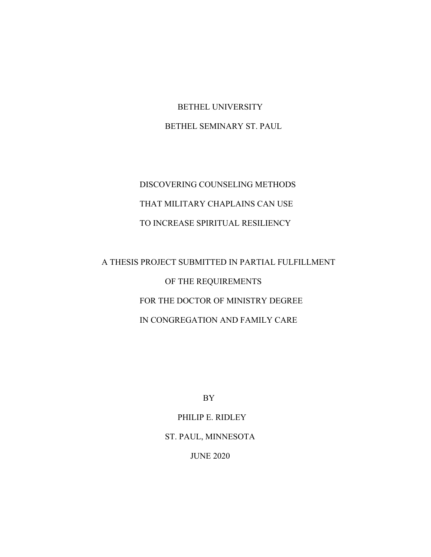BETHEL UNIVERSITY BETHEL SEMINARY ST. PAUL

DISCOVERING COUNSELING METHODS THAT MILITARY CHAPLAINS CAN USE TO INCREASE SPIRITUAL RESILIENCY

A THESIS PROJECT SUBMITTED IN PARTIAL FULFILLMENT OF THE REQUIREMENTS FOR THE DOCTOR OF MINISTRY DEGREE IN CONGREGATION AND FAMILY CARE

BY

PHILIP E. RIDLEY ST. PAUL, MINNESOTA JUNE 2020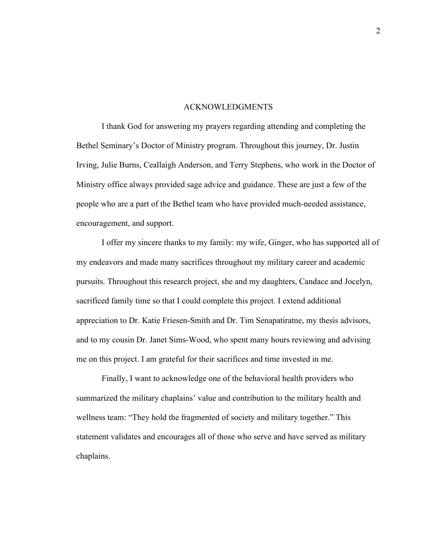#### ACKNOWLEDGMENTS

I thank God for answering my prayers regarding attending and completing the Bethel Seminary's Doctor of Ministry program. Throughout this journey, Dr. Justin Irving, Julie Burns, Ceallaigh Anderson, and Terry Stephens, who work in the Doctor of Ministry office always provided sage advice and guidance. These are just a few of the people who are a part of the Bethel team who have provided much-needed assistance, encouragement, and support.

I offer my sincere thanks to my family: my wife, Ginger, who has supported all of my endeavors and made many sacrifices throughout my military career and academic pursuits. Throughout this research project, she and my daughters, Candace and Jocelyn, sacrificed family time so that I could complete this project. I extend additional appreciation to Dr. Katie Friesen-Smith and Dr. Tim Senapatiratne, my thesis advisors, and to my cousin Dr. Janet Sims-Wood, who spent many hours reviewing and advising me on this project. I am grateful for their sacrifices and time invested in me.

Finally, I want to acknowledge one of the behavioral health providers who summarized the military chaplains' value and contribution to the military health and wellness team: "They hold the fragmented of society and military together." This statement validates and encourages all of those who serve and have served as military chaplains.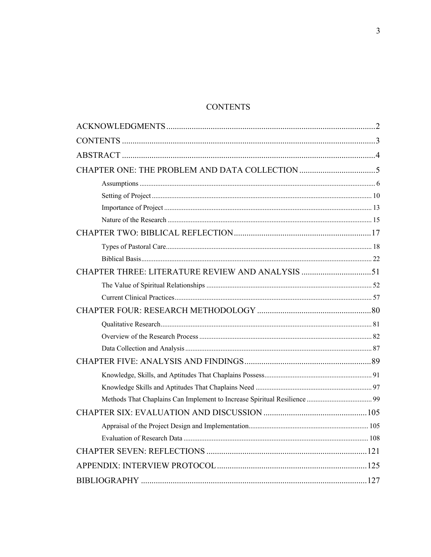# **CONTENTS**

| CHAPTER THREE: LITERATURE REVIEW AND ANALYSIS 51 |
|--------------------------------------------------|
|                                                  |
|                                                  |
|                                                  |
|                                                  |
|                                                  |
|                                                  |
|                                                  |
|                                                  |
|                                                  |
|                                                  |
|                                                  |
|                                                  |
|                                                  |
|                                                  |
|                                                  |
|                                                  |
|                                                  |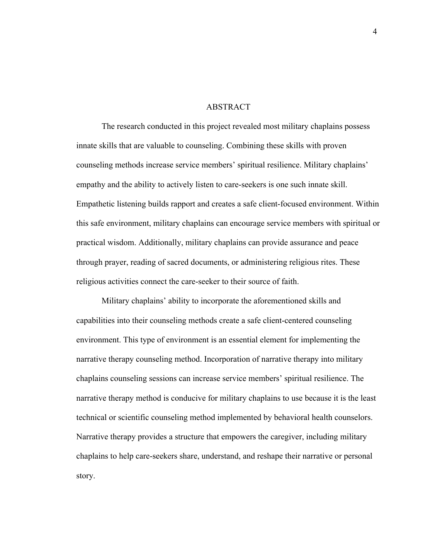#### ABSTRACT

The research conducted in this project revealed most military chaplains possess innate skills that are valuable to counseling. Combining these skills with proven counseling methods increase service members' spiritual resilience. Military chaplains' empathy and the ability to actively listen to care-seekers is one such innate skill. Empathetic listening builds rapport and creates a safe client-focused environment. Within this safe environment, military chaplains can encourage service members with spiritual or practical wisdom. Additionally, military chaplains can provide assurance and peace through prayer, reading of sacred documents, or administering religious rites. These religious activities connect the care-seeker to their source of faith.

Military chaplains' ability to incorporate the aforementioned skills and capabilities into their counseling methods create a safe client-centered counseling environment. This type of environment is an essential element for implementing the narrative therapy counseling method. Incorporation of narrative therapy into military chaplains counseling sessions can increase service members' spiritual resilience. The narrative therapy method is conducive for military chaplains to use because it is the least technical or scientific counseling method implemented by behavioral health counselors. Narrative therapy provides a structure that empowers the caregiver, including military chaplains to help care-seekers share, understand, and reshape their narrative or personal story.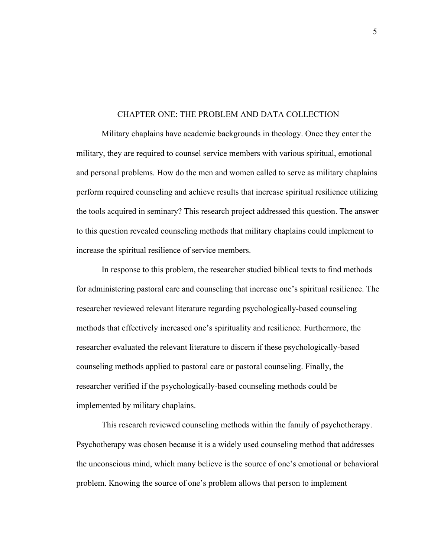#### CHAPTER ONE: THE PROBLEM AND DATA COLLECTION

Military chaplains have academic backgrounds in theology. Once they enter the military, they are required to counsel service members with various spiritual, emotional and personal problems. How do the men and women called to serve as military chaplains perform required counseling and achieve results that increase spiritual resilience utilizing the tools acquired in seminary? This research project addressed this question. The answer to this question revealed counseling methods that military chaplains could implement to increase the spiritual resilience of service members.

In response to this problem, the researcher studied biblical texts to find methods for administering pastoral care and counseling that increase one's spiritual resilience. The researcher reviewed relevant literature regarding psychologically-based counseling methods that effectively increased one's spirituality and resilience. Furthermore, the researcher evaluated the relevant literature to discern if these psychologically-based counseling methods applied to pastoral care or pastoral counseling. Finally, the researcher verified if the psychologically-based counseling methods could be implemented by military chaplains.

This research reviewed counseling methods within the family of psychotherapy. Psychotherapy was chosen because it is a widely used counseling method that addresses the unconscious mind, which many believe is the source of one's emotional or behavioral problem. Knowing the source of one's problem allows that person to implement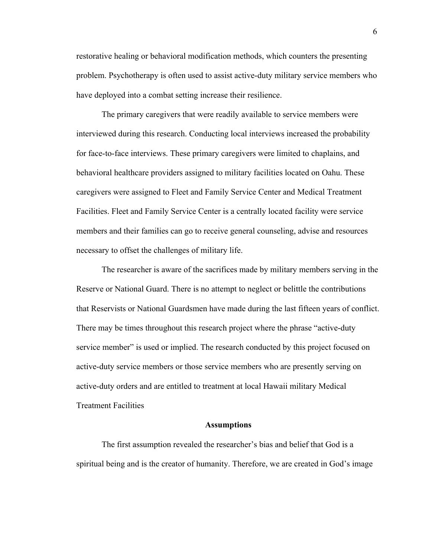restorative healing or behavioral modification methods, which counters the presenting problem. Psychotherapy is often used to assist active-duty military service members who have deployed into a combat setting increase their resilience.

The primary caregivers that were readily available to service members were interviewed during this research. Conducting local interviews increased the probability for face-to-face interviews. These primary caregivers were limited to chaplains, and behavioral healthcare providers assigned to military facilities located on Oahu. These caregivers were assigned to Fleet and Family Service Center and Medical Treatment Facilities. Fleet and Family Service Center is a centrally located facility were service members and their families can go to receive general counseling, advise and resources necessary to offset the challenges of military life.

The researcher is aware of the sacrifices made by military members serving in the Reserve or National Guard. There is no attempt to neglect or belittle the contributions that Reservists or National Guardsmen have made during the last fifteen years of conflict. There may be times throughout this research project where the phrase "active-duty service member" is used or implied. The research conducted by this project focused on active-duty service members or those service members who are presently serving on active-duty orders and are entitled to treatment at local Hawaii military Medical Treatment Facilities

# **Assumptions**

The first assumption revealed the researcher's bias and belief that God is a spiritual being and is the creator of humanity. Therefore, we are created in God's image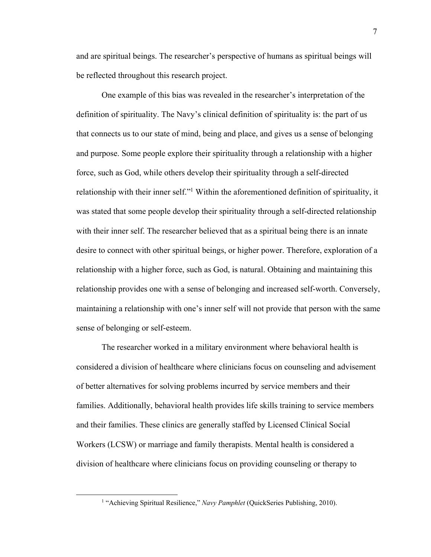and are spiritual beings. The researcher's perspective of humans as spiritual beings will be reflected throughout this research project.

One example of this bias was revealed in the researcher's interpretation of the definition of spirituality. The Navy's clinical definition of spirituality is: the part of us that connects us to our state of mind, being and place, and gives us a sense of belonging and purpose. Some people explore their spirituality through a relationship with a higher force, such as God, while others develop their spirituality through a self-directed relationship with their inner self."1 Within the aforementioned definition of spirituality, it was stated that some people develop their spirituality through a self-directed relationship with their inner self. The researcher believed that as a spiritual being there is an innate desire to connect with other spiritual beings, or higher power. Therefore, exploration of a relationship with a higher force, such as God, is natural. Obtaining and maintaining this relationship provides one with a sense of belonging and increased self-worth. Conversely, maintaining a relationship with one's inner self will not provide that person with the same sense of belonging or self-esteem.

The researcher worked in a military environment where behavioral health is considered a division of healthcare where clinicians focus on counseling and advisement of better alternatives for solving problems incurred by service members and their families. Additionally, behavioral health provides life skills training to service members and their families. These clinics are generally staffed by Licensed Clinical Social Workers (LCSW) or marriage and family therapists. Mental health is considered a division of healthcare where clinicians focus on providing counseling or therapy to

<sup>&</sup>lt;sup>1</sup> "Achieving Spiritual Resilience," *Navy Pamphlet* (QuickSeries Publishing, 2010).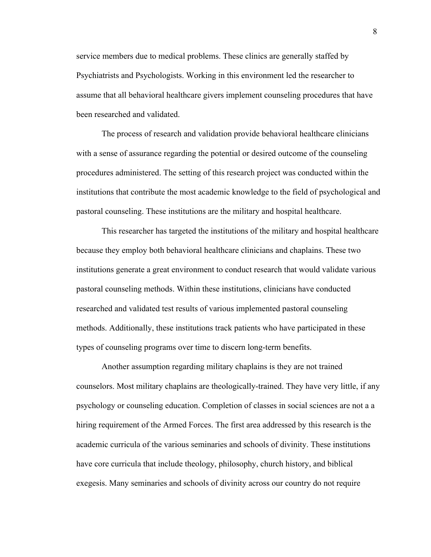service members due to medical problems. These clinics are generally staffed by Psychiatrists and Psychologists. Working in this environment led the researcher to assume that all behavioral healthcare givers implement counseling procedures that have been researched and validated.

The process of research and validation provide behavioral healthcare clinicians with a sense of assurance regarding the potential or desired outcome of the counseling procedures administered. The setting of this research project was conducted within the institutions that contribute the most academic knowledge to the field of psychological and pastoral counseling. These institutions are the military and hospital healthcare.

This researcher has targeted the institutions of the military and hospital healthcare because they employ both behavioral healthcare clinicians and chaplains. These two institutions generate a great environment to conduct research that would validate various pastoral counseling methods. Within these institutions, clinicians have conducted researched and validated test results of various implemented pastoral counseling methods. Additionally, these institutions track patients who have participated in these types of counseling programs over time to discern long-term benefits.

Another assumption regarding military chaplains is they are not trained counselors. Most military chaplains are theologically-trained. They have very little, if any psychology or counseling education. Completion of classes in social sciences are not a a hiring requirement of the Armed Forces. The first area addressed by this research is the academic curricula of the various seminaries and schools of divinity. These institutions have core curricula that include theology, philosophy, church history, and biblical exegesis. Many seminaries and schools of divinity across our country do not require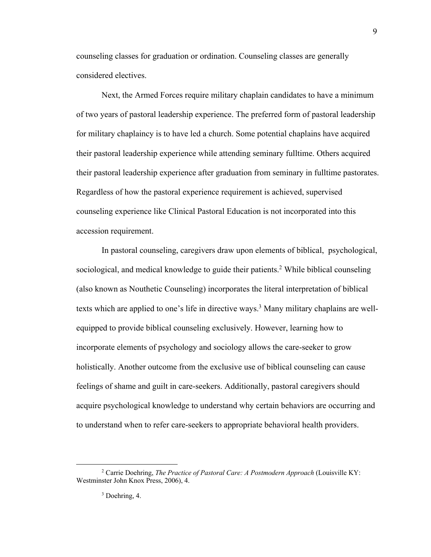counseling classes for graduation or ordination. Counseling classes are generally considered electives.

Next, the Armed Forces require military chaplain candidates to have a minimum of two years of pastoral leadership experience. The preferred form of pastoral leadership for military chaplaincy is to have led a church. Some potential chaplains have acquired their pastoral leadership experience while attending seminary fulltime. Others acquired their pastoral leadership experience after graduation from seminary in fulltime pastorates. Regardless of how the pastoral experience requirement is achieved, supervised counseling experience like Clinical Pastoral Education is not incorporated into this accession requirement.

In pastoral counseling, caregivers draw upon elements of biblical, psychological, sociological, and medical knowledge to guide their patients.2 While biblical counseling (also known as Nouthetic Counseling) incorporates the literal interpretation of biblical texts which are applied to one's life in directive ways.<sup>3</sup> Many military chaplains are wellequipped to provide biblical counseling exclusively. However, learning how to incorporate elements of psychology and sociology allows the care-seeker to grow holistically. Another outcome from the exclusive use of biblical counseling can cause feelings of shame and guilt in care-seekers. Additionally, pastoral caregivers should acquire psychological knowledge to understand why certain behaviors are occurring and to understand when to refer care-seekers to appropriate behavioral health providers.

<sup>2</sup> Carrie Doehring, *The Practice of Pastoral Care: A Postmodern Approach* (Louisville KY: Westminster John Knox Press, 2006), 4.

<sup>&</sup>lt;sup>3</sup> Doehring, 4.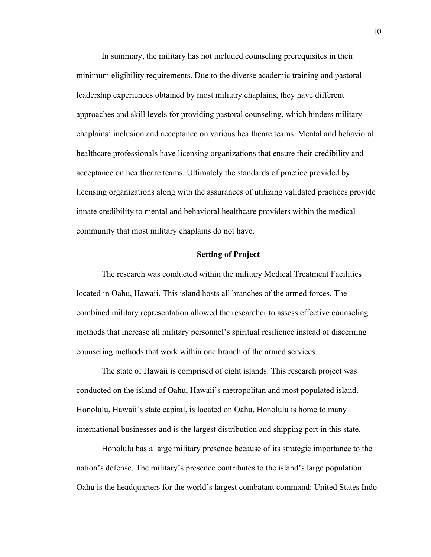In summary, the military has not included counseling prerequisites in their minimum eligibility requirements. Due to the diverse academic training and pastoral leadership experiences obtained by most military chaplains, they have different approaches and skill levels for providing pastoral counseling, which hinders military chaplains' inclusion and acceptance on various healthcare teams. Mental and behavioral healthcare professionals have licensing organizations that ensure their credibility and acceptance on healthcare teams. Ultimately the standards of practice provided by licensing organizations along with the assurances of utilizing validated practices provide innate credibility to mental and behavioral healthcare providers within the medical community that most military chaplains do not have.

# **Setting of Project**

The research was conducted within the military Medical Treatment Facilities located in Oahu, Hawaii. This island hosts all branches of the armed forces. The combined military representation allowed the researcher to assess effective counseling methods that increase all military personnel's spiritual resilience instead of discerning counseling methods that work within one branch of the armed services.

The state of Hawaii is comprised of eight islands. This research project was conducted on the island of Oahu, Hawaii's metropolitan and most populated island. Honolulu, Hawaii's state capital, is located on Oahu. Honolulu is home to many international businesses and is the largest distribution and shipping port in this state.

Honolulu has a large military presence because of its strategic importance to the nation's defense. The military's presence contributes to the island's large population. Oahu is the headquarters for the world's largest combatant command: United States Indo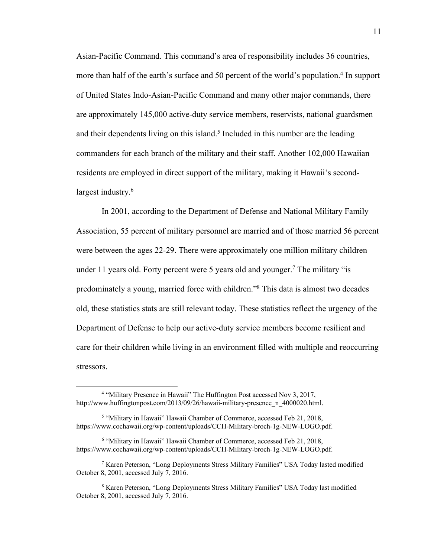Asian-Pacific Command. This command's area of responsibility includes 36 countries, more than half of the earth's surface and 50 percent of the world's population.<sup>4</sup> In support of United States Indo-Asian-Pacific Command and many other major commands, there are approximately 145,000 active-duty service members, reservists, national guardsmen and their dependents living on this island.<sup>5</sup> Included in this number are the leading commanders for each branch of the military and their staff. Another 102,000 Hawaiian residents are employed in direct support of the military, making it Hawaii's secondlargest industry.<sup>6</sup>

In 2001, according to the Department of Defense and National Military Family Association, 55 percent of military personnel are married and of those married 56 percent were between the ages 22-29. There were approximately one million military children under 11 years old. Forty percent were 5 years old and younger. <sup>7</sup> The military "is predominately a young, married force with children."8 This data is almost two decades old, these statistics stats are still relevant today. These statistics reflect the urgency of the Department of Defense to help our active-duty service members become resilient and care for their children while living in an environment filled with multiple and reoccurring stressors.

<sup>4</sup> "Military Presence in Hawaii" The Huffington Post accessed Nov 3, 2017, http://www.huffingtonpost.com/2013/09/26/hawaii-military-presence\_n\_4000020.html.

<sup>5</sup> "Military in Hawaii" Hawaii Chamber of Commerce, accessed Feb 21, 2018, https://www.cochawaii.org/wp-content/uploads/CCH-Military-broch-1g-NEW-LOGO.pdf.

<sup>6</sup> "Military in Hawaii" Hawaii Chamber of Commerce, accessed Feb 21, 2018, https://www.cochawaii.org/wp-content/uploads/CCH-Military-broch-1g-NEW-LOGO.pdf.

<sup>7</sup> Karen Peterson, "Long Deployments Stress Military Families" USA Today lasted modified October 8, 2001, accessed July 7, 2016.

<sup>8</sup> Karen Peterson, "Long Deployments Stress Military Families" USA Today last modified October 8, 2001, accessed July 7, 2016.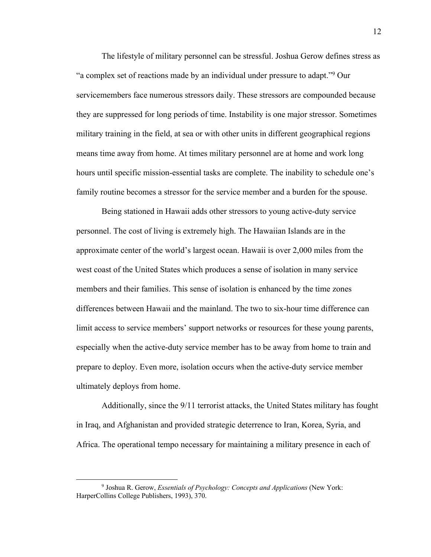The lifestyle of military personnel can be stressful. Joshua Gerow defines stress as "a complex set of reactions made by an individual under pressure to adapt."9 Our servicemembers face numerous stressors daily. These stressors are compounded because they are suppressed for long periods of time. Instability is one major stressor. Sometimes military training in the field, at sea or with other units in different geographical regions means time away from home. At times military personnel are at home and work long hours until specific mission-essential tasks are complete. The inability to schedule one's family routine becomes a stressor for the service member and a burden for the spouse.

Being stationed in Hawaii adds other stressors to young active-duty service personnel. The cost of living is extremely high. The Hawaiian Islands are in the approximate center of the world's largest ocean. Hawaii is over 2,000 miles from the west coast of the United States which produces a sense of isolation in many service members and their families. This sense of isolation is enhanced by the time zones differences between Hawaii and the mainland. The two to six-hour time difference can limit access to service members' support networks or resources for these young parents, especially when the active-duty service member has to be away from home to train and prepare to deploy. Even more, isolation occurs when the active-duty service member ultimately deploys from home.

Additionally, since the 9/11 terrorist attacks, the United States military has fought in Iraq, and Afghanistan and provided strategic deterrence to Iran, Korea, Syria, and Africa. The operational tempo necessary for maintaining a military presence in each of

<sup>9</sup> Joshua R. Gerow, *Essentials of Psychology: Concepts and Applications* (New York: HarperCollins College Publishers, 1993), 370.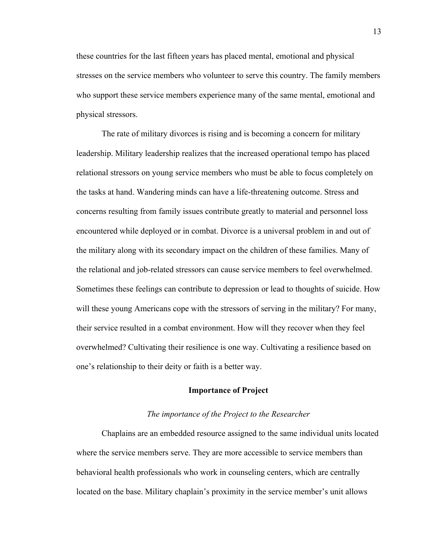these countries for the last fifteen years has placed mental, emotional and physical stresses on the service members who volunteer to serve this country. The family members who support these service members experience many of the same mental, emotional and physical stressors.

The rate of military divorces is rising and is becoming a concern for military leadership. Military leadership realizes that the increased operational tempo has placed relational stressors on young service members who must be able to focus completely on the tasks at hand. Wandering minds can have a life-threatening outcome. Stress and concerns resulting from family issues contribute greatly to material and personnel loss encountered while deployed or in combat. Divorce is a universal problem in and out of the military along with its secondary impact on the children of these families. Many of the relational and job-related stressors can cause service members to feel overwhelmed. Sometimes these feelings can contribute to depression or lead to thoughts of suicide. How will these young Americans cope with the stressors of serving in the military? For many, their service resulted in a combat environment. How will they recover when they feel overwhelmed? Cultivating their resilience is one way. Cultivating a resilience based on one's relationship to their deity or faith is a better way.

#### **Importance of Project**

#### *The importance of the Project to the Researcher*

Chaplains are an embedded resource assigned to the same individual units located where the service members serve. They are more accessible to service members than behavioral health professionals who work in counseling centers, which are centrally located on the base. Military chaplain's proximity in the service member's unit allows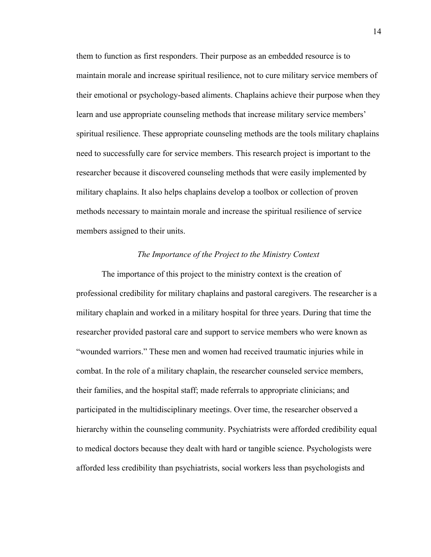them to function as first responders. Their purpose as an embedded resource is to maintain morale and increase spiritual resilience, not to cure military service members of their emotional or psychology-based aliments. Chaplains achieve their purpose when they learn and use appropriate counseling methods that increase military service members' spiritual resilience. These appropriate counseling methods are the tools military chaplains need to successfully care for service members. This research project is important to the researcher because it discovered counseling methods that were easily implemented by military chaplains. It also helps chaplains develop a toolbox or collection of proven methods necessary to maintain morale and increase the spiritual resilience of service members assigned to their units.

# *The Importance of the Project to the Ministry Context*

The importance of this project to the ministry context is the creation of professional credibility for military chaplains and pastoral caregivers. The researcher is a military chaplain and worked in a military hospital for three years. During that time the researcher provided pastoral care and support to service members who were known as "wounded warriors." These men and women had received traumatic injuries while in combat. In the role of a military chaplain, the researcher counseled service members, their families, and the hospital staff; made referrals to appropriate clinicians; and participated in the multidisciplinary meetings. Over time, the researcher observed a hierarchy within the counseling community. Psychiatrists were afforded credibility equal to medical doctors because they dealt with hard or tangible science. Psychologists were afforded less credibility than psychiatrists, social workers less than psychologists and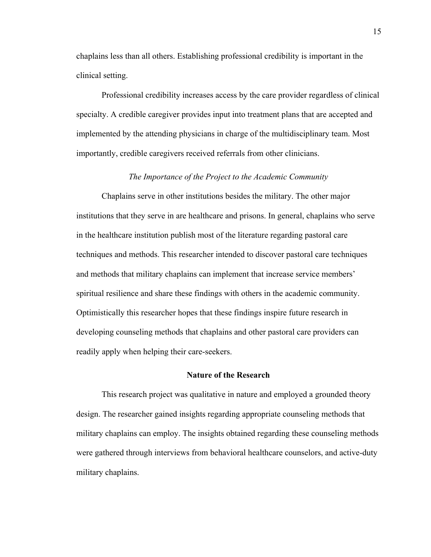chaplains less than all others. Establishing professional credibility is important in the clinical setting.

Professional credibility increases access by the care provider regardless of clinical specialty. A credible caregiver provides input into treatment plans that are accepted and implemented by the attending physicians in charge of the multidisciplinary team. Most importantly, credible caregivers received referrals from other clinicians.

#### *The Importance of the Project to the Academic Community*

Chaplains serve in other institutions besides the military. The other major institutions that they serve in are healthcare and prisons. In general, chaplains who serve in the healthcare institution publish most of the literature regarding pastoral care techniques and methods. This researcher intended to discover pastoral care techniques and methods that military chaplains can implement that increase service members' spiritual resilience and share these findings with others in the academic community. Optimistically this researcher hopes that these findings inspire future research in developing counseling methods that chaplains and other pastoral care providers can readily apply when helping their care-seekers.

#### **Nature of the Research**

This research project was qualitative in nature and employed a grounded theory design. The researcher gained insights regarding appropriate counseling methods that military chaplains can employ. The insights obtained regarding these counseling methods were gathered through interviews from behavioral healthcare counselors, and active-duty military chaplains.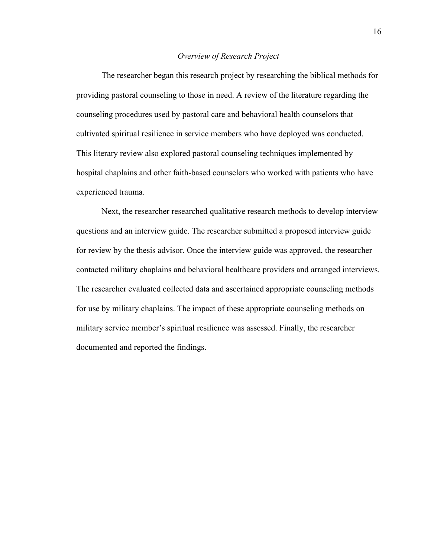# *Overview of Research Project*

The researcher began this research project by researching the biblical methods for providing pastoral counseling to those in need. A review of the literature regarding the counseling procedures used by pastoral care and behavioral health counselors that cultivated spiritual resilience in service members who have deployed was conducted. This literary review also explored pastoral counseling techniques implemented by hospital chaplains and other faith-based counselors who worked with patients who have experienced trauma.

Next, the researcher researched qualitative research methods to develop interview questions and an interview guide. The researcher submitted a proposed interview guide for review by the thesis advisor. Once the interview guide was approved, the researcher contacted military chaplains and behavioral healthcare providers and arranged interviews. The researcher evaluated collected data and ascertained appropriate counseling methods for use by military chaplains. The impact of these appropriate counseling methods on military service member's spiritual resilience was assessed. Finally, the researcher documented and reported the findings.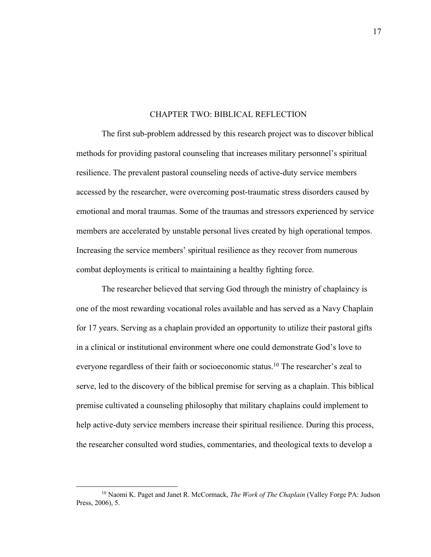#### CHAPTER TWO: BIBLICAL REFLECTION

The first sub-problem addressed by this research project was to discover biblical methods for providing pastoral counseling that increases military personnel's spiritual resilience. The prevalent pastoral counseling needs of active-duty service members accessed by the researcher, were overcoming post-traumatic stress disorders caused by emotional and moral traumas. Some of the traumas and stressors experienced by service members are accelerated by unstable personal lives created by high operational tempos. Increasing the service members' spiritual resilience as they recover from numerous combat deployments is critical to maintaining a healthy fighting force.

The researcher believed that serving God through the ministry of chaplaincy is one of the most rewarding vocational roles available and has served as a Navy Chaplain for 17 years. Serving as a chaplain provided an opportunity to utilize their pastoral gifts in a clinical or institutional environment where one could demonstrate God's love to everyone regardless of their faith or socioeconomic status.<sup>10</sup> The researcher's zeal to serve, led to the discovery of the biblical premise for serving as a chaplain. This biblical premise cultivated a counseling philosophy that military chaplains could implement to help active-duty service members increase their spiritual resilience. During this process, the researcher consulted word studies, commentaries, and theological texts to develop a

<sup>10</sup> Naomi K. Paget and Janet R. McCormack, *The Work of The Chaplain* (Valley Forge PA: Judson Press, 2006), 5.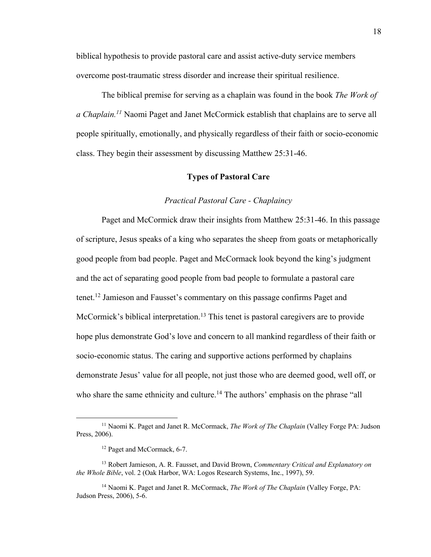biblical hypothesis to provide pastoral care and assist active-duty service members overcome post-traumatic stress disorder and increase their spiritual resilience.

The biblical premise for serving as a chaplain was found in the book *The Work of a Chaplain.11* Naomi Paget and Janet McCormick establish that chaplains are to serve all people spiritually, emotionally, and physically regardless of their faith or socio-economic class. They begin their assessment by discussing Matthew 25:31-46.

# **Types of Pastoral Care**

#### *Practical Pastoral Care - Chaplaincy*

Paget and McCormick draw their insights from Matthew 25:31-46. In this passage of scripture, Jesus speaks of a king who separates the sheep from goats or metaphorically good people from bad people. Paget and McCormack look beyond the king's judgment and the act of separating good people from bad people to formulate a pastoral care tenet.12 Jamieson and Fausset's commentary on this passage confirms Paget and McCormick's biblical interpretation.<sup>13</sup> This tenet is pastoral caregivers are to provide hope plus demonstrate God's love and concern to all mankind regardless of their faith or socio-economic status. The caring and supportive actions performed by chaplains demonstrate Jesus' value for all people, not just those who are deemed good, well off, or who share the same ethnicity and culture.<sup>14</sup> The authors' emphasis on the phrase "all

<sup>11</sup> Naomi K. Paget and Janet R. McCormack, *The Work of The Chaplain* (Valley Forge PA: Judson Press, 2006).

<sup>&</sup>lt;sup>12</sup> Paget and McCormack, 6-7.

<sup>13</sup> Robert Jamieson, A. R. Fausset, and David Brown, *Commentary Critical and Explanatory on the Whole Bible*, vol. 2 (Oak Harbor, WA: Logos Research Systems, Inc., 1997), 59.

<sup>14</sup> Naomi K. Paget and Janet R. McCormack, *The Work of The Chaplain* (Valley Forge, PA: Judson Press, 2006), 5-6.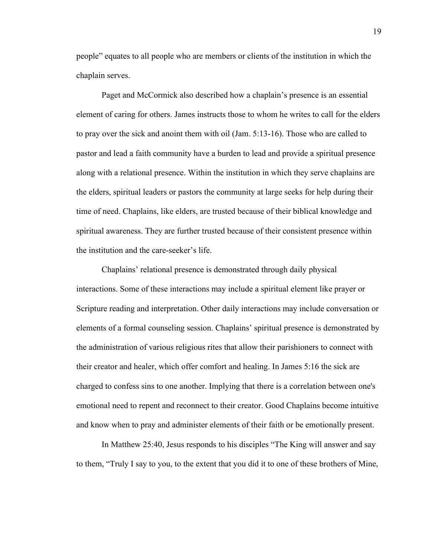people" equates to all people who are members or clients of the institution in which the chaplain serves.

Paget and McCormick also described how a chaplain's presence is an essential element of caring for others. James instructs those to whom he writes to call for the elders to pray over the sick and anoint them with oil (Jam. 5:13-16). Those who are called to pastor and lead a faith community have a burden to lead and provide a spiritual presence along with a relational presence. Within the institution in which they serve chaplains are the elders, spiritual leaders or pastors the community at large seeks for help during their time of need. Chaplains, like elders, are trusted because of their biblical knowledge and spiritual awareness. They are further trusted because of their consistent presence within the institution and the care-seeker's life.

Chaplains' relational presence is demonstrated through daily physical interactions. Some of these interactions may include a spiritual element like prayer or Scripture reading and interpretation. Other daily interactions may include conversation or elements of a formal counseling session. Chaplains' spiritual presence is demonstrated by the administration of various religious rites that allow their parishioners to connect with their creator and healer, which offer comfort and healing. In James 5:16 the sick are charged to confess sins to one another. Implying that there is a correlation between one's emotional need to repent and reconnect to their creator. Good Chaplains become intuitive and know when to pray and administer elements of their faith or be emotionally present.

In Matthew 25:40, Jesus responds to his disciples "The King will answer and say to them, "Truly I say to you, to the extent that you did it to one of these brothers of Mine,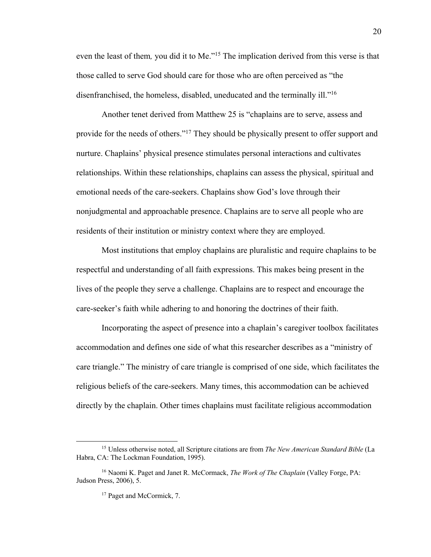even the least of them*,* you did it to Me."15 The implication derived from this verse is that those called to serve God should care for those who are often perceived as "the disenfranchised, the homeless, disabled, uneducated and the terminally ill."16

Another tenet derived from Matthew 25 is "chaplains are to serve, assess and provide for the needs of others."17 They should be physically present to offer support and nurture. Chaplains' physical presence stimulates personal interactions and cultivates relationships. Within these relationships, chaplains can assess the physical, spiritual and emotional needs of the care-seekers. Chaplains show God's love through their nonjudgmental and approachable presence. Chaplains are to serve all people who are residents of their institution or ministry context where they are employed.

Most institutions that employ chaplains are pluralistic and require chaplains to be respectful and understanding of all faith expressions. This makes being present in the lives of the people they serve a challenge. Chaplains are to respect and encourage the care-seeker's faith while adhering to and honoring the doctrines of their faith.

Incorporating the aspect of presence into a chaplain's caregiver toolbox facilitates accommodation and defines one side of what this researcher describes as a "ministry of care triangle." The ministry of care triangle is comprised of one side, which facilitates the religious beliefs of the care-seekers. Many times, this accommodation can be achieved directly by the chaplain. Other times chaplains must facilitate religious accommodation

<sup>15</sup> Unless otherwise noted, all Scripture citations are from *The New American Standard Bible* (La Habra, CA: The Lockman Foundation, 1995).

<sup>16</sup> Naomi K. Paget and Janet R. McCormack, *The Work of The Chaplain* (Valley Forge, PA: Judson Press, 2006), 5.

<sup>&</sup>lt;sup>17</sup> Paget and McCormick, 7.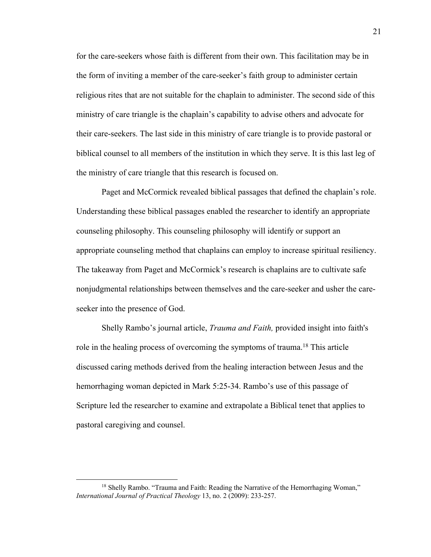for the care-seekers whose faith is different from their own. This facilitation may be in the form of inviting a member of the care-seeker's faith group to administer certain religious rites that are not suitable for the chaplain to administer. The second side of this ministry of care triangle is the chaplain's capability to advise others and advocate for their care-seekers. The last side in this ministry of care triangle is to provide pastoral or biblical counsel to all members of the institution in which they serve. It is this last leg of the ministry of care triangle that this research is focused on.

Paget and McCormick revealed biblical passages that defined the chaplain's role. Understanding these biblical passages enabled the researcher to identify an appropriate counseling philosophy. This counseling philosophy will identify or support an appropriate counseling method that chaplains can employ to increase spiritual resiliency. The takeaway from Paget and McCormick's research is chaplains are to cultivate safe nonjudgmental relationships between themselves and the care-seeker and usher the careseeker into the presence of God.

Shelly Rambo's journal article, *Trauma and Faith,* provided insight into faith's role in the healing process of overcoming the symptoms of trauma.<sup>18</sup> This article discussed caring methods derived from the healing interaction between Jesus and the hemorrhaging woman depicted in Mark 5:25-34. Rambo's use of this passage of Scripture led the researcher to examine and extrapolate a Biblical tenet that applies to pastoral caregiving and counsel.

<sup>&</sup>lt;sup>18</sup> Shelly Rambo. "Trauma and Faith: Reading the Narrative of the Hemorrhaging Woman," *International Journal of Practical Theology* 13, no. 2 (2009): 233-257.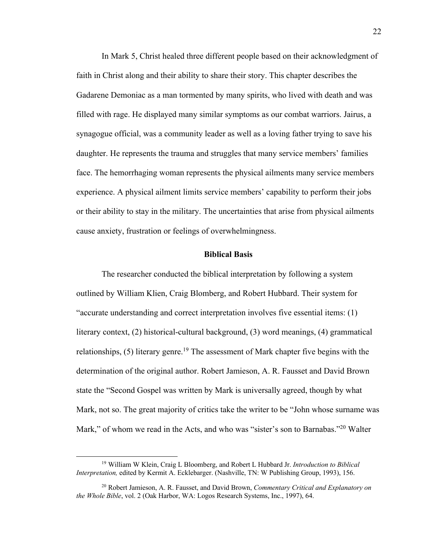In Mark 5, Christ healed three different people based on their acknowledgment of faith in Christ along and their ability to share their story. This chapter describes the Gadarene Demoniac as a man tormented by many spirits, who lived with death and was filled with rage. He displayed many similar symptoms as our combat warriors. Jairus, a synagogue official, was a community leader as well as a loving father trying to save his daughter. He represents the trauma and struggles that many service members' families face. The hemorrhaging woman represents the physical ailments many service members experience. A physical ailment limits service members' capability to perform their jobs or their ability to stay in the military. The uncertainties that arise from physical ailments cause anxiety, frustration or feelings of overwhelmingness.

# **Biblical Basis**

The researcher conducted the biblical interpretation by following a system outlined by William Klien, Craig Blomberg, and Robert Hubbard. Their system for "accurate understanding and correct interpretation involves five essential items: (1) literary context, (2) historical-cultural background, (3) word meanings, (4) grammatical relationships,  $(5)$  literary genre.<sup>19</sup> The assessment of Mark chapter five begins with the determination of the original author. Robert Jamieson, A. R. Fausset and David Brown state the "Second Gospel was written by Mark is universally agreed, though by what Mark, not so. The great majority of critics take the writer to be "John whose surname was Mark," of whom we read in the Acts, and who was "sister's son to Barnabas."<sup>20</sup> Walter

<sup>19</sup> William W Klein, Craig L Bloomberg, and Robert L Hubbard Jr. *Introduction to Biblical Interpretation,* edited by Kermit A. Ecklebarger. (Nashville, TN: W Publishing Group, 1993), 156.

<sup>20</sup> Robert Jamieson, A. R. Fausset, and David Brown, *Commentary Critical and Explanatory on the Whole Bible*, vol. 2 (Oak Harbor, WA: Logos Research Systems, Inc., 1997), 64.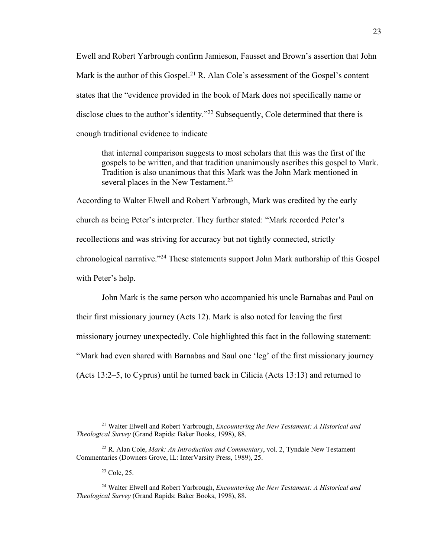Ewell and Robert Yarbrough confirm Jamieson, Fausset and Brown's assertion that John Mark is the author of this Gospel.<sup>21</sup> R. Alan Cole's assessment of the Gospel's content states that the "evidence provided in the book of Mark does not specifically name or disclose clues to the author's identity."<sup>22</sup> Subsequently, Cole determined that there is enough traditional evidence to indicate

that internal comparison suggests to most scholars that this was the first of the gospels to be written, and that tradition unanimously ascribes this gospel to Mark. Tradition is also unanimous that this Mark was the John Mark mentioned in several places in the New Testament.<sup>23</sup>

According to Walter Elwell and Robert Yarbrough, Mark was credited by the early church as being Peter's interpreter. They further stated: "Mark recorded Peter's recollections and was striving for accuracy but not tightly connected, strictly chronological narrative."24 These statements support John Mark authorship of this Gospel with Peter's help.

John Mark is the same person who accompanied his uncle Barnabas and Paul on their first missionary journey (Acts 12). Mark is also noted for leaving the first missionary journey unexpectedly. Cole highlighted this fact in the following statement: "Mark had even shared with Barnabas and Saul one 'leg' of the first missionary journey (Acts 13:2–5, to Cyprus) until he turned back in Cilicia (Acts 13:13) and returned to

 $23$  Cole, 25.

<sup>21</sup> Walter Elwell and Robert Yarbrough, *Encountering the New Testament: A Historical and Theological Survey* (Grand Rapids: Baker Books, 1998), 88.

<sup>22</sup> R. Alan Cole, *Mark: An Introduction and Commentary*, vol. 2, Tyndale New Testament Commentaries (Downers Grove, IL: InterVarsity Press, 1989), 25.

<sup>24</sup> Walter Elwell and Robert Yarbrough, *Encountering the New Testament: A Historical and Theological Survey* (Grand Rapids: Baker Books, 1998), 88.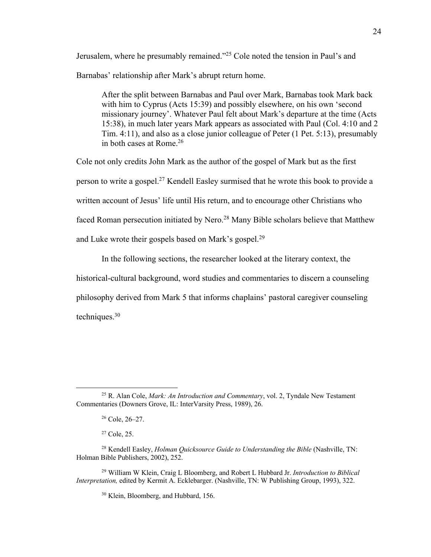Jerusalem, where he presumably remained."25 Cole noted the tension in Paul's and Barnabas' relationship after Mark's abrupt return home.

After the split between Barnabas and Paul over Mark, Barnabas took Mark back with him to Cyprus (Acts 15:39) and possibly elsewhere, on his own 'second missionary journey'. Whatever Paul felt about Mark's departure at the time (Acts 15:38), in much later years Mark appears as associated with Paul (Col. 4:10 and 2 Tim. 4:11), and also as a close junior colleague of Peter (1 Pet. 5:13), presumably in both cases at Rome.26

Cole not only credits John Mark as the author of the gospel of Mark but as the first person to write a gospel.27 Kendell Easley surmised that he wrote this book to provide a written account of Jesus' life until His return, and to encourage other Christians who faced Roman persecution initiated by Nero.<sup>28</sup> Many Bible scholars believe that Matthew and Luke wrote their gospels based on Mark's gospel.<sup>29</sup>

In the following sections, the researcher looked at the literary context, the historical-cultural background, word studies and commentaries to discern a counseling philosophy derived from Mark 5 that informs chaplains' pastoral caregiver counseling techniques.30

<sup>25</sup> R. Alan Cole, *Mark: An Introduction and Commentary*, vol. 2, Tyndale New Testament Commentaries (Downers Grove, IL: InterVarsity Press, 1989), 26.

<sup>26</sup> Cole, 26–27.

 $27$  Cole, 25.

<sup>28</sup> Kendell Easley, *Holman Quicksource Guide to Understanding the Bible* (Nashville, TN: Holman Bible Publishers, 2002), 252.

<sup>29</sup> William W Klein, Craig L Bloomberg, and Robert L Hubbard Jr. *Introduction to Biblical Interpretation,* edited by Kermit A. Ecklebarger. (Nashville, TN: W Publishing Group, 1993), 322.

<sup>&</sup>lt;sup>30</sup> Klein, Bloomberg, and Hubbard, 156.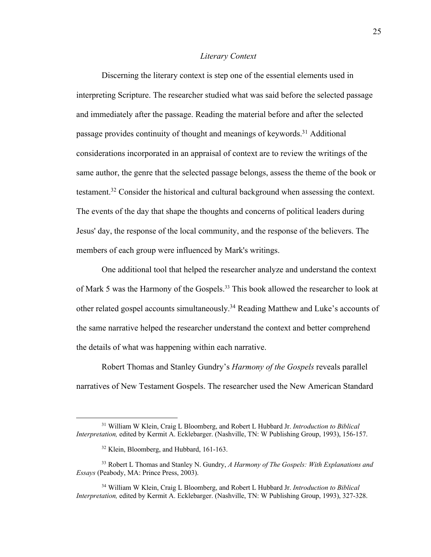# *Literary Context*

Discerning the literary context is step one of the essential elements used in interpreting Scripture. The researcher studied what was said before the selected passage and immediately after the passage. Reading the material before and after the selected passage provides continuity of thought and meanings of keywords.31 Additional considerations incorporated in an appraisal of context are to review the writings of the same author, the genre that the selected passage belongs, assess the theme of the book or testament.32 Consider the historical and cultural background when assessing the context. The events of the day that shape the thoughts and concerns of political leaders during Jesus' day, the response of the local community, and the response of the believers. The members of each group were influenced by Mark's writings.

One additional tool that helped the researcher analyze and understand the context of Mark 5 was the Harmony of the Gospels.<sup>33</sup> This book allowed the researcher to look at other related gospel accounts simultaneously.<sup>34</sup> Reading Matthew and Luke's accounts of the same narrative helped the researcher understand the context and better comprehend the details of what was happening within each narrative.

Robert Thomas and Stanley Gundry's *Harmony of the Gospels* reveals parallel narratives of New Testament Gospels. The researcher used the New American Standard

<sup>31</sup> William W Klein, Craig L Bloomberg, and Robert L Hubbard Jr. *Introduction to Biblical Interpretation,* edited by Kermit A. Ecklebarger. (Nashville, TN: W Publishing Group, 1993), 156-157.

<sup>&</sup>lt;sup>32</sup> Klein, Bloomberg, and Hubbard, 161-163.

<sup>33</sup> Robert L Thomas and Stanley N. Gundry, *A Harmony of The Gospels: With Explanations and Essays* (Peabody, MA: Prince Press, 2003).

<sup>34</sup> William W Klein, Craig L Bloomberg, and Robert L Hubbard Jr. *Introduction to Biblical Interpretation,* edited by Kermit A. Ecklebarger. (Nashville, TN: W Publishing Group, 1993), 327-328.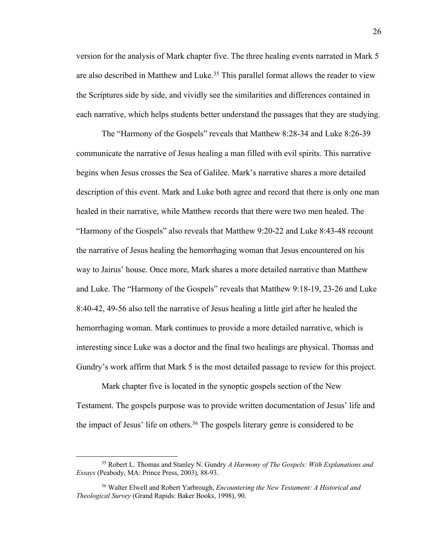version for the analysis of Mark chapter five. The three healing events narrated in Mark 5 are also described in Matthew and Luke.<sup>35</sup> This parallel format allows the reader to view the Scriptures side by side, and vividly see the similarities and differences contained in each narrative, which helps students better understand the passages that they are studying.

The "Harmony of the Gospels" reveals that Matthew 8:28-34 and Luke 8:26-39 communicate the narrative of Jesus healing a man filled with evil spirits. This narrative begins when Jesus crosses the Sea of Galilee. Mark's narrative shares a more detailed description of this event. Mark and Luke both agree and record that there is only one man healed in their narrative, while Matthew records that there were two men healed. The "Harmony of the Gospels" also reveals that Matthew 9:20-22 and Luke 8:43-48 recount the narrative of Jesus healing the hemorrhaging woman that Jesus encountered on his way to Jairus' house. Once more, Mark shares a more detailed narrative than Matthew and Luke. The "Harmony of the Gospels" reveals that Matthew 9:18-19, 23-26 and Luke 8:40-42, 49-56 also tell the narrative of Jesus healing a little girl after he healed the hemorrhaging woman. Mark continues to provide a more detailed narrative, which is interesting since Luke was a doctor and the final two healings are physical. Thomas and Gundry's work affirm that Mark 5 is the most detailed passage to review for this project.

Mark chapter five is located in the synoptic gospels section of the New Testament. The gospels purpose was to provide written documentation of Jesus' life and the impact of Jesus' life on others.<sup>36</sup> The gospels literary genre is considered to be

<sup>35</sup> Robert L. Thomas and Stanley N. Gundry *A Harmony of The Gospels: With Explanations and Essays* (Peabody, MA: Prince Press, 2003), 88-93.

<sup>36</sup> Walter Elwell and Robert Yarbrough, *Encountering the New Testament: A Historical and Theological Survey* (Grand Rapids: Baker Books, 1998), 90.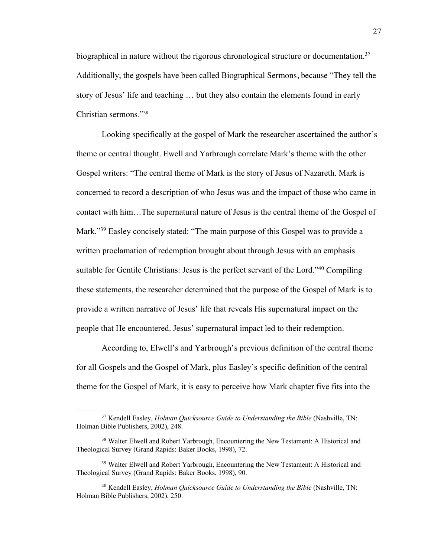biographical in nature without the rigorous chronological structure or documentation.<sup>37</sup> Additionally, the gospels have been called Biographical Sermons, because "They tell the story of Jesus' life and teaching … but they also contain the elements found in early Christian sermons."38

Looking specifically at the gospel of Mark the researcher ascertained the author's theme or central thought. Ewell and Yarbrough correlate Mark's theme with the other Gospel writers: "The central theme of Mark is the story of Jesus of Nazareth. Mark is concerned to record a description of who Jesus was and the impact of those who came in contact with him…The supernatural nature of Jesus is the central theme of the Gospel of Mark."<sup>39</sup> Easley concisely stated: "The main purpose of this Gospel was to provide a written proclamation of redemption brought about through Jesus with an emphasis suitable for Gentile Christians: Jesus is the perfect servant of the Lord."40 Compiling these statements, the researcher determined that the purpose of the Gospel of Mark is to provide a written narrative of Jesus' life that reveals His supernatural impact on the people that He encountered. Jesus' supernatural impact led to their redemption.

According to, Elwell's and Yarbrough's previous definition of the central theme for all Gospels and the Gospel of Mark, plus Easley's specific definition of the central theme for the Gospel of Mark, it is easy to perceive how Mark chapter five fits into the

<sup>37</sup> Kendell Easley, *Holman Quicksource Guide to Understanding the Bible* (Nashville, TN: Holman Bible Publishers, 2002), 248.

<sup>&</sup>lt;sup>38</sup> Walter Elwell and Robert Yarbrough, Encountering the New Testament: A Historical and Theological Survey (Grand Rapids: Baker Books, 1998), 72.

<sup>&</sup>lt;sup>39</sup> Walter Elwell and Robert Yarbrough, Encountering the New Testament: A Historical and Theological Survey (Grand Rapids: Baker Books, 1998), 90.

<sup>40</sup> Kendell Easley, *Holman Quicksource Guide to Understanding the Bible* (Nashville, TN: Holman Bible Publishers, 2002), 250.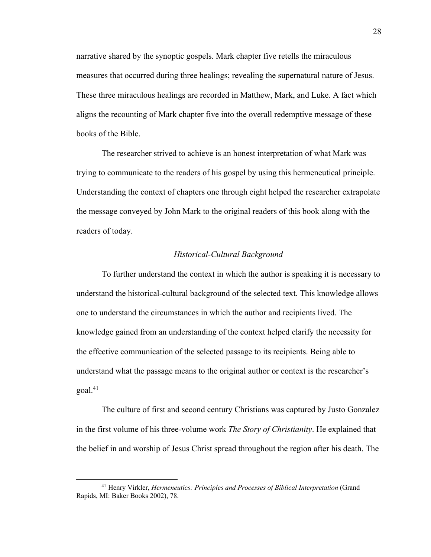narrative shared by the synoptic gospels. Mark chapter five retells the miraculous measures that occurred during three healings; revealing the supernatural nature of Jesus. These three miraculous healings are recorded in Matthew, Mark, and Luke. A fact which aligns the recounting of Mark chapter five into the overall redemptive message of these books of the Bible.

The researcher strived to achieve is an honest interpretation of what Mark was trying to communicate to the readers of his gospel by using this hermeneutical principle. Understanding the context of chapters one through eight helped the researcher extrapolate the message conveyed by John Mark to the original readers of this book along with the readers of today.

# *Historical-Cultural Background*

To further understand the context in which the author is speaking it is necessary to understand the historical-cultural background of the selected text. This knowledge allows one to understand the circumstances in which the author and recipients lived. The knowledge gained from an understanding of the context helped clarify the necessity for the effective communication of the selected passage to its recipients. Being able to understand what the passage means to the original author or context is the researcher's goal.41

The culture of first and second century Christians was captured by Justo Gonzalez in the first volume of his three-volume work *The Story of Christianity*. He explained that the belief in and worship of Jesus Christ spread throughout the region after his death. The

<sup>41</sup> Henry Virkler, *Hermeneutics: Principles and Processes of Biblical Interpretation* (Grand Rapids, MI: Baker Books 2002), 78.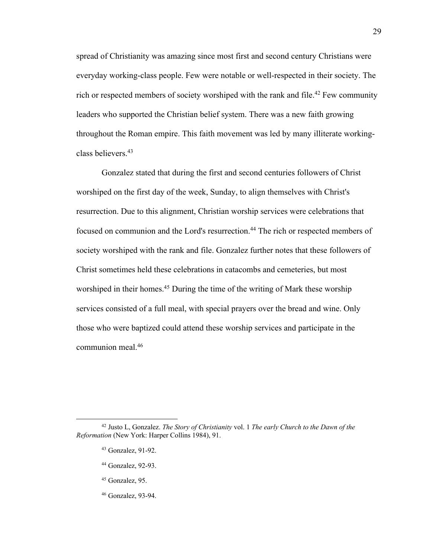spread of Christianity was amazing since most first and second century Christians were everyday working-class people. Few were notable or well-respected in their society. The rich or respected members of society worshiped with the rank and file.<sup>42</sup> Few community leaders who supported the Christian belief system. There was a new faith growing throughout the Roman empire. This faith movement was led by many illiterate workingclass believers. 43

Gonzalez stated that during the first and second centuries followers of Christ worshiped on the first day of the week, Sunday, to align themselves with Christ's resurrection. Due to this alignment, Christian worship services were celebrations that focused on communion and the Lord's resurrection.44 The rich or respected members of society worshiped with the rank and file. Gonzalez further notes that these followers of Christ sometimes held these celebrations in catacombs and cemeteries, but most worshiped in their homes.<sup>45</sup> During the time of the writing of Mark these worship services consisted of a full meal, with special prayers over the bread and wine. Only those who were baptized could attend these worship services and participate in the communion meal. 46

- <sup>44</sup> Gonzalez, 92-93.
- <sup>45</sup> Gonzalez, 95.
- <sup>46</sup> Gonzalez, 93-94.

<sup>42</sup> Justo L, Gonzalez. *The Story of Christianity* vol. 1 *The early Church to the Dawn of the Reformation* (New York: Harper Collins 1984), 91.

<sup>43</sup> Gonzalez, 91-92.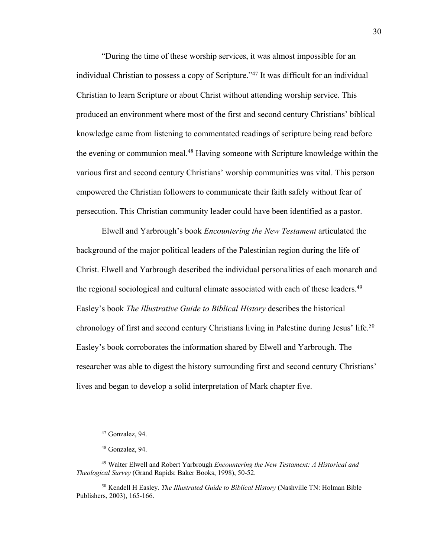"During the time of these worship services, it was almost impossible for an individual Christian to possess a copy of Scripture."47 It was difficult for an individual Christian to learn Scripture or about Christ without attending worship service. This produced an environment where most of the first and second century Christians' biblical knowledge came from listening to commentated readings of scripture being read before the evening or communion meal.48 Having someone with Scripture knowledge within the various first and second century Christians' worship communities was vital. This person empowered the Christian followers to communicate their faith safely without fear of persecution. This Christian community leader could have been identified as a pastor.

Elwell and Yarbrough's book *Encountering the New Testament* articulated the background of the major political leaders of the Palestinian region during the life of Christ. Elwell and Yarbrough described the individual personalities of each monarch and the regional sociological and cultural climate associated with each of these leaders.<sup>49</sup> Easley's book *The Illustrative Guide to Biblical History* describes the historical chronology of first and second century Christians living in Palestine during Jesus' life.<sup>50</sup> Easley's book corroborates the information shared by Elwell and Yarbrough. The researcher was able to digest the history surrounding first and second century Christians' lives and began to develop a solid interpretation of Mark chapter five.

<sup>50</sup> Kendell H Easley. *The Illustrated Guide to Biblical History* (Nashville TN: Holman Bible Publishers, 2003), 165-166.

<sup>47</sup> Gonzalez, 94.

<sup>48</sup> Gonzalez, 94.

<sup>49</sup> Walter Elwell and Robert Yarbrough *Encountering the New Testament: A Historical and Theological Survey* (Grand Rapids: Baker Books, 1998), 50-52.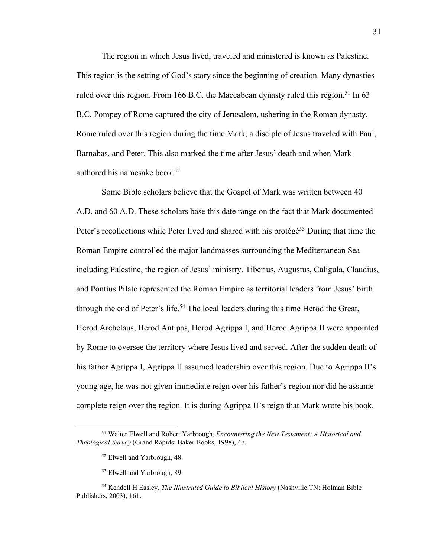The region in which Jesus lived, traveled and ministered is known as Palestine. This region is the setting of God's story since the beginning of creation. Many dynasties ruled over this region. From 166 B.C. the Maccabean dynasty ruled this region.<sup>51</sup> In 63 B.C. Pompey of Rome captured the city of Jerusalem, ushering in the Roman dynasty. Rome ruled over this region during the time Mark, a disciple of Jesus traveled with Paul, Barnabas, and Peter. This also marked the time after Jesus' death and when Mark authored his namesake book.52

Some Bible scholars believe that the Gospel of Mark was written between 40 A.D. and 60 A.D. These scholars base this date range on the fact that Mark documented Peter's recollections while Peter lived and shared with his protégé<sup>53</sup> During that time the Roman Empire controlled the major landmasses surrounding the Mediterranean Sea including Palestine, the region of Jesus' ministry. Tiberius, Augustus, Caligula, Claudius, and Pontius Pilate represented the Roman Empire as territorial leaders from Jesus' birth through the end of Peter's life.<sup>54</sup> The local leaders during this time Herod the Great, Herod Archelaus, Herod Antipas, Herod Agrippa I, and Herod Agrippa II were appointed by Rome to oversee the territory where Jesus lived and served. After the sudden death of his father Agrippa I, Agrippa II assumed leadership over this region. Due to Agrippa II's young age, he was not given immediate reign over his father's region nor did he assume complete reign over the region. It is during Agrippa II's reign that Mark wrote his book.

<sup>51</sup> Walter Elwell and Robert Yarbrough, *Encountering the New Testament: A Historical and Theological Survey* (Grand Rapids: Baker Books, 1998), 47.

<sup>52</sup> Elwell and Yarbrough, 48.

<sup>53</sup> Elwell and Yarbrough, 89.

<sup>54</sup> Kendell H Easley, *The Illustrated Guide to Biblical History* (Nashville TN: Holman Bible Publishers, 2003), 161.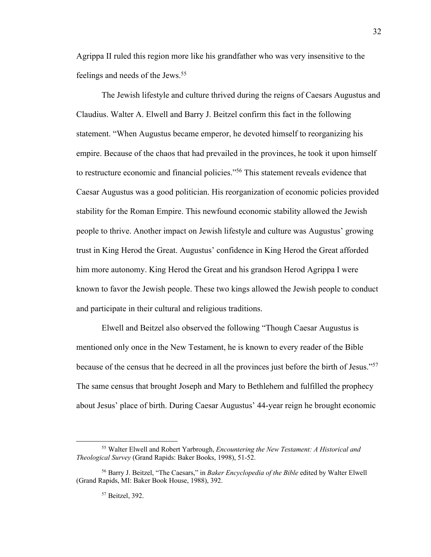Agrippa II ruled this region more like his grandfather who was very insensitive to the feelings and needs of the Jews.<sup>55</sup>

The Jewish lifestyle and culture thrived during the reigns of Caesars Augustus and Claudius. Walter A. Elwell and Barry J. Beitzel confirm this fact in the following statement. "When Augustus became emperor, he devoted himself to reorganizing his empire. Because of the chaos that had prevailed in the provinces, he took it upon himself to restructure economic and financial policies."56 This statement reveals evidence that Caesar Augustus was a good politician. His reorganization of economic policies provided stability for the Roman Empire. This newfound economic stability allowed the Jewish people to thrive. Another impact on Jewish lifestyle and culture was Augustus' growing trust in King Herod the Great. Augustus' confidence in King Herod the Great afforded him more autonomy. King Herod the Great and his grandson Herod Agrippa I were known to favor the Jewish people. These two kings allowed the Jewish people to conduct and participate in their cultural and religious traditions.

Elwell and Beitzel also observed the following "Though Caesar Augustus is mentioned only once in the New Testament, he is known to every reader of the Bible because of the census that he decreed in all the provinces just before the birth of Jesus."57 The same census that brought Joseph and Mary to Bethlehem and fulfilled the prophecy about Jesus' place of birth. During Caesar Augustus' 44-year reign he brought economic

<sup>55</sup> Walter Elwell and Robert Yarbrough, *Encountering the New Testament: A Historical and Theological Survey* (Grand Rapids: Baker Books, 1998), 51-52.

<sup>56</sup> Barry J. Beitzel, "The Caesars," in *Baker Encyclopedia of the Bible* edited by Walter Elwell (Grand Rapids, MI: Baker Book House, 1988), 392.

<sup>57</sup> Beitzel, 392.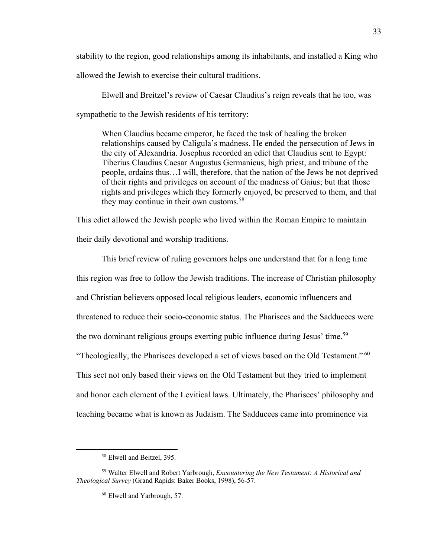stability to the region, good relationships among its inhabitants, and installed a King who allowed the Jewish to exercise their cultural traditions.

Elwell and Breitzel's review of Caesar Claudius's reign reveals that he too, was sympathetic to the Jewish residents of his territory:

When Claudius became emperor, he faced the task of healing the broken relationships caused by Caligula's madness. He ended the persecution of Jews in the city of Alexandria. Josephus recorded an edict that Claudius sent to Egypt: Tiberius Claudius Caesar Augustus Germanicus, high priest, and tribune of the people, ordains thus…I will, therefore, that the nation of the Jews be not deprived of their rights and privileges on account of the madness of Gaius; but that those rights and privileges which they formerly enjoyed, be preserved to them, and that they may continue in their own customs.<sup>58</sup>

This edict allowed the Jewish people who lived within the Roman Empire to maintain their daily devotional and worship traditions.

This brief review of ruling governors helps one understand that for a long time this region was free to follow the Jewish traditions. The increase of Christian philosophy and Christian believers opposed local religious leaders, economic influencers and threatened to reduce their socio-economic status. The Pharisees and the Sadducees were the two dominant religious groups exerting pubic influence during Jesus' time.<sup>59</sup> "Theologically, the Pharisees developed a set of views based on the Old Testament." $60$ This sect not only based their views on the Old Testament but they tried to implement and honor each element of the Levitical laws. Ultimately, the Pharisees' philosophy and teaching became what is known as Judaism. The Sadducees came into prominence via

<sup>58</sup> Elwell and Beitzel, 395.

<sup>59</sup> Walter Elwell and Robert Yarbrough, *Encountering the New Testament: A Historical and Theological Survey* (Grand Rapids: Baker Books, 1998), 56-57.

<sup>60</sup> Elwell and Yarbrough, 57.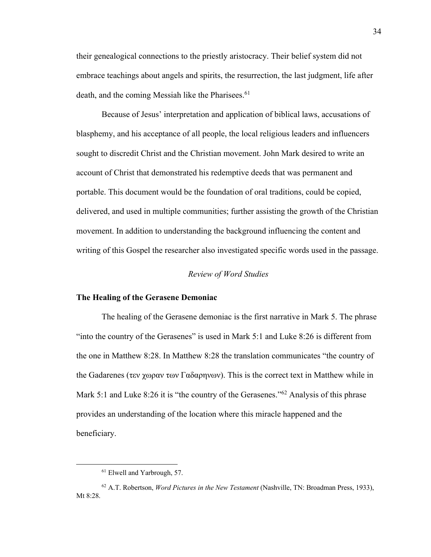their genealogical connections to the priestly aristocracy. Their belief system did not embrace teachings about angels and spirits, the resurrection, the last judgment, life after death, and the coming Messiah like the Pharisees.<sup>61</sup>

Because of Jesus' interpretation and application of biblical laws, accusations of blasphemy, and his acceptance of all people, the local religious leaders and influencers sought to discredit Christ and the Christian movement. John Mark desired to write an account of Christ that demonstrated his redemptive deeds that was permanent and portable. This document would be the foundation of oral traditions, could be copied, delivered, and used in multiple communities; further assisting the growth of the Christian movement. In addition to understanding the background influencing the content and writing of this Gospel the researcher also investigated specific words used in the passage.

#### *Review of Word Studies*

# **The Healing of the Gerasene Demoniac**

The healing of the Gerasene demoniac is the first narrative in Mark 5. The phrase "into the country of the Gerasenes" is used in Mark 5:1 and Luke 8:26 is different from the one in Matthew 8:28. In Matthew 8:28 the translation communicates "the country of the Gadarenes (τεν χωραν των Γαδαρηνων). This is the correct text in Matthew while in Mark 5:1 and Luke 8:26 it is "the country of the Gerasenes."<sup>62</sup> Analysis of this phrase provides an understanding of the location where this miracle happened and the beneficiary.

<sup>&</sup>lt;sup>61</sup> Elwell and Yarbrough, 57.

<sup>62</sup> A.T. Robertson, *Word Pictures in the New Testament* (Nashville, TN: Broadman Press, 1933), Mt 8:28.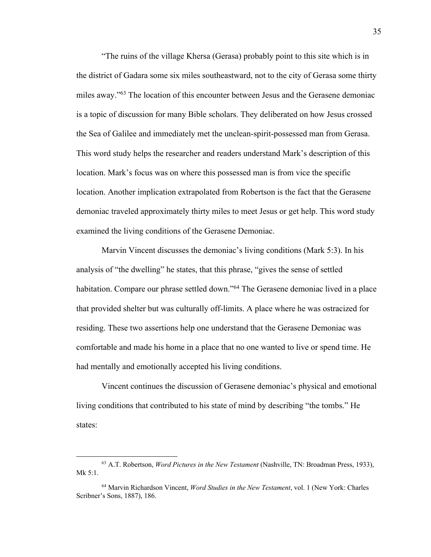"The ruins of the village Khersa (Gerasa) probably point to this site which is in the district of Gadara some six miles southeastward, not to the city of Gerasa some thirty miles away."63 The location of this encounter between Jesus and the Gerasene demoniac is a topic of discussion for many Bible scholars. They deliberated on how Jesus crossed the Sea of Galilee and immediately met the unclean-spirit-possessed man from Gerasa. This word study helps the researcher and readers understand Mark's description of this location. Mark's focus was on where this possessed man is from vice the specific location. Another implication extrapolated from Robertson is the fact that the Gerasene demoniac traveled approximately thirty miles to meet Jesus or get help. This word study examined the living conditions of the Gerasene Demoniac.

Marvin Vincent discusses the demoniac's living conditions (Mark 5:3). In his analysis of "the dwelling" he states, that this phrase, "gives the sense of settled habitation. Compare our phrase settled down."64 The Gerasene demoniac lived in a place that provided shelter but was culturally off-limits. A place where he was ostracized for residing. These two assertions help one understand that the Gerasene Demoniac was comfortable and made his home in a place that no one wanted to live or spend time. He had mentally and emotionally accepted his living conditions.

Vincent continues the discussion of Gerasene demoniac's physical and emotional living conditions that contributed to his state of mind by describing "the tombs." He states:

<sup>63</sup> A.T. Robertson, *Word Pictures in the New Testament* (Nashville, TN: Broadman Press, 1933), Mk 5:1.

<sup>64</sup> Marvin Richardson Vincent, *Word Studies in the New Testament*, vol. 1 (New York: Charles Scribner's Sons, 1887), 186.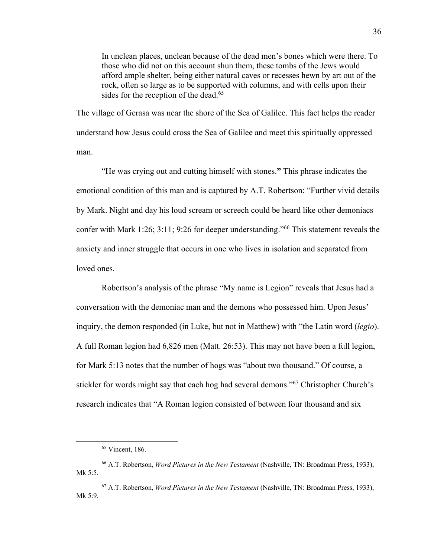In unclean places, unclean because of the dead men's bones which were there. To those who did not on this account shun them, these tombs of the Jews would afford ample shelter, being either natural caves or recesses hewn by art out of the rock, often so large as to be supported with columns, and with cells upon their sides for the reception of the dead.<sup>65</sup>

The village of Gerasa was near the shore of the Sea of Galilee. This fact helps the reader understand how Jesus could cross the Sea of Galilee and meet this spiritually oppressed man.

"He was crying out and cutting himself with stones.**"** This phrase indicates the emotional condition of this man and is captured by A.T. Robertson: "Further vivid details by Mark. Night and day his loud scream or screech could be heard like other demoniacs confer with Mark 1:26; 3:11; 9:26 for deeper understanding."66 This statement reveals the anxiety and inner struggle that occurs in one who lives in isolation and separated from loved ones.

Robertson's analysis of the phrase "My name is Legion" reveals that Jesus had a conversation with the demoniac man and the demons who possessed him. Upon Jesus' inquiry, the demon responded (in Luke, but not in Matthew) with "the Latin word (*legio*). A full Roman legion had 6,826 men (Matt. 26:53). This may not have been a full legion, for Mark 5:13 notes that the number of hogs was "about two thousand." Of course, a stickler for words might say that each hog had several demons."<sup>67</sup> Christopher Church's research indicates that "A Roman legion consisted of between four thousand and six

<sup>65</sup> Vincent, 186.

<sup>66</sup> A.T. Robertson, *Word Pictures in the New Testament* (Nashville, TN: Broadman Press, 1933), Mk 5:5.

<sup>67</sup> A.T. Robertson, *Word Pictures in the New Testament* (Nashville, TN: Broadman Press, 1933), Mk 5:9.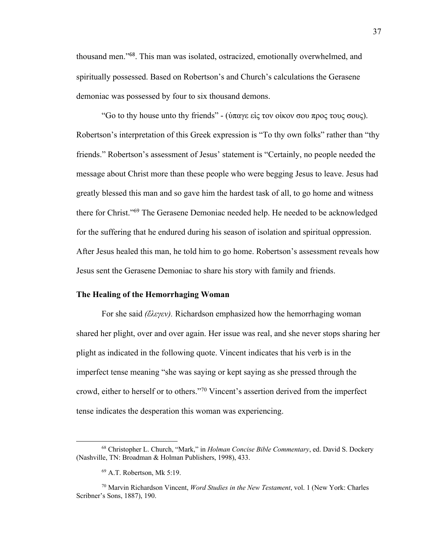thousand men."<sup>68</sup>. This man was isolated, ostracized, emotionally overwhelmed, and spiritually possessed. Based on Robertson's and Church's calculations the Gerasene demoniac was possessed by four to six thousand demons.

"Go to thy house unto thy friends" - (ύπαγε είς τον οίκον σου προς τους σους). Robertson's interpretation of this Greek expression is "To thy own folks" rather than "thy friends." Robertson's assessment of Jesus' statement is "Certainly, no people needed the message about Christ more than these people who were begging Jesus to leave. Jesus had greatly blessed this man and so gave him the hardest task of all, to go home and witness there for Christ."69 The Gerasene Demoniac needed help. He needed to be acknowledged for the suffering that he endured during his season of isolation and spiritual oppression. After Jesus healed this man, he told him to go home. Robertson's assessment reveals how Jesus sent the Gerasene Demoniac to share his story with family and friends.

#### **The Healing of the Hemorrhaging Woman**

For she said *(ἔλεγεν).* Richardson emphasized how the hemorrhaging woman shared her plight, over and over again. Her issue was real, and she never stops sharing her plight as indicated in the following quote. Vincent indicates that his verb is in the imperfect tense meaning "she was saying or kept saying as she pressed through the crowd, either to herself or to others."70 Vincent's assertion derived from the imperfect tense indicates the desperation this woman was experiencing.

<sup>68</sup> Christopher L. Church, "Mark," in *Holman Concise Bible Commentary*, ed. David S. Dockery (Nashville, TN: Broadman & Holman Publishers, 1998), 433.

<sup>69</sup> A.T. Robertson, Mk 5:19.

<sup>70</sup> Marvin Richardson Vincent, *Word Studies in the New Testament*, vol. 1 (New York: Charles Scribner's Sons, 1887), 190.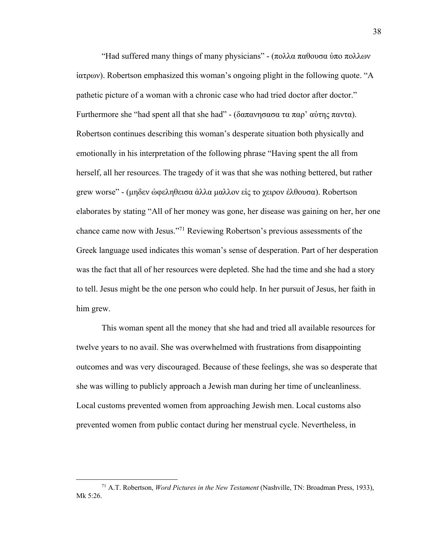"Had suffered many things of many physicians" - (πολλα παθουσα ύπο πολλων ἰατρων). Robertson emphasized this woman's ongoing plight in the following quote. "A pathetic picture of a woman with a chronic case who had tried doctor after doctor." Furthermore she "had spent all that she had" - (δαπανησασα τα παρ' αὐτης παντα). Robertson continues describing this woman's desperate situation both physically and emotionally in his interpretation of the following phrase "Having spent the all from herself, all her resources. The tragedy of it was that she was nothing bettered, but rather grew worse" - (μηδεν ώφεληθεισα άλλα μαλλον είς το χειρον έλθουσα). Robertson elaborates by stating "All of her money was gone, her disease was gaining on her, her one chance came now with Jesus."71 Reviewing Robertson's previous assessments of the Greek language used indicates this woman's sense of desperation. Part of her desperation was the fact that all of her resources were depleted. She had the time and she had a story to tell. Jesus might be the one person who could help. In her pursuit of Jesus, her faith in him grew.

This woman spent all the money that she had and tried all available resources for twelve years to no avail. She was overwhelmed with frustrations from disappointing outcomes and was very discouraged. Because of these feelings, she was so desperate that she was willing to publicly approach a Jewish man during her time of uncleanliness. Local customs prevented women from approaching Jewish men. Local customs also prevented women from public contact during her menstrual cycle. Nevertheless, in

<sup>71</sup> A.T. Robertson, *Word Pictures in the New Testament* (Nashville, TN: Broadman Press, 1933), Mk 5:26.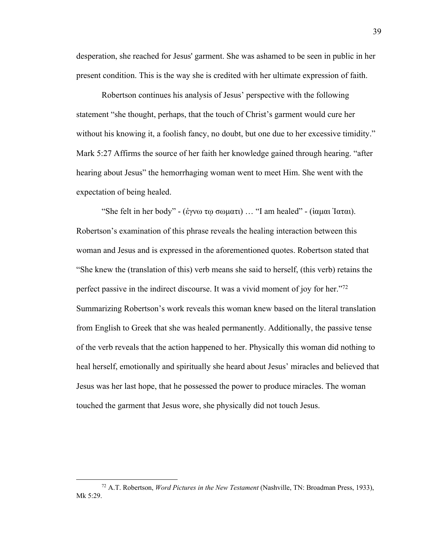desperation, she reached for Jesus' garment. She was ashamed to be seen in public in her present condition. This is the way she is credited with her ultimate expression of faith.

Robertson continues his analysis of Jesus' perspective with the following statement "she thought, perhaps, that the touch of Christ's garment would cure her without his knowing it, a foolish fancy, no doubt, but one due to her excessive timidity." Mark 5:27 Affirms the source of her faith her knowledge gained through hearing. "after hearing about Jesus" the hemorrhaging woman went to meet Him. She went with the expectation of being healed.

"She felt in her body" - (ἐγνω τῳ σωματι) … "I am healed" - (ἰαμαι Ἰαται). Robertson's examination of this phrase reveals the healing interaction between this woman and Jesus and is expressed in the aforementioned quotes. Robertson stated that "She knew the (translation of this) verb means she said to herself, (this verb) retains the perfect passive in the indirect discourse. It was a vivid moment of joy for her."<sup>72</sup> Summarizing Robertson's work reveals this woman knew based on the literal translation from English to Greek that she was healed permanently. Additionally, the passive tense of the verb reveals that the action happened to her. Physically this woman did nothing to heal herself, emotionally and spiritually she heard about Jesus' miracles and believed that Jesus was her last hope, that he possessed the power to produce miracles. The woman touched the garment that Jesus wore, she physically did not touch Jesus.

<sup>72</sup> A.T. Robertson, *Word Pictures in the New Testament* (Nashville, TN: Broadman Press, 1933), Mk 5:29.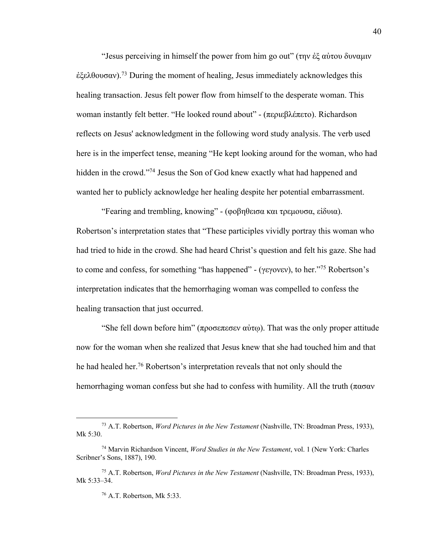"Jesus perceiving in himself the power from him go out" (την ἐξ αὐτου δυναμιν  $\dot{\epsilon}$ ξελθουσαν).<sup>73</sup> During the moment of healing, Jesus immediately acknowledges this healing transaction. Jesus felt power flow from himself to the desperate woman. This woman instantly felt better. "He looked round about" - (περιεβλέπετο). Richardson reflects on Jesus' acknowledgment in the following word study analysis. The verb used here is in the imperfect tense, meaning "He kept looking around for the woman, who had hidden in the crowd."74 Jesus the Son of God knew exactly what had happened and wanted her to publicly acknowledge her healing despite her potential embarrassment.

"Fearing and trembling, knowing" - (φοβηθεισα και τρεμουσα, εἰδυια). Robertson's interpretation states that "These participles vividly portray this woman who had tried to hide in the crowd. She had heard Christ's question and felt his gaze. She had to come and confess, for something "has happened" - (γεγονεν), to her."75 Robertson's interpretation indicates that the hemorrhaging woman was compelled to confess the healing transaction that just occurred.

"She fell down before him" (προσεπεσεν αύτω). That was the only proper attitude now for the woman when she realized that Jesus knew that she had touched him and that he had healed her. <sup>76</sup> Robertson's interpretation reveals that not only should the hemorrhaging woman confess but she had to confess with humility. All the truth ( $\pi\alpha\sigma\alpha v$ )

<sup>73</sup> A.T. Robertson, *Word Pictures in the New Testament* (Nashville, TN: Broadman Press, 1933), Mk 5:30.

<sup>74</sup> Marvin Richardson Vincent, *Word Studies in the New Testament*, vol. 1 (New York: Charles Scribner's Sons, 1887), 190.

<sup>75</sup> A.T. Robertson, *Word Pictures in the New Testament* (Nashville, TN: Broadman Press, 1933), Mk 5:33–34.

<sup>76</sup> A.T. Robertson, Mk 5:33.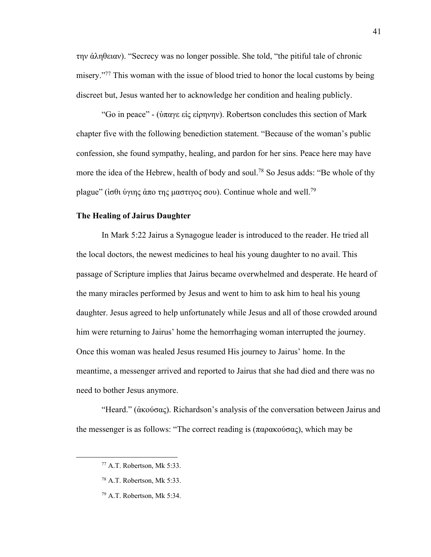την ἀληθειαν). "Secrecy was no longer possible. She told, "the pitiful tale of chronic misery."<sup>77</sup> This woman with the issue of blood tried to honor the local customs by being discreet but, Jesus wanted her to acknowledge her condition and healing publicly.

"Go in peace" - (ὑπαγε εἰς εἰρηνην). Robertson concludes this section of Mark chapter five with the following benediction statement. "Because of the woman's public confession, she found sympathy, healing, and pardon for her sins. Peace here may have more the idea of the Hebrew, health of body and soul.<sup>78</sup> So Jesus adds: "Be whole of thy plague" (ίσθι ύγιης άπο της μαστιγος σου). Continue whole and well.<sup>79</sup>

### **The Healing of Jairus Daughter**

In Mark 5:22 Jairus a Synagogue leader is introduced to the reader. He tried all the local doctors, the newest medicines to heal his young daughter to no avail. This passage of Scripture implies that Jairus became overwhelmed and desperate. He heard of the many miracles performed by Jesus and went to him to ask him to heal his young daughter. Jesus agreed to help unfortunately while Jesus and all of those crowded around him were returning to Jairus' home the hemorrhaging woman interrupted the journey. Once this woman was healed Jesus resumed His journey to Jairus' home. In the meantime, a messenger arrived and reported to Jairus that she had died and there was no need to bother Jesus anymore.

"Heard." (ἀκούσας). Richardson's analysis of the conversation between Jairus and the messenger is as follows: "The correct reading is (παρακούσας), which may be

<sup>77</sup> A.T. Robertson, Mk 5:33.

<sup>78</sup> A.T. Robertson, Mk 5:33.

<sup>79</sup> A.T. Robertson, Mk 5:34.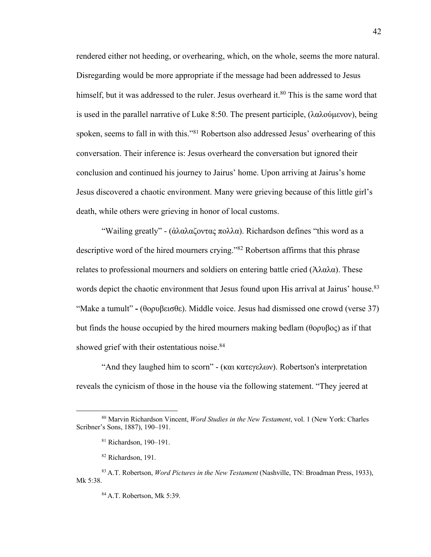rendered either not heeding, or overhearing, which, on the whole, seems the more natural. Disregarding would be more appropriate if the message had been addressed to Jesus himself, but it was addressed to the ruler. Jesus overheard it.<sup>80</sup> This is the same word that is used in the parallel narrative of Luke 8:50. The present participle, (λαλούμενον), being spoken, seems to fall in with this."81 Robertson also addressed Jesus' overhearing of this conversation. Their inference is: Jesus overheard the conversation but ignored their conclusion and continued his journey to Jairus' home. Upon arriving at Jairus's home Jesus discovered a chaotic environment. Many were grieving because of this little girl's death, while others were grieving in honor of local customs.

"Wailing greatly" - (ἀλαλαζοντας πολλα). Richardson defines "this word as a descriptive word of the hired mourners crying."82 Robertson affirms that this phrase relates to professional mourners and soldiers on entering battle cried ( $\text{αλαλα}$ ). These words depict the chaotic environment that Jesus found upon His arrival at Jairus' house.<sup>83</sup> "Make a tumult" **-** (θορυβεισθε). Middle voice. Jesus had dismissed one crowd (verse 37) but finds the house occupied by the hired mourners making bedlam (θορυβος) as if that showed grief with their ostentatious noise. 84

"And they laughed him to scorn" - (και κατεγελων). Robertson's interpretation reveals the cynicism of those in the house via the following statement. "They jeered at

<sup>80</sup> Marvin Richardson Vincent, *Word Studies in the New Testament*, vol. 1 (New York: Charles Scribner's Sons, 1887), 190–191.

<sup>81</sup> Richardson, 190–191.

<sup>82</sup> Richardson, 191.

<sup>83</sup> A.T. Robertson, *Word Pictures in the New Testament* (Nashville, TN: Broadman Press, 1933), Mk 5:38.

<sup>84</sup> A.T. Robertson, Mk 5:39.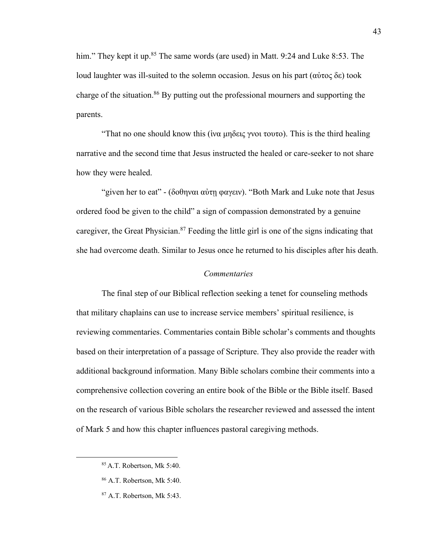him." They kept it up.<sup>85</sup> The same words (are used) in Matt. 9:24 and Luke 8:53. The loud laughter was ill-suited to the solemn occasion. Jesus on his part (αὐτος δε) took charge of the situation.<sup>86</sup> By putting out the professional mourners and supporting the parents.

"That no one should know this (ἱνα μηδεις γνοι τουτο). This is the third healing narrative and the second time that Jesus instructed the healed or care-seeker to not share how they were healed.

"given her to eat" - (δοθηναι αὐτῃ φαγειν). "Both Mark and Luke note that Jesus ordered food be given to the child" a sign of compassion demonstrated by a genuine caregiver, the Great Physician.87 Feeding the little girl is one of the signs indicating that she had overcome death. Similar to Jesus once he returned to his disciples after his death.

#### *Commentaries*

The final step of our Biblical reflection seeking a tenet for counseling methods that military chaplains can use to increase service members' spiritual resilience, is reviewing commentaries. Commentaries contain Bible scholar's comments and thoughts based on their interpretation of a passage of Scripture. They also provide the reader with additional background information. Many Bible scholars combine their comments into a comprehensive collection covering an entire book of the Bible or the Bible itself. Based on the research of various Bible scholars the researcher reviewed and assessed the intent of Mark 5 and how this chapter influences pastoral caregiving methods.

<sup>85</sup> A.T. Robertson, Mk 5:40.

<sup>86</sup> A.T. Robertson, Mk 5:40.

<sup>87</sup> A.T. Robertson, Mk 5:43.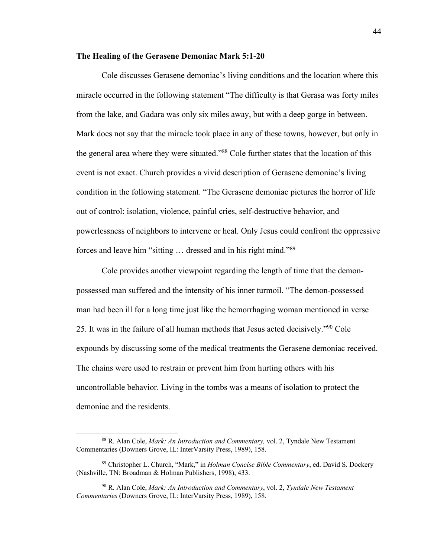### **The Healing of the Gerasene Demoniac Mark 5:1-20**

Cole discusses Gerasene demoniac's living conditions and the location where this miracle occurred in the following statement "The difficulty is that Gerasa was forty miles from the lake, and Gadara was only six miles away, but with a deep gorge in between. Mark does not say that the miracle took place in any of these towns, however, but only in the general area where they were situated."88 Cole further states that the location of this event is not exact. Church provides a vivid description of Gerasene demoniac's living condition in the following statement. "The Gerasene demoniac pictures the horror of life out of control: isolation, violence, painful cries, self-destructive behavior, and powerlessness of neighbors to intervene or heal. Only Jesus could confront the oppressive forces and leave him "sitting … dressed and in his right mind."<sup>89</sup>

Cole provides another viewpoint regarding the length of time that the demonpossessed man suffered and the intensity of his inner turmoil. "The demon-possessed man had been ill for a long time just like the hemorrhaging woman mentioned in verse 25. It was in the failure of all human methods that Jesus acted decisively."90 Cole expounds by discussing some of the medical treatments the Gerasene demoniac received. The chains were used to restrain or prevent him from hurting others with his uncontrollable behavior. Living in the tombs was a means of isolation to protect the demoniac and the residents.

<sup>88</sup> R. Alan Cole, *Mark: An Introduction and Commentary,* vol. 2, Tyndale New Testament Commentaries (Downers Grove, IL: InterVarsity Press, 1989), 158.

<sup>89</sup> Christopher L. Church, "Mark," in *Holman Concise Bible Commentary*, ed. David S. Dockery (Nashville, TN: Broadman & Holman Publishers, 1998), 433.

<sup>90</sup> R. Alan Cole, *Mark: An Introduction and Commentary*, vol. 2, *Tyndale New Testament Commentaries* (Downers Grove, IL: InterVarsity Press, 1989), 158.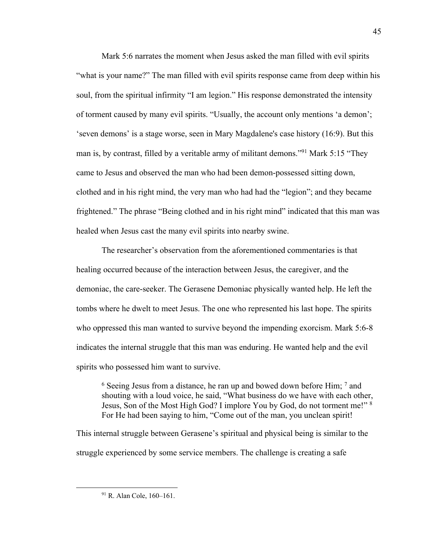Mark 5:6 narrates the moment when Jesus asked the man filled with evil spirits "what is your name?" The man filled with evil spirits response came from deep within his soul, from the spiritual infirmity "I am legion." His response demonstrated the intensity of torment caused by many evil spirits. "Usually, the account only mentions 'a demon'; 'seven demons' is a stage worse, seen in Mary Magdalene's case history (16:9). But this man is, by contrast, filled by a veritable army of militant demons."<sup>91</sup> Mark 5:15 "They came to Jesus and observed the man who had been demon-possessed sitting down, clothed and in his right mind, the very man who had had the "legion"; and they became frightened." The phrase "Being clothed and in his right mind" indicated that this man was healed when Jesus cast the many evil spirits into nearby swine.

The researcher's observation from the aforementioned commentaries is that healing occurred because of the interaction between Jesus, the caregiver, and the demoniac, the care-seeker. The Gerasene Demoniac physically wanted help. He left the tombs where he dwelt to meet Jesus. The one who represented his last hope. The spirits who oppressed this man wanted to survive beyond the impending exorcism. Mark 5:6-8 indicates the internal struggle that this man was enduring. He wanted help and the evil spirits who possessed him want to survive.

 $6$  Seeing Jesus from a distance, he ran up and bowed down before Him;  $7$  and shouting with a loud voice, he said, "What business do we have with each other, Jesus, Son of the Most High God? I implore You by God, do not torment me!" <sup>8</sup> For He had been saying to him, "Come out of the man, you unclean spirit!

This internal struggle between Gerasene's spiritual and physical being is similar to the struggle experienced by some service members. The challenge is creating a safe

<sup>&</sup>lt;sup>91</sup> R. Alan Cole, 160–161.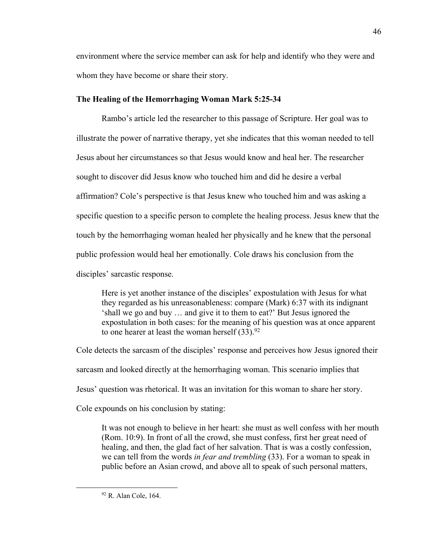environment where the service member can ask for help and identify who they were and whom they have become or share their story.

## **The Healing of the Hemorrhaging Woman Mark 5:25-34**

Rambo's article led the researcher to this passage of Scripture. Her goal was to illustrate the power of narrative therapy, yet she indicates that this woman needed to tell Jesus about her circumstances so that Jesus would know and heal her. The researcher sought to discover did Jesus know who touched him and did he desire a verbal affirmation? Cole's perspective is that Jesus knew who touched him and was asking a specific question to a specific person to complete the healing process. Jesus knew that the touch by the hemorrhaging woman healed her physically and he knew that the personal public profession would heal her emotionally. Cole draws his conclusion from the disciples' sarcastic response.

Here is yet another instance of the disciples' expostulation with Jesus for what they regarded as his unreasonableness: compare (Mark) 6:37 with its indignant 'shall we go and buy … and give it to them to eat?' But Jesus ignored the expostulation in both cases: for the meaning of his question was at once apparent to one hearer at least the woman herself  $(33).^{92}$ 

Cole detects the sarcasm of the disciples' response and perceives how Jesus ignored their sarcasm and looked directly at the hemorrhaging woman. This scenario implies that Jesus' question was rhetorical. It was an invitation for this woman to share her story.

Cole expounds on his conclusion by stating:

It was not enough to believe in her heart: she must as well confess with her mouth (Rom. 10:9). In front of all the crowd, she must confess, first her great need of healing, and then, the glad fact of her salvation. That is was a costly confession, we can tell from the words *in fear and trembling* (33). For a woman to speak in public before an Asian crowd, and above all to speak of such personal matters,

<sup>92</sup> R. Alan Cole, 164.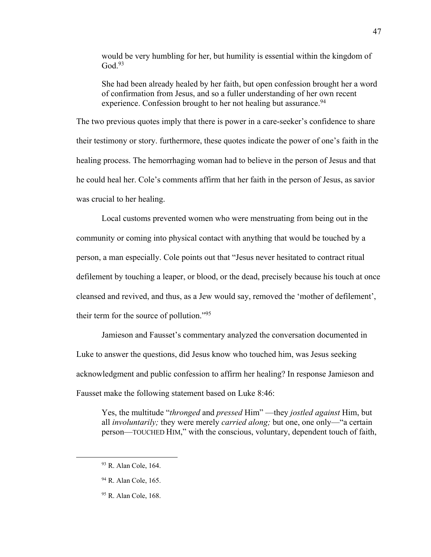would be very humbling for her, but humility is essential within the kingdom of  $God.<sup>93</sup>$ 

She had been already healed by her faith, but open confession brought her a word of confirmation from Jesus, and so a fuller understanding of her own recent experience. Confession brought to her not healing but assurance.<sup>94</sup>

The two previous quotes imply that there is power in a care-seeker's confidence to share their testimony or story. furthermore, these quotes indicate the power of one's faith in the healing process. The hemorrhaging woman had to believe in the person of Jesus and that he could heal her. Cole's comments affirm that her faith in the person of Jesus, as savior was crucial to her healing.

Local customs prevented women who were menstruating from being out in the community or coming into physical contact with anything that would be touched by a person, a man especially. Cole points out that "Jesus never hesitated to contract ritual defilement by touching a leaper, or blood, or the dead, precisely because his touch at once cleansed and revived, and thus, as a Jew would say, removed the 'mother of defilement', their term for the source of pollution."95

Jamieson and Fausset's commentary analyzed the conversation documented in Luke to answer the questions, did Jesus know who touched him, was Jesus seeking acknowledgment and public confession to affirm her healing? In response Jamieson and Fausset make the following statement based on Luke 8:46:

Yes, the multitude "*thronged* and *pressed* Him" —they *jostled against* Him, but all *involuntarily;* they were merely *carried along;* but one, one only—"a certain person—TOUCHED HIM," with the conscious, voluntary, dependent touch of faith,

<sup>93</sup> R. Alan Cole, 164.

<sup>94</sup> R. Alan Cole, 165.

<sup>95</sup> R. Alan Cole, 168.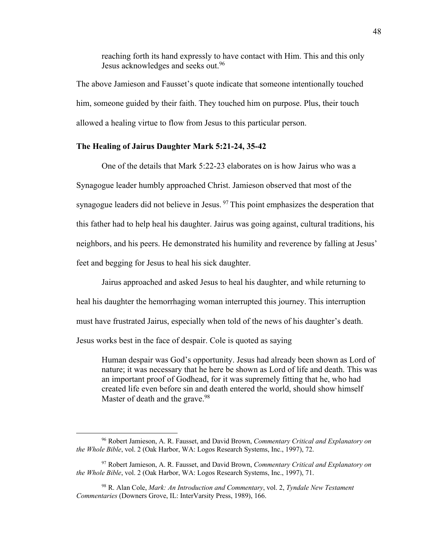reaching forth its hand expressly to have contact with Him. This and this only Jesus acknowledges and seeks out.<sup>96</sup>

The above Jamieson and Fausset's quote indicate that someone intentionally touched him, someone guided by their faith. They touched him on purpose. Plus, their touch allowed a healing virtue to flow from Jesus to this particular person.

# **The Healing of Jairus Daughter Mark 5:21-24, 35-42**

One of the details that Mark 5:22-23 elaborates on is how Jairus who was a Synagogue leader humbly approached Christ. Jamieson observed that most of the synagogue leaders did not believe in Jesus. <sup>97</sup> This point emphasizes the desperation that this father had to help heal his daughter. Jairus was going against, cultural traditions, his neighbors, and his peers. He demonstrated his humility and reverence by falling at Jesus' feet and begging for Jesus to heal his sick daughter.

Jairus approached and asked Jesus to heal his daughter, and while returning to heal his daughter the hemorrhaging woman interrupted this journey. This interruption must have frustrated Jairus, especially when told of the news of his daughter's death. Jesus works best in the face of despair. Cole is quoted as saying

Human despair was God's opportunity. Jesus had already been shown as Lord of nature; it was necessary that he here be shown as Lord of life and death. This was an important proof of Godhead, for it was supremely fitting that he, who had created life even before sin and death entered the world, should show himself Master of death and the grave.<sup>98</sup>

<sup>96</sup> Robert Jamieson, A. R. Fausset, and David Brown, *Commentary Critical and Explanatory on the Whole Bible*, vol. 2 (Oak Harbor, WA: Logos Research Systems, Inc., 1997), 72.

<sup>97</sup> Robert Jamieson, A. R. Fausset, and David Brown, *Commentary Critical and Explanatory on the Whole Bible*, vol. 2 (Oak Harbor, WA: Logos Research Systems, Inc., 1997), 71.

<sup>98</sup> R. Alan Cole, *Mark: An Introduction and Commentary*, vol. 2, *Tyndale New Testament Commentaries* (Downers Grove, IL: InterVarsity Press, 1989), 166.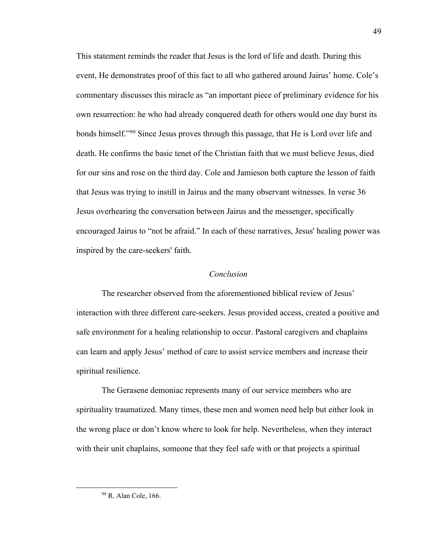This statement reminds the reader that Jesus is the lord of life and death. During this event, He demonstrates proof of this fact to all who gathered around Jairus' home. Cole's commentary discusses this miracle as "an important piece of preliminary evidence for his own resurrection: he who had already conquered death for others would one day burst its bonds himself."99 Since Jesus proves through this passage, that He is Lord over life and death. He confirms the basic tenet of the Christian faith that we must believe Jesus, died for our sins and rose on the third day. Cole and Jamieson both capture the lesson of faith that Jesus was trying to instill in Jairus and the many observant witnesses. In verse 36 Jesus overhearing the conversation between Jairus and the messenger, specifically encouraged Jairus to "not be afraid." In each of these narratives, Jesus' healing power was inspired by the care-seekers' faith.

## *Conclusion*

The researcher observed from the aforementioned biblical review of Jesus' interaction with three different care-seekers. Jesus provided access, created a positive and safe environment for a healing relationship to occur. Pastoral caregivers and chaplains can learn and apply Jesus' method of care to assist service members and increase their spiritual resilience.

The Gerasene demoniac represents many of our service members who are spirituality traumatized. Many times, these men and women need help but either look in the wrong place or don't know where to look for help. Nevertheless, when they interact with their unit chaplains, someone that they feel safe with or that projects a spiritual

<sup>49</sup>

<sup>99</sup> R. Alan Cole, 166.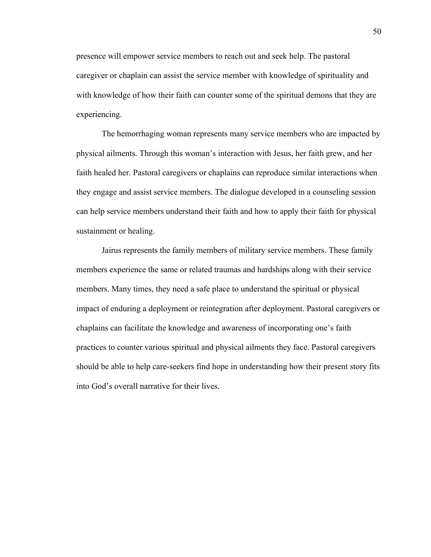presence will empower service members to reach out and seek help. The pastoral caregiver or chaplain can assist the service member with knowledge of spirituality and with knowledge of how their faith can counter some of the spiritual demons that they are experiencing.

The hemorrhaging woman represents many service members who are impacted by physical ailments. Through this woman's interaction with Jesus, her faith grew, and her faith healed her. Pastoral caregivers or chaplains can reproduce similar interactions when they engage and assist service members. The dialogue developed in a counseling session can help service members understand their faith and how to apply their faith for physical sustainment or healing.

Jairus represents the family members of military service members. These family members experience the same or related traumas and hardships along with their service members. Many times, they need a safe place to understand the spiritual or physical impact of enduring a deployment or reintegration after deployment. Pastoral caregivers or chaplains can facilitate the knowledge and awareness of incorporating one's faith practices to counter various spiritual and physical ailments they face. Pastoral caregivers should be able to help care-seekers find hope in understanding how their present story fits into God's overall narrative for their lives.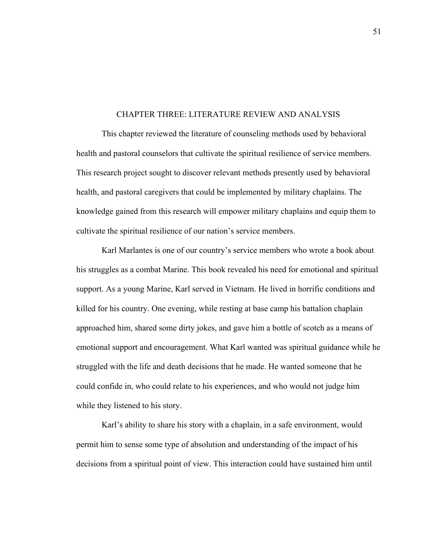#### CHAPTER THREE: LITERATURE REVIEW AND ANALYSIS

This chapter reviewed the literature of counseling methods used by behavioral health and pastoral counselors that cultivate the spiritual resilience of service members. This research project sought to discover relevant methods presently used by behavioral health, and pastoral caregivers that could be implemented by military chaplains. The knowledge gained from this research will empower military chaplains and equip them to cultivate the spiritual resilience of our nation's service members.

Karl Marlantes is one of our country's service members who wrote a book about his struggles as a combat Marine. This book revealed his need for emotional and spiritual support. As a young Marine, Karl served in Vietnam. He lived in horrific conditions and killed for his country. One evening, while resting at base camp his battalion chaplain approached him, shared some dirty jokes, and gave him a bottle of scotch as a means of emotional support and encouragement. What Karl wanted was spiritual guidance while he struggled with the life and death decisions that he made. He wanted someone that he could confide in, who could relate to his experiences, and who would not judge him while they listened to his story.

Karl's ability to share his story with a chaplain, in a safe environment, would permit him to sense some type of absolution and understanding of the impact of his decisions from a spiritual point of view. This interaction could have sustained him until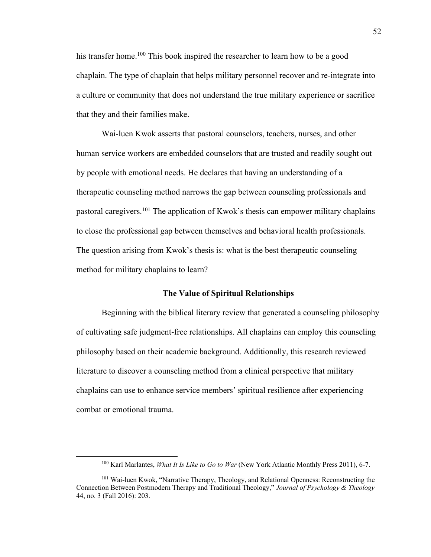his transfer home.<sup>100</sup> This book inspired the researcher to learn how to be a good chaplain. The type of chaplain that helps military personnel recover and re-integrate into a culture or community that does not understand the true military experience or sacrifice that they and their families make.

Wai-luen Kwok asserts that pastoral counselors, teachers, nurses, and other human service workers are embedded counselors that are trusted and readily sought out by people with emotional needs. He declares that having an understanding of a therapeutic counseling method narrows the gap between counseling professionals and pastoral caregivers.<sup>101</sup> The application of Kwok's thesis can empower military chaplains to close the professional gap between themselves and behavioral health professionals. The question arising from Kwok's thesis is: what is the best therapeutic counseling method for military chaplains to learn?

#### **The Value of Spiritual Relationships**

Beginning with the biblical literary review that generated a counseling philosophy of cultivating safe judgment-free relationships. All chaplains can employ this counseling philosophy based on their academic background. Additionally, this research reviewed literature to discover a counseling method from a clinical perspective that military chaplains can use to enhance service members' spiritual resilience after experiencing combat or emotional trauma.

<sup>100</sup> Karl Marlantes, *What It Is Like to Go to War* (New York Atlantic Monthly Press 2011), 6-7.

<sup>&</sup>lt;sup>101</sup> Wai-luen Kwok, "Narrative Therapy, Theology, and Relational Openness: Reconstructing the Connection Between Postmodern Therapy and Traditional Theology," *Journal of Psychology & Theology* 44, no. 3 (Fall 2016): 203.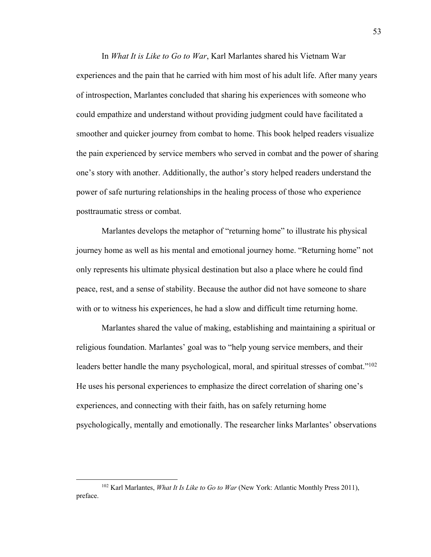In *What It is Like to Go to War*, Karl Marlantes shared his Vietnam War experiences and the pain that he carried with him most of his adult life. After many years of introspection, Marlantes concluded that sharing his experiences with someone who could empathize and understand without providing judgment could have facilitated a smoother and quicker journey from combat to home. This book helped readers visualize the pain experienced by service members who served in combat and the power of sharing one's story with another. Additionally, the author's story helped readers understand the power of safe nurturing relationships in the healing process of those who experience posttraumatic stress or combat.

Marlantes develops the metaphor of "returning home" to illustrate his physical journey home as well as his mental and emotional journey home. "Returning home" not only represents his ultimate physical destination but also a place where he could find peace, rest, and a sense of stability. Because the author did not have someone to share with or to witness his experiences, he had a slow and difficult time returning home.

Marlantes shared the value of making, establishing and maintaining a spiritual or religious foundation. Marlantes' goal was to "help young service members, and their leaders better handle the many psychological, moral, and spiritual stresses of combat."<sup>102</sup> He uses his personal experiences to emphasize the direct correlation of sharing one's experiences, and connecting with their faith, has on safely returning home psychologically, mentally and emotionally. The researcher links Marlantes' observations

<sup>102</sup> Karl Marlantes, *What It Is Like to Go to War* (New York: Atlantic Monthly Press 2011), preface.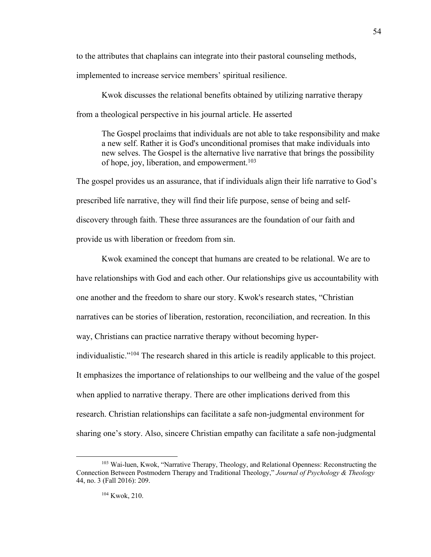to the attributes that chaplains can integrate into their pastoral counseling methods,

implemented to increase service members' spiritual resilience.

Kwok discusses the relational benefits obtained by utilizing narrative therapy from a theological perspective in his journal article. He asserted

The Gospel proclaims that individuals are not able to take responsibility and make a new self. Rather it is God's unconditional promises that make individuals into new selves. The Gospel is the alternative live narrative that brings the possibility of hope, joy, liberation, and empowerment. 103

The gospel provides us an assurance, that if individuals align their life narrative to God's prescribed life narrative, they will find their life purpose, sense of being and selfdiscovery through faith. These three assurances are the foundation of our faith and provide us with liberation or freedom from sin.

Kwok examined the concept that humans are created to be relational. We are to have relationships with God and each other. Our relationships give us accountability with one another and the freedom to share our story. Kwok's research states, "Christian narratives can be stories of liberation, restoration, reconciliation, and recreation. In this way, Christians can practice narrative therapy without becoming hyperindividualistic."104 The research shared in this article is readily applicable to this project. It emphasizes the importance of relationships to our wellbeing and the value of the gospel when applied to narrative therapy. There are other implications derived from this research. Christian relationships can facilitate a safe non-judgmental environment for sharing one's story. Also, sincere Christian empathy can facilitate a safe non-judgmental

<sup>103</sup> Wai-luen, Kwok, "Narrative Therapy, Theology, and Relational Openness: Reconstructing the Connection Between Postmodern Therapy and Traditional Theology," *Journal of Psychology & Theology* 44, no. 3 (Fall 2016): 209.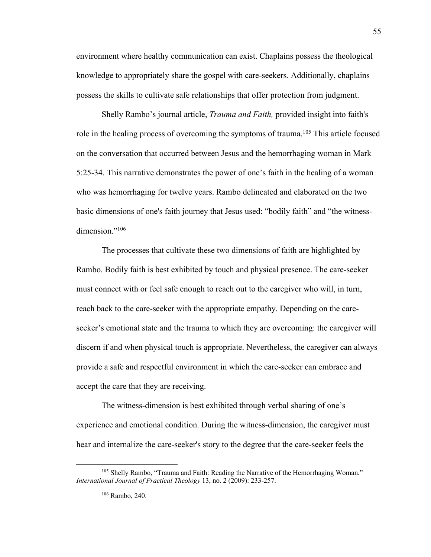environment where healthy communication can exist. Chaplains possess the theological knowledge to appropriately share the gospel with care-seekers. Additionally, chaplains possess the skills to cultivate safe relationships that offer protection from judgment.

Shelly Rambo's journal article, *Trauma and Faith,* provided insight into faith's role in the healing process of overcoming the symptoms of trauma.<sup>105</sup> This article focused on the conversation that occurred between Jesus and the hemorrhaging woman in Mark 5:25-34. This narrative demonstrates the power of one's faith in the healing of a woman who was hemorrhaging for twelve years. Rambo delineated and elaborated on the two basic dimensions of one's faith journey that Jesus used: "bodily faith" and "the witnessdimension."<sup>106</sup>

The processes that cultivate these two dimensions of faith are highlighted by Rambo. Bodily faith is best exhibited by touch and physical presence. The care-seeker must connect with or feel safe enough to reach out to the caregiver who will, in turn, reach back to the care-seeker with the appropriate empathy. Depending on the careseeker's emotional state and the trauma to which they are overcoming: the caregiver will discern if and when physical touch is appropriate. Nevertheless, the caregiver can always provide a safe and respectful environment in which the care-seeker can embrace and accept the care that they are receiving.

The witness-dimension is best exhibited through verbal sharing of one's experience and emotional condition. During the witness-dimension, the caregiver must hear and internalize the care-seeker's story to the degree that the care-seeker feels the

<sup>&</sup>lt;sup>105</sup> Shelly Rambo, "Trauma and Faith: Reading the Narrative of the Hemorrhaging Woman," *International Journal of Practical Theology* 13, no. 2 (2009): 233-257.

<sup>106</sup> Rambo, 240.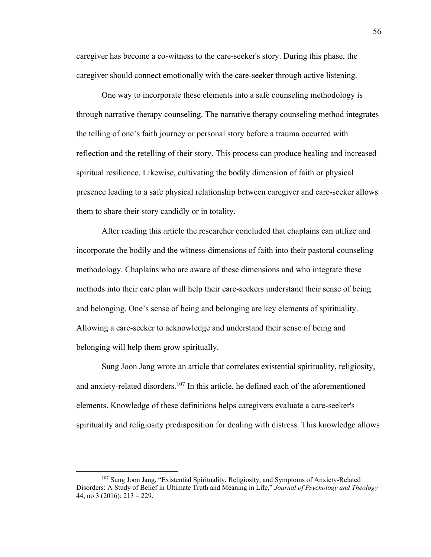caregiver has become a co-witness to the care-seeker's story. During this phase, the caregiver should connect emotionally with the care-seeker through active listening.

One way to incorporate these elements into a safe counseling methodology is through narrative therapy counseling. The narrative therapy counseling method integrates the telling of one's faith journey or personal story before a trauma occurred with reflection and the retelling of their story. This process can produce healing and increased spiritual resilience. Likewise, cultivating the bodily dimension of faith or physical presence leading to a safe physical relationship between caregiver and care-seeker allows them to share their story candidly or in totality.

After reading this article the researcher concluded that chaplains can utilize and incorporate the bodily and the witness-dimensions of faith into their pastoral counseling methodology. Chaplains who are aware of these dimensions and who integrate these methods into their care plan will help their care-seekers understand their sense of being and belonging. One's sense of being and belonging are key elements of spirituality. Allowing a care-seeker to acknowledge and understand their sense of being and belonging will help them grow spiritually.

Sung Joon Jang wrote an article that correlates existential spirituality, religiosity, and anxiety-related disorders.<sup>107</sup> In this article, he defined each of the aforementioned elements. Knowledge of these definitions helps caregivers evaluate a care-seeker's spirituality and religiosity predisposition for dealing with distress. This knowledge allows

<sup>&</sup>lt;sup>107</sup> Sung Joon Jang, "Existential Spirituality, Religiosity, and Symptoms of Anxiety-Related Disorders: A Study of Belief in Ultimate Truth and Meaning in Life," *Journal of Psychology and Theology* 44, no 3 (2016): 213 – 229.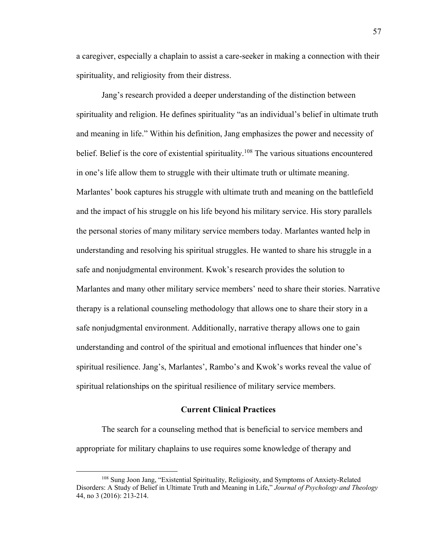a caregiver, especially a chaplain to assist a care-seeker in making a connection with their spirituality, and religiosity from their distress.

Jang's research provided a deeper understanding of the distinction between spirituality and religion. He defines spirituality "as an individual's belief in ultimate truth and meaning in life." Within his definition, Jang emphasizes the power and necessity of belief. Belief is the core of existential spirituality.<sup>108</sup> The various situations encountered in one's life allow them to struggle with their ultimate truth or ultimate meaning. Marlantes' book captures his struggle with ultimate truth and meaning on the battlefield and the impact of his struggle on his life beyond his military service. His story parallels the personal stories of many military service members today. Marlantes wanted help in understanding and resolving his spiritual struggles. He wanted to share his struggle in a safe and nonjudgmental environment. Kwok's research provides the solution to Marlantes and many other military service members' need to share their stories. Narrative therapy is a relational counseling methodology that allows one to share their story in a safe nonjudgmental environment. Additionally, narrative therapy allows one to gain understanding and control of the spiritual and emotional influences that hinder one's spiritual resilience. Jang's, Marlantes', Rambo's and Kwok's works reveal the value of spiritual relationships on the spiritual resilience of military service members.

# **Current Clinical Practices**

The search for a counseling method that is beneficial to service members and appropriate for military chaplains to use requires some knowledge of therapy and

<sup>108</sup> Sung Joon Jang, "Existential Spirituality, Religiosity, and Symptoms of Anxiety-Related Disorders: A Study of Belief in Ultimate Truth and Meaning in Life," *Journal of Psychology and Theology* 44, no 3 (2016): 213-214.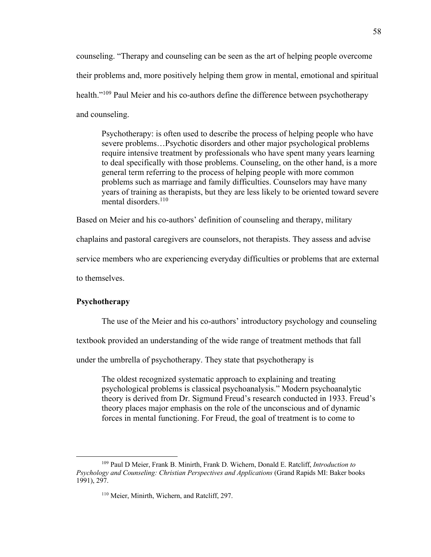counseling. "Therapy and counseling can be seen as the art of helping people overcome their problems and, more positively helping them grow in mental, emotional and spiritual health."<sup>109</sup> Paul Meier and his co-authors define the difference between psychotherapy and counseling.

Psychotherapy: is often used to describe the process of helping people who have severe problems…Psychotic disorders and other major psychological problems require intensive treatment by professionals who have spent many years learning to deal specifically with those problems. Counseling, on the other hand, is a more general term referring to the process of helping people with more common problems such as marriage and family difficulties. Counselors may have many years of training as therapists, but they are less likely to be oriented toward severe mental disorders.<sup>110</sup>

Based on Meier and his co-authors' definition of counseling and therapy, military

chaplains and pastoral caregivers are counselors, not therapists. They assess and advise

service members who are experiencing everyday difficulties or problems that are external

to themselves.

# **Psychotherapy**

The use of the Meier and his co-authors' introductory psychology and counseling

textbook provided an understanding of the wide range of treatment methods that fall

under the umbrella of psychotherapy. They state that psychotherapy is

The oldest recognized systematic approach to explaining and treating psychological problems is classical psychoanalysis." Modern psychoanalytic theory is derived from Dr. Sigmund Freud's research conducted in 1933. Freud's theory places major emphasis on the role of the unconscious and of dynamic forces in mental functioning. For Freud, the goal of treatment is to come to

<sup>109</sup> Paul D Meier, Frank B. Minirth, Frank D. Wichern, Donald E. Ratcliff, *Introduction to Psychology and Counseling: Christian Perspectives and Applications* (Grand Rapids MI: Baker books 1991), 297.

<sup>110</sup> Meier, Minirth, Wichern, and Ratcliff, 297.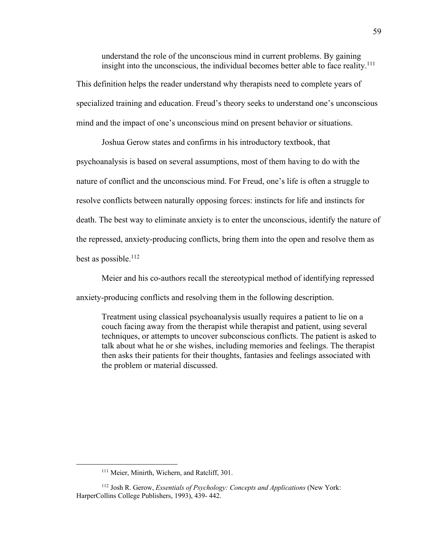understand the role of the unconscious mind in current problems. By gaining insight into the unconscious, the individual becomes better able to face reality.<sup>111</sup>

This definition helps the reader understand why therapists need to complete years of specialized training and education. Freud's theory seeks to understand one's unconscious mind and the impact of one's unconscious mind on present behavior or situations.

Joshua Gerow states and confirms in his introductory textbook, that

psychoanalysis is based on several assumptions, most of them having to do with the nature of conflict and the unconscious mind. For Freud, one's life is often a struggle to resolve conflicts between naturally opposing forces: instincts for life and instincts for death. The best way to eliminate anxiety is to enter the unconscious, identify the nature of the repressed, anxiety-producing conflicts, bring them into the open and resolve them as best as possible. 112

Meier and his co-authors recall the stereotypical method of identifying repressed anxiety-producing conflicts and resolving them in the following description.

Treatment using classical psychoanalysis usually requires a patient to lie on a couch facing away from the therapist while therapist and patient, using several techniques, or attempts to uncover subconscious conflicts. The patient is asked to talk about what he or she wishes, including memories and feelings. The therapist then asks their patients for their thoughts, fantasies and feelings associated with the problem or material discussed.

<sup>&</sup>lt;sup>111</sup> Meier, Minirth, Wichern, and Ratcliff, 301.

<sup>112</sup> Josh R. Gerow, *Essentials of Psychology: Concepts and Applications* (New York: HarperCollins College Publishers, 1993), 439- 442.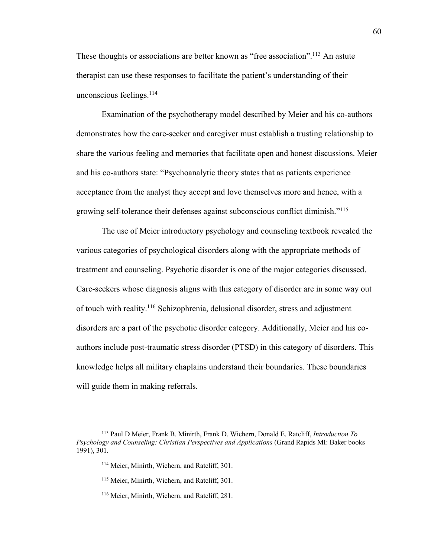These thoughts or associations are better known as "free association".<sup>113</sup> An astute therapist can use these responses to facilitate the patient's understanding of their unconscious feelings. $114$ 

Examination of the psychotherapy model described by Meier and his co-authors demonstrates how the care-seeker and caregiver must establish a trusting relationship to share the various feeling and memories that facilitate open and honest discussions. Meier and his co-authors state: "Psychoanalytic theory states that as patients experience acceptance from the analyst they accept and love themselves more and hence, with a growing self-tolerance their defenses against subconscious conflict diminish."115

The use of Meier introductory psychology and counseling textbook revealed the various categories of psychological disorders along with the appropriate methods of treatment and counseling. Psychotic disorder is one of the major categories discussed. Care-seekers whose diagnosis aligns with this category of disorder are in some way out of touch with reality.116 Schizophrenia, delusional disorder, stress and adjustment disorders are a part of the psychotic disorder category. Additionally, Meier and his coauthors include post-traumatic stress disorder (PTSD) in this category of disorders. This knowledge helps all military chaplains understand their boundaries. These boundaries will guide them in making referrals.

<sup>113</sup> Paul D Meier, Frank B. Minirth, Frank D. Wichern, Donald E. Ratcliff, *Introduction To Psychology and Counseling: Christian Perspectives and Applications* (Grand Rapids MI: Baker books 1991), 301.

<sup>&</sup>lt;sup>114</sup> Meier, Minirth, Wichern, and Ratcliff, 301.

<sup>&</sup>lt;sup>115</sup> Meier, Minirth, Wichern, and Ratcliff, 301.

<sup>116</sup> Meier, Minirth, Wichern, and Ratcliff, 281.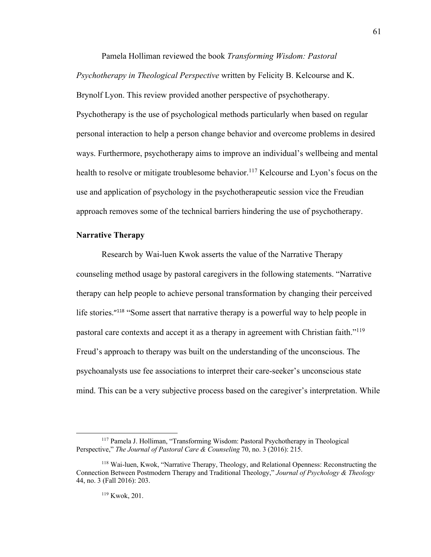Pamela Holliman reviewed the book *Transforming Wisdom: Pastoral* 

*Psychotherapy in Theological Perspective* written by Felicity B. Kelcourse and K. Brynolf Lyon. This review provided another perspective of psychotherapy. Psychotherapy is the use of psychological methods particularly when based on regular personal interaction to help a person change behavior and overcome problems in desired ways. Furthermore, psychotherapy aims to improve an individual's wellbeing and mental health to resolve or mitigate troublesome behavior.<sup>117</sup> Kelcourse and Lyon's focus on the use and application of psychology in the psychotherapeutic session vice the Freudian approach removes some of the technical barriers hindering the use of psychotherapy.

# **Narrative Therapy**

Research by Wai-luen Kwok asserts the value of the Narrative Therapy counseling method usage by pastoral caregivers in the following statements. "Narrative therapy can help people to achieve personal transformation by changing their perceived life stories."<sup>118</sup> "Some assert that narrative therapy is a powerful way to help people in pastoral care contexts and accept it as a therapy in agreement with Christian faith."119 Freud's approach to therapy was built on the understanding of the unconscious. The psychoanalysts use fee associations to interpret their care-seeker's unconscious state mind. This can be a very subjective process based on the caregiver's interpretation. While

<sup>117</sup> Pamela J. Holliman, "Transforming Wisdom: Pastoral Psychotherapy in Theological Perspective," *The Journal of Pastoral Care & Counseling* 70, no. 3 (2016): 215.

<sup>118</sup> Wai-luen, Kwok, "Narrative Therapy, Theology, and Relational Openness: Reconstructing the Connection Between Postmodern Therapy and Traditional Theology," *Journal of Psychology & Theology* 44, no. 3 (Fall 2016): 203.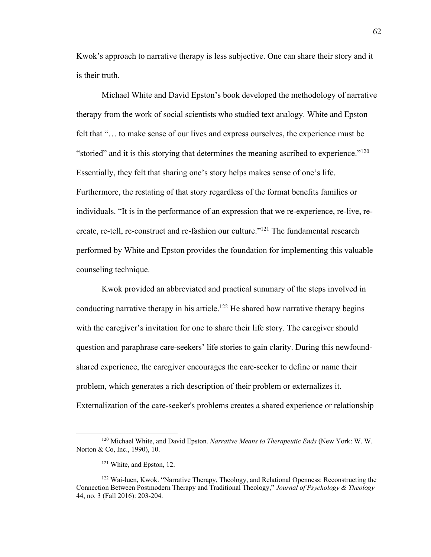Kwok's approach to narrative therapy is less subjective. One can share their story and it is their truth.

Michael White and David Epston's book developed the methodology of narrative therapy from the work of social scientists who studied text analogy. White and Epston felt that "… to make sense of our lives and express ourselves, the experience must be "storied" and it is this storying that determines the meaning ascribed to experience." $120$ Essentially, they felt that sharing one's story helps makes sense of one's life. Furthermore, the restating of that story regardless of the format benefits families or individuals. "It is in the performance of an expression that we re-experience, re-live, recreate, re-tell, re-construct and re-fashion our culture."121 The fundamental research performed by White and Epston provides the foundation for implementing this valuable counseling technique.

Kwok provided an abbreviated and practical summary of the steps involved in conducting narrative therapy in his article.<sup>122</sup> He shared how narrative therapy begins with the caregiver's invitation for one to share their life story. The caregiver should question and paraphrase care-seekers' life stories to gain clarity. During this newfoundshared experience, the caregiver encourages the care-seeker to define or name their problem, which generates a rich description of their problem or externalizes it. Externalization of the care-seeker's problems creates a shared experience or relationship

<sup>120</sup> Michael White, and David Epston. *Narrative Means to Therapeutic Ends* (New York: W. W. Norton & Co, Inc., 1990), 10.

<sup>121</sup> White, and Epston, 12.

<sup>&</sup>lt;sup>122</sup> Wai-luen, Kwok. "Narrative Therapy, Theology, and Relational Openness: Reconstructing the Connection Between Postmodern Therapy and Traditional Theology," *Journal of Psychology & Theology* 44, no. 3 (Fall 2016): 203-204.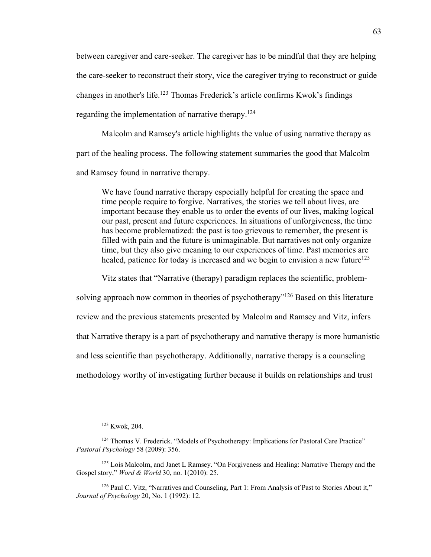between caregiver and care-seeker. The caregiver has to be mindful that they are helping the care-seeker to reconstruct their story, vice the caregiver trying to reconstruct or guide changes in another's life.123 Thomas Frederick's article confirms Kwok's findings regarding the implementation of narrative therapy.<sup>124</sup>

Malcolm and Ramsey's article highlights the value of using narrative therapy as part of the healing process. The following statement summaries the good that Malcolm and Ramsey found in narrative therapy.

We have found narrative therapy especially helpful for creating the space and time people require to forgive. Narratives, the stories we tell about lives, are important because they enable us to order the events of our lives, making logical our past, present and future experiences. In situations of unforgiveness, the time has become problematized: the past is too grievous to remember, the present is filled with pain and the future is unimaginable. But narratives not only organize time, but they also give meaning to our experiences of time. Past memories are healed, patience for today is increased and we begin to envision a new future $125$ 

Vitz states that "Narrative (therapy) paradigm replaces the scientific, problem-

solving approach now common in theories of psychotherapy"<sup>126</sup> Based on this literature review and the previous statements presented by Malcolm and Ramsey and Vitz, infers that Narrative therapy is a part of psychotherapy and narrative therapy is more humanistic and less scientific than psychotherapy. Additionally, narrative therapy is a counseling methodology worthy of investigating further because it builds on relationships and trust

<sup>123</sup> Kwok, 204.

<sup>&</sup>lt;sup>124</sup> Thomas V. Frederick. "Models of Psychotherapy: Implications for Pastoral Care Practice" *Pastoral Psychology* 58 (2009): 356.

<sup>125</sup> Lois Malcolm, and Janet L Ramsey. "On Forgiveness and Healing: Narrative Therapy and the Gospel story," *Word & World* 30, no. 1(2010): 25.

<sup>126</sup> Paul C. Vitz, "Narratives and Counseling, Part 1: From Analysis of Past to Stories About it," *Journal of Psychology* 20, No. 1 (1992): 12.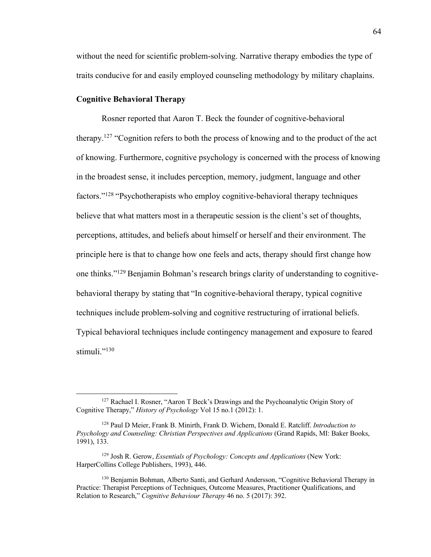without the need for scientific problem-solving. Narrative therapy embodies the type of traits conducive for and easily employed counseling methodology by military chaplains.

## **Cognitive Behavioral Therapy**

Rosner reported that Aaron T. Beck the founder of cognitive-behavioral therapy.<sup>127</sup> "Cognition refers to both the process of knowing and to the product of the act of knowing. Furthermore, cognitive psychology is concerned with the process of knowing in the broadest sense, it includes perception, memory, judgment, language and other factors."128 "Psychotherapists who employ cognitive-behavioral therapy techniques believe that what matters most in a therapeutic session is the client's set of thoughts, perceptions, attitudes, and beliefs about himself or herself and their environment. The principle here is that to change how one feels and acts, therapy should first change how one thinks."129 Benjamin Bohman's research brings clarity of understanding to cognitivebehavioral therapy by stating that "In cognitive-behavioral therapy, typical cognitive techniques include problem-solving and cognitive restructuring of irrational beliefs. Typical behavioral techniques include contingency management and exposure to feared stimuli."<sup>130</sup>

<sup>&</sup>lt;sup>127</sup> Rachael I. Rosner, "Aaron T Beck's Drawings and the Psychoanalytic Origin Story of Cognitive Therapy," *History of Psychology* Vol 15 no.1 (2012): 1.

<sup>128</sup> Paul D Meier, Frank B. Minirth, Frank D. Wichern, Donald E. Ratcliff. *Introduction to Psychology and Counseling: Christian Perspectives and Applications* (Grand Rapids, MI: Baker Books, 1991), 133.

<sup>129</sup> Josh R. Gerow, *Essentials of Psychology: Concepts and Applications* (New York: HarperCollins College Publishers, 1993), 446.

<sup>&</sup>lt;sup>130</sup> Benjamin Bohman, Alberto Santi, and Gerhard Andersson, "Cognitive Behavioral Therapy in Practice: Therapist Perceptions of Techniques, Outcome Measures, Practitioner Qualifications, and Relation to Research," *Cognitive Behaviour Therapy* 46 no. 5 (2017): 392.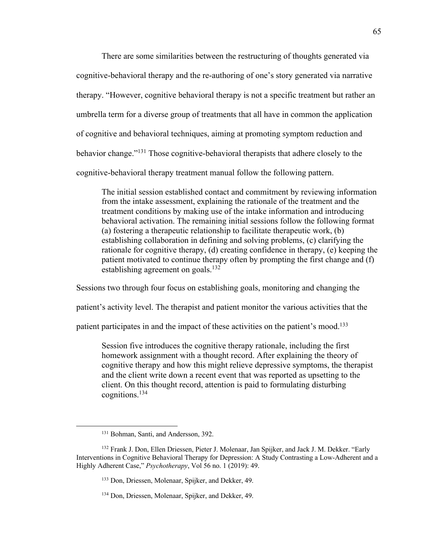There are some similarities between the restructuring of thoughts generated via cognitive-behavioral therapy and the re-authoring of one's story generated via narrative therapy. "However, cognitive behavioral therapy is not a specific treatment but rather an umbrella term for a diverse group of treatments that all have in common the application of cognitive and behavioral techniques, aiming at promoting symptom reduction and behavior change."131 Those cognitive-behavioral therapists that adhere closely to the cognitive-behavioral therapy treatment manual follow the following pattern.

The initial session established contact and commitment by reviewing information from the intake assessment, explaining the rationale of the treatment and the treatment conditions by making use of the intake information and introducing behavioral activation. The remaining initial sessions follow the following format (a) fostering a therapeutic relationship to facilitate therapeutic work, (b) establishing collaboration in defining and solving problems, (c) clarifying the rationale for cognitive therapy, (d) creating confidence in therapy, (e) keeping the patient motivated to continue therapy often by prompting the first change and (f) establishing agreement on goals.<sup>132</sup>

Sessions two through four focus on establishing goals, monitoring and changing the

patient's activity level. The therapist and patient monitor the various activities that the

patient participates in and the impact of these activities on the patient's mood.133

Session five introduces the cognitive therapy rationale, including the first homework assignment with a thought record. After explaining the theory of cognitive therapy and how this might relieve depressive symptoms, the therapist and the client write down a recent event that was reported as upsetting to the client. On this thought record, attention is paid to formulating disturbing cognitions.134

<sup>&</sup>lt;sup>131</sup> Bohman, Santi, and Andersson, 392.

<sup>132</sup> Frank J. Don, Ellen Driessen, Pieter J. Molenaar, Jan Spijker, and Jack J. M. Dekker. "Early Interventions in Cognitive Behavioral Therapy for Depression: A Study Contrasting a Low-Adherent and a Highly Adherent Case," *Psychotherapy*, Vol 56 no. 1 (2019): 49.

<sup>133</sup> Don, Driessen, Molenaar, Spijker, and Dekker, 49.

<sup>134</sup> Don, Driessen, Molenaar, Spijker, and Dekker, 49.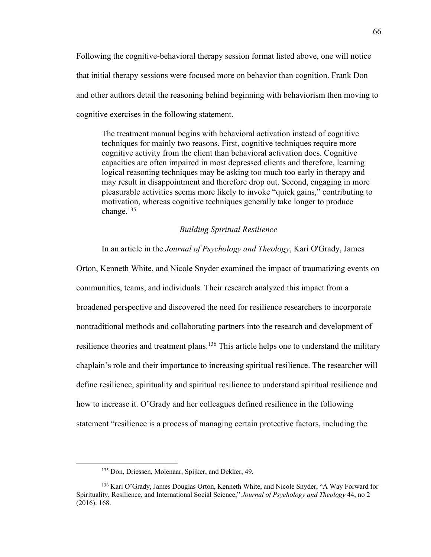Following the cognitive-behavioral therapy session format listed above, one will notice that initial therapy sessions were focused more on behavior than cognition. Frank Don and other authors detail the reasoning behind beginning with behaviorism then moving to cognitive exercises in the following statement.

The treatment manual begins with behavioral activation instead of cognitive techniques for mainly two reasons. First, cognitive techniques require more cognitive activity from the client than behavioral activation does. Cognitive capacities are often impaired in most depressed clients and therefore, learning logical reasoning techniques may be asking too much too early in therapy and may result in disappointment and therefore drop out. Second, engaging in more pleasurable activities seems more likely to invoke "quick gains," contributing to motivation, whereas cognitive techniques generally take longer to produce change. 135

# *Building Spiritual Resilience*

In an article in the *Journal of Psychology and Theology*, Kari O'Grady, James

Orton, Kenneth White, and Nicole Snyder examined the impact of traumatizing events on communities, teams, and individuals. Their research analyzed this impact from a broadened perspective and discovered the need for resilience researchers to incorporate nontraditional methods and collaborating partners into the research and development of resilience theories and treatment plans.<sup>136</sup> This article helps one to understand the military chaplain's role and their importance to increasing spiritual resilience. The researcher will define resilience, spirituality and spiritual resilience to understand spiritual resilience and how to increase it. O'Grady and her colleagues defined resilience in the following statement "resilience is a process of managing certain protective factors, including the

<sup>135</sup> Don, Driessen, Molenaar, Spijker, and Dekker, 49.

<sup>136</sup> Kari O'Grady, James Douglas Orton, Kenneth White, and Nicole Snyder, "A Way Forward for Spirituality, Resilience, and International Social Science," *Journal of Psychology and Theology* 44, no 2 (2016): 168.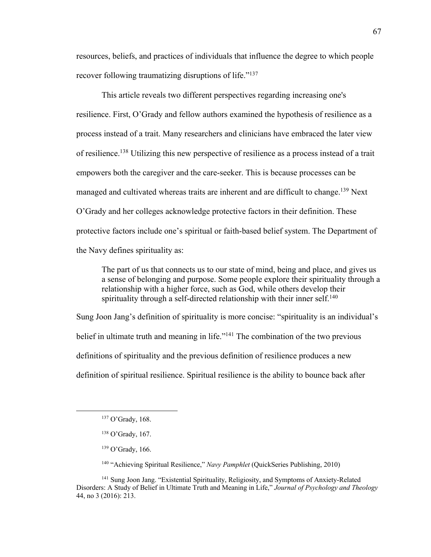resources, beliefs, and practices of individuals that influence the degree to which people recover following traumatizing disruptions of life."<sup>137</sup>

This article reveals two different perspectives regarding increasing one's resilience. First, O'Grady and fellow authors examined the hypothesis of resilience as a process instead of a trait. Many researchers and clinicians have embraced the later view of resilience.<sup>138</sup> Utilizing this new perspective of resilience as a process instead of a trait empowers both the caregiver and the care-seeker. This is because processes can be managed and cultivated whereas traits are inherent and are difficult to change.<sup>139</sup> Next O'Grady and her colleges acknowledge protective factors in their definition. These protective factors include one's spiritual or faith-based belief system. The Department of the Navy defines spirituality as:

The part of us that connects us to our state of mind, being and place, and gives us a sense of belonging and purpose. Some people explore their spirituality through a relationship with a higher force, such as God, while others develop their spirituality through a self-directed relationship with their inner self.<sup>140</sup>

Sung Joon Jang's definition of spirituality is more concise: "spirituality is an individual's belief in ultimate truth and meaning in life."<sup>141</sup> The combination of the two previous definitions of spirituality and the previous definition of resilience produces a new definition of spiritual resilience. Spiritual resilience is the ability to bounce back after

<sup>140</sup> "Achieving Spiritual Resilience," *Navy Pamphlet* (QuickSeries Publishing, 2010)

<sup>141</sup> Sung Joon Jang. "Existential Spirituality, Religiosity, and Symptoms of Anxiety-Related Disorders: A Study of Belief in Ultimate Truth and Meaning in Life," *Journal of Psychology and Theology* 44, no 3 (2016): 213.

<sup>137</sup> O'Grady, 168.

<sup>138</sup> O'Grady, 167.

<sup>139</sup> O'Grady, 166.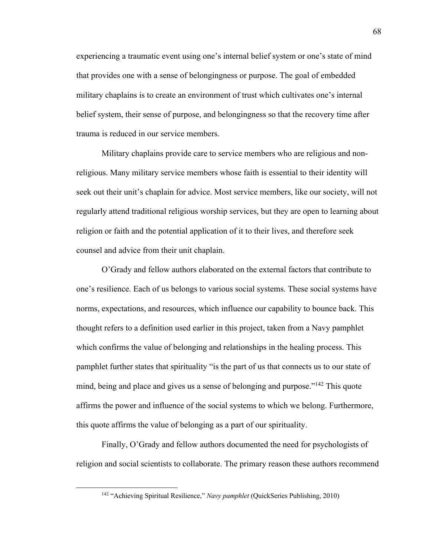experiencing a traumatic event using one's internal belief system or one's state of mind that provides one with a sense of belongingness or purpose. The goal of embedded military chaplains is to create an environment of trust which cultivates one's internal belief system, their sense of purpose, and belongingness so that the recovery time after trauma is reduced in our service members.

Military chaplains provide care to service members who are religious and nonreligious. Many military service members whose faith is essential to their identity will seek out their unit's chaplain for advice. Most service members, like our society, will not regularly attend traditional religious worship services, but they are open to learning about religion or faith and the potential application of it to their lives, and therefore seek counsel and advice from their unit chaplain.

O'Grady and fellow authors elaborated on the external factors that contribute to one's resilience. Each of us belongs to various social systems. These social systems have norms, expectations, and resources, which influence our capability to bounce back. This thought refers to a definition used earlier in this project, taken from a Navy pamphlet which confirms the value of belonging and relationships in the healing process. This pamphlet further states that spirituality "is the part of us that connects us to our state of mind, being and place and gives us a sense of belonging and purpose."142 This quote affirms the power and influence of the social systems to which we belong. Furthermore, this quote affirms the value of belonging as a part of our spirituality.

Finally, O'Grady and fellow authors documented the need for psychologists of religion and social scientists to collaborate. The primary reason these authors recommend

<sup>142</sup> "Achieving Spiritual Resilience," *Navy pamphlet* (QuickSeries Publishing, 2010)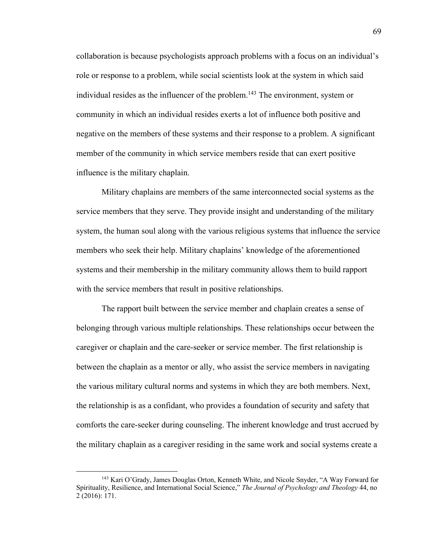collaboration is because psychologists approach problems with a focus on an individual's role or response to a problem, while social scientists look at the system in which said individual resides as the influencer of the problem.<sup>143</sup> The environment, system or community in which an individual resides exerts a lot of influence both positive and negative on the members of these systems and their response to a problem. A significant member of the community in which service members reside that can exert positive influence is the military chaplain.

Military chaplains are members of the same interconnected social systems as the service members that they serve. They provide insight and understanding of the military system, the human soul along with the various religious systems that influence the service members who seek their help. Military chaplains' knowledge of the aforementioned systems and their membership in the military community allows them to build rapport with the service members that result in positive relationships.

The rapport built between the service member and chaplain creates a sense of belonging through various multiple relationships. These relationships occur between the caregiver or chaplain and the care-seeker or service member. The first relationship is between the chaplain as a mentor or ally, who assist the service members in navigating the various military cultural norms and systems in which they are both members. Next, the relationship is as a confidant, who provides a foundation of security and safety that comforts the care-seeker during counseling. The inherent knowledge and trust accrued by the military chaplain as a caregiver residing in the same work and social systems create a

<sup>143</sup> Kari O'Grady, James Douglas Orton, Kenneth White, and Nicole Snyder, "A Way Forward for Spirituality, Resilience, and International Social Science," *The Journal of Psychology and Theology* 44, no 2 (2016): 171.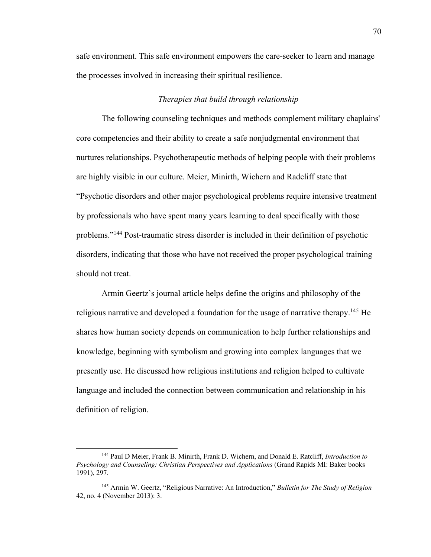safe environment. This safe environment empowers the care-seeker to learn and manage the processes involved in increasing their spiritual resilience.

### *Therapies that build through relationship*

The following counseling techniques and methods complement military chaplains' core competencies and their ability to create a safe nonjudgmental environment that nurtures relationships. Psychotherapeutic methods of helping people with their problems are highly visible in our culture. Meier, Minirth, Wichern and Radcliff state that "Psychotic disorders and other major psychological problems require intensive treatment by professionals who have spent many years learning to deal specifically with those problems."144 Post-traumatic stress disorder is included in their definition of psychotic disorders, indicating that those who have not received the proper psychological training should not treat.

Armin Geertz's journal article helps define the origins and philosophy of the religious narrative and developed a foundation for the usage of narrative therapy.<sup>145</sup> He shares how human society depends on communication to help further relationships and knowledge, beginning with symbolism and growing into complex languages that we presently use. He discussed how religious institutions and religion helped to cultivate language and included the connection between communication and relationship in his definition of religion.

<sup>144</sup> Paul D Meier, Frank B. Minirth, Frank D. Wichern, and Donald E. Ratcliff, *Introduction to Psychology and Counseling: Christian Perspectives and Applications* (Grand Rapids MI: Baker books 1991), 297.

<sup>145</sup> Armin W. Geertz, "Religious Narrative: An Introduction," *Bulletin for The Study of Religion* 42, no. 4 (November 2013): 3.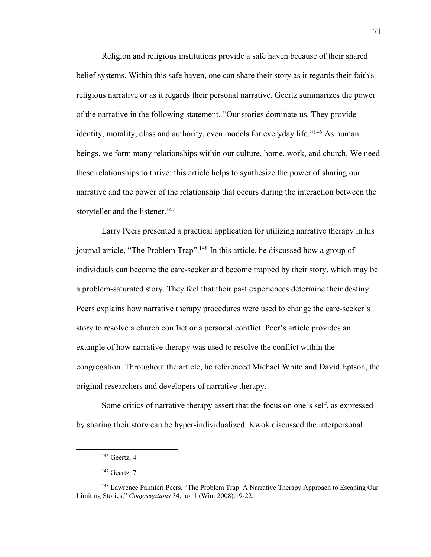Religion and religious institutions provide a safe haven because of their shared belief systems. Within this safe haven, one can share their story as it regards their faith's religious narrative or as it regards their personal narrative. Geertz summarizes the power of the narrative in the following statement. "Our stories dominate us. They provide identity, morality, class and authority, even models for everyday life."<sup>146</sup> As human beings, we form many relationships within our culture, home, work, and church. We need these relationships to thrive: this article helps to synthesize the power of sharing our narrative and the power of the relationship that occurs during the interaction between the storyteller and the listener.<sup>147</sup>

Larry Peers presented a practical application for utilizing narrative therapy in his journal article, "The Problem Trap".148 In this article, he discussed how a group of individuals can become the care-seeker and become trapped by their story, which may be a problem-saturated story. They feel that their past experiences determine their destiny. Peers explains how narrative therapy procedures were used to change the care-seeker's story to resolve a church conflict or a personal conflict. Peer's article provides an example of how narrative therapy was used to resolve the conflict within the congregation. Throughout the article, he referenced Michael White and David Eptson, the original researchers and developers of narrative therapy.

Some critics of narrative therapy assert that the focus on one's self, as expressed by sharing their story can be hyper-individualized. Kwok discussed the interpersonal

<sup>146</sup> Geertz, 4.

 $147$  Geertz, 7.

<sup>&</sup>lt;sup>148</sup> Lawrence Palmieri Peers, "The Problem Trap: A Narrative Therapy Approach to Escaping Our Limiting Stories," *Congregations* 34, no. 1 (Wint 2008):19-22.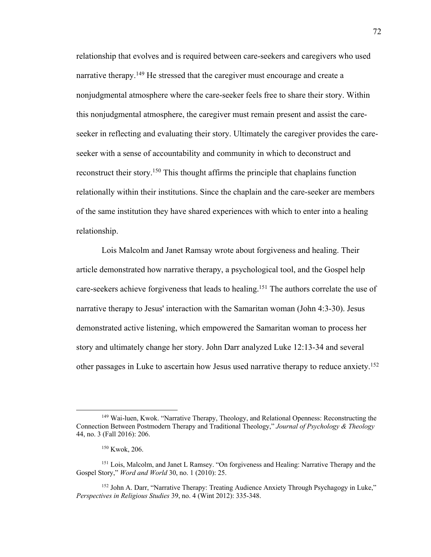relationship that evolves and is required between care-seekers and caregivers who used narrative therapy.<sup>149</sup> He stressed that the caregiver must encourage and create a nonjudgmental atmosphere where the care-seeker feels free to share their story. Within this nonjudgmental atmosphere, the caregiver must remain present and assist the careseeker in reflecting and evaluating their story. Ultimately the caregiver provides the careseeker with a sense of accountability and community in which to deconstruct and reconstruct their story.150 This thought affirms the principle that chaplains function relationally within their institutions. Since the chaplain and the care-seeker are members of the same institution they have shared experiences with which to enter into a healing relationship.

Lois Malcolm and Janet Ramsay wrote about forgiveness and healing. Their article demonstrated how narrative therapy, a psychological tool, and the Gospel help care-seekers achieve forgiveness that leads to healing. <sup>151</sup> The authors correlate the use of narrative therapy to Jesus' interaction with the Samaritan woman (John 4:3-30). Jesus demonstrated active listening, which empowered the Samaritan woman to process her story and ultimately change her story. John Darr analyzed Luke 12:13-34 and several other passages in Luke to ascertain how Jesus used narrative therapy to reduce anxiety.<sup>152</sup>

<sup>149</sup> Wai-luen, Kwok. "Narrative Therapy, Theology, and Relational Openness: Reconstructing the Connection Between Postmodern Therapy and Traditional Theology," *Journal of Psychology & Theology* 44, no. 3 (Fall 2016): 206.

<sup>150</sup> Kwok, 206.

<sup>151</sup> Lois, Malcolm, and Janet L Ramsey. "On forgiveness and Healing: Narrative Therapy and the Gospel Story," *Word and World* 30, no. 1 (2010): 25.

<sup>&</sup>lt;sup>152</sup> John A. Darr, "Narrative Therapy: Treating Audience Anxiety Through Psychagogy in Luke," *Perspectives in Religious Studies* 39, no. 4 (Wint 2012): 335-348.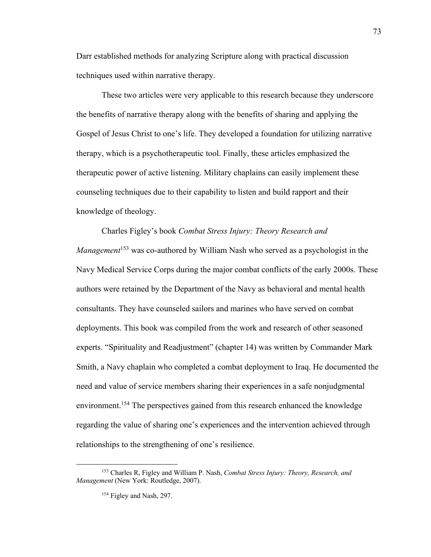Darr established methods for analyzing Scripture along with practical discussion techniques used within narrative therapy.

These two articles were very applicable to this research because they underscore the benefits of narrative therapy along with the benefits of sharing and applying the Gospel of Jesus Christ to one's life. They developed a foundation for utilizing narrative therapy, which is a psychotherapeutic tool. Finally, these articles emphasized the therapeutic power of active listening. Military chaplains can easily implement these counseling techniques due to their capability to listen and build rapport and their knowledge of theology.

Charles Figley's book *Combat Stress Injury: Theory Research and Management*<sup>153</sup> was co-authored by William Nash who served as a psychologist in the Navy Medical Service Corps during the major combat conflicts of the early 2000s. These authors were retained by the Department of the Navy as behavioral and mental health consultants. They have counseled sailors and marines who have served on combat deployments. This book was compiled from the work and research of other seasoned experts. "Spirituality and Readjustment" (chapter 14) was written by Commander Mark Smith, a Navy chaplain who completed a combat deployment to Iraq. He documented the need and value of service members sharing their experiences in a safe nonjudgmental environment.<sup>154</sup> The perspectives gained from this research enhanced the knowledge regarding the value of sharing one's experiences and the intervention achieved through relationships to the strengthening of one's resilience.

<sup>153</sup> Charles R, Figley and William P. Nash, *Combat Stress Injury: Theory, Research, and Management* (New York: Routledge, 2007).

<sup>&</sup>lt;sup>154</sup> Figley and Nash, 297.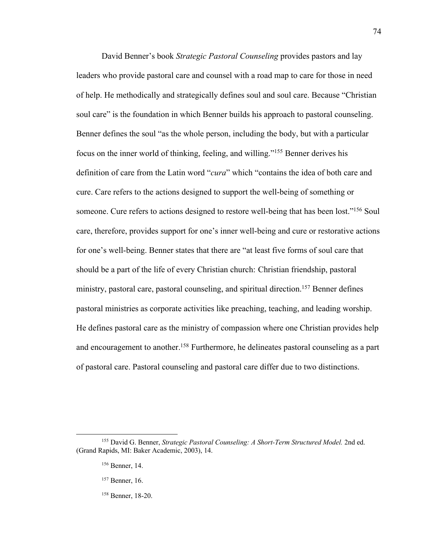David Benner's book *Strategic Pastoral Counseling* provides pastors and lay leaders who provide pastoral care and counsel with a road map to care for those in need of help. He methodically and strategically defines soul and soul care. Because "Christian soul care" is the foundation in which Benner builds his approach to pastoral counseling. Benner defines the soul "as the whole person, including the body, but with a particular focus on the inner world of thinking, feeling, and willing."155 Benner derives his definition of care from the Latin word "*cura*" which "contains the idea of both care and cure. Care refers to the actions designed to support the well-being of something or someone. Cure refers to actions designed to restore well-being that has been lost."<sup>156</sup> Soul care, therefore, provides support for one's inner well-being and cure or restorative actions for one's well-being. Benner states that there are "at least five forms of soul care that should be a part of the life of every Christian church: Christian friendship, pastoral ministry, pastoral care, pastoral counseling, and spiritual direction.<sup>157</sup> Benner defines pastoral ministries as corporate activities like preaching, teaching, and leading worship. He defines pastoral care as the ministry of compassion where one Christian provides help and encouragement to another.<sup>158</sup> Furthermore, he delineates pastoral counseling as a part of pastoral care. Pastoral counseling and pastoral care differ due to two distinctions.

74

<sup>155</sup> David G. Benner, *Strategic Pastoral Counseling: A Short-Term Structured Model.* 2nd ed. (Grand Rapids, MI: Baker Academic, 2003), 14.

<sup>156</sup> Benner, 14.

<sup>157</sup> Benner, 16.

<sup>158</sup> Benner, 18-20.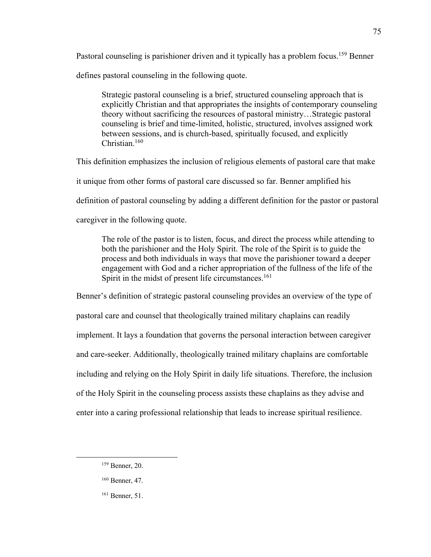Pastoral counseling is parishioner driven and it typically has a problem focus.<sup>159</sup> Benner defines pastoral counseling in the following quote.

Strategic pastoral counseling is a brief, structured counseling approach that is explicitly Christian and that appropriates the insights of contemporary counseling theory without sacrificing the resources of pastoral ministry…Strategic pastoral counseling is brief and time-limited, holistic, structured, involves assigned work between sessions, and is church-based, spiritually focused, and explicitly Christian.160

This definition emphasizes the inclusion of religious elements of pastoral care that make it unique from other forms of pastoral care discussed so far. Benner amplified his

definition of pastoral counseling by adding a different definition for the pastor or pastoral

caregiver in the following quote.

The role of the pastor is to listen, focus, and direct the process while attending to both the parishioner and the Holy Spirit. The role of the Spirit is to guide the process and both individuals in ways that move the parishioner toward a deeper engagement with God and a richer appropriation of the fullness of the life of the Spirit in the midst of present life circumstances.<sup>161</sup>

Benner's definition of strategic pastoral counseling provides an overview of the type of pastoral care and counsel that theologically trained military chaplains can readily implement. It lays a foundation that governs the personal interaction between caregiver and care-seeker. Additionally, theologically trained military chaplains are comfortable including and relying on the Holy Spirit in daily life situations. Therefore, the inclusion of the Holy Spirit in the counseling process assists these chaplains as they advise and enter into a caring professional relationship that leads to increase spiritual resilience.

<sup>159</sup> Benner, 20.

<sup>160</sup> Benner, 47.

<sup>161</sup> Benner, 51.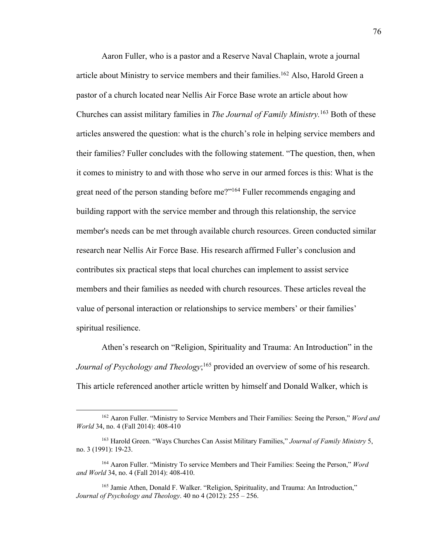Aaron Fuller, who is a pastor and a Reserve Naval Chaplain, wrote a journal article about Ministry to service members and their families.<sup>162</sup> Also, Harold Green a pastor of a church located near Nellis Air Force Base wrote an article about how Churches can assist military families in *The Journal of Family Ministry.* <sup>163</sup> Both of these articles answered the question: what is the church's role in helping service members and their families? Fuller concludes with the following statement. "The question, then, when it comes to ministry to and with those who serve in our armed forces is this: What is the great need of the person standing before me?"164 Fuller recommends engaging and building rapport with the service member and through this relationship, the service member's needs can be met through available church resources. Green conducted similar research near Nellis Air Force Base. His research affirmed Fuller's conclusion and contributes six practical steps that local churches can implement to assist service members and their families as needed with church resources. These articles reveal the value of personal interaction or relationships to service members' or their families' spiritual resilience.

Athen's research on "Religion, Spirituality and Trauma: An Introduction" in the Journal of Psychology and Theology;<sup>165</sup> provided an overview of some of his research. This article referenced another article written by himself and Donald Walker, which is

<sup>162</sup> Aaron Fuller. "Ministry to Service Members and Their Families: Seeing the Person," *Word and World* 34, no. 4 (Fall 2014): 408-410

<sup>163</sup> Harold Green. "Ways Churches Can Assist Military Families," *Journal of Family Ministry* 5, no. 3 (1991): 19-23.

<sup>164</sup> Aaron Fuller. "Ministry To service Members and Their Families: Seeing the Person," *Word and World* 34, no. 4 (Fall 2014): 408-410.

<sup>&</sup>lt;sup>165</sup> Jamie Athen, Donald F. Walker. "Religion, Spirituality, and Trauma: An Introduction," *Journal of Psychology and Theology*. 40 no 4 (2012): 255 – 256.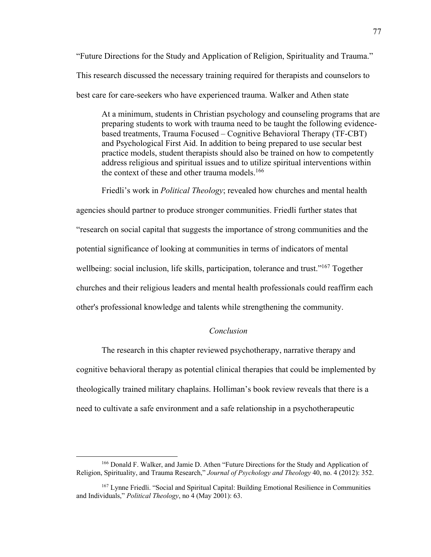"Future Directions for the Study and Application of Religion, Spirituality and Trauma." This research discussed the necessary training required for therapists and counselors to best care for care-seekers who have experienced trauma. Walker and Athen state

At a minimum, students in Christian psychology and counseling programs that are preparing students to work with trauma need to be taught the following evidencebased treatments, Trauma Focused – Cognitive Behavioral Therapy (TF-CBT) and Psychological First Aid. In addition to being prepared to use secular best practice models, student therapists should also be trained on how to competently address religious and spiritual issues and to utilize spiritual interventions within the context of these and other trauma models. $166$ 

Friedli's work in *Political Theology*; revealed how churches and mental health agencies should partner to produce stronger communities. Friedli further states that "research on social capital that suggests the importance of strong communities and the potential significance of looking at communities in terms of indicators of mental wellbeing: social inclusion, life skills, participation, tolerance and trust."<sup>167</sup> Together churches and their religious leaders and mental health professionals could reaffirm each other's professional knowledge and talents while strengthening the community.

# *Conclusion*

The research in this chapter reviewed psychotherapy, narrative therapy and cognitive behavioral therapy as potential clinical therapies that could be implemented by theologically trained military chaplains. Holliman's book review reveals that there is a need to cultivate a safe environment and a safe relationship in a psychotherapeutic

<sup>166</sup> Donald F. Walker, and Jamie D. Athen "Future Directions for the Study and Application of Religion, Spirituality, and Trauma Research," *Journal of Psychology and Theology* 40, no. 4 (2012): 352.

<sup>&</sup>lt;sup>167</sup> Lynne Friedli. "Social and Spiritual Capital: Building Emotional Resilience in Communities and Individuals," *Political Theology*, no 4 (May 2001): 63.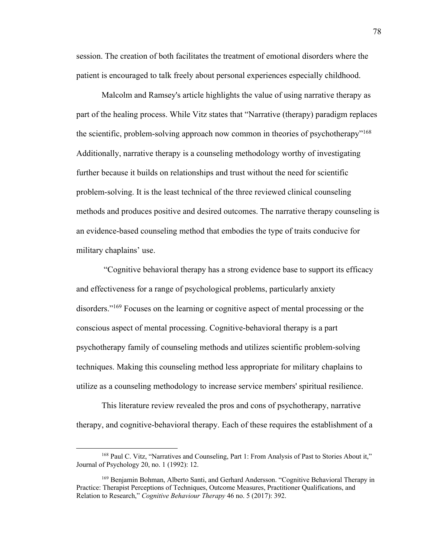session. The creation of both facilitates the treatment of emotional disorders where the patient is encouraged to talk freely about personal experiences especially childhood.

Malcolm and Ramsey's article highlights the value of using narrative therapy as part of the healing process. While Vitz states that "Narrative (therapy) paradigm replaces the scientific, problem-solving approach now common in theories of psychotherapy"<sup>168</sup> Additionally, narrative therapy is a counseling methodology worthy of investigating further because it builds on relationships and trust without the need for scientific problem-solving. It is the least technical of the three reviewed clinical counseling methods and produces positive and desired outcomes. The narrative therapy counseling is an evidence-based counseling method that embodies the type of traits conducive for military chaplains' use.

"Cognitive behavioral therapy has a strong evidence base to support its efficacy and effectiveness for a range of psychological problems, particularly anxiety disorders."169 Focuses on the learning or cognitive aspect of mental processing or the conscious aspect of mental processing. Cognitive-behavioral therapy is a part psychotherapy family of counseling methods and utilizes scientific problem-solving techniques. Making this counseling method less appropriate for military chaplains to utilize as a counseling methodology to increase service members' spiritual resilience.

This literature review revealed the pros and cons of psychotherapy, narrative therapy, and cognitive-behavioral therapy. Each of these requires the establishment of a

<sup>168</sup> Paul C. Vitz, "Narratives and Counseling, Part 1: From Analysis of Past to Stories About it," Journal of Psychology 20, no. 1 (1992): 12.

<sup>&</sup>lt;sup>169</sup> Benjamin Bohman, Alberto Santi, and Gerhard Andersson. "Cognitive Behavioral Therapy in Practice: Therapist Perceptions of Techniques, Outcome Measures, Practitioner Qualifications, and Relation to Research," *Cognitive Behaviour Therapy* 46 no. 5 (2017): 392.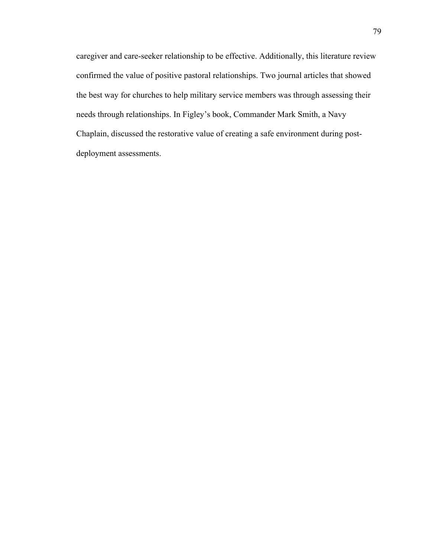caregiver and care-seeker relationship to be effective. Additionally, this literature review confirmed the value of positive pastoral relationships. Two journal articles that showed the best way for churches to help military service members was through assessing their needs through relationships. In Figley's book, Commander Mark Smith, a Navy Chaplain, discussed the restorative value of creating a safe environment during postdeployment assessments.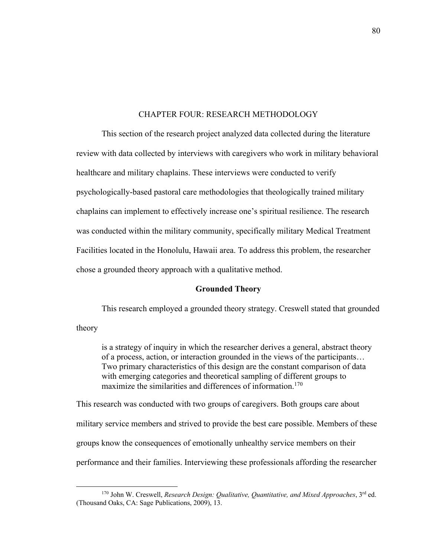### CHAPTER FOUR: RESEARCH METHODOLOGY

This section of the research project analyzed data collected during the literature review with data collected by interviews with caregivers who work in military behavioral healthcare and military chaplains. These interviews were conducted to verify psychologically-based pastoral care methodologies that theologically trained military chaplains can implement to effectively increase one's spiritual resilience. The research was conducted within the military community, specifically military Medical Treatment Facilities located in the Honolulu, Hawaii area. To address this problem, the researcher chose a grounded theory approach with a qualitative method.

#### **Grounded Theory**

This research employed a grounded theory strategy. Creswell stated that grounded

theory

is a strategy of inquiry in which the researcher derives a general, abstract theory of a process, action, or interaction grounded in the views of the participants… Two primary characteristics of this design are the constant comparison of data with emerging categories and theoretical sampling of different groups to maximize the similarities and differences of information.<sup>170</sup>

This research was conducted with two groups of caregivers. Both groups care about military service members and strived to provide the best care possible. Members of these groups know the consequences of emotionally unhealthy service members on their performance and their families. Interviewing these professionals affording the researcher

<sup>170</sup> John W. Creswell, *Research Design: Qualitative, Quantitative, and Mixed Approaches*, 3rd ed. (Thousand Oaks, CA: Sage Publications, 2009), 13.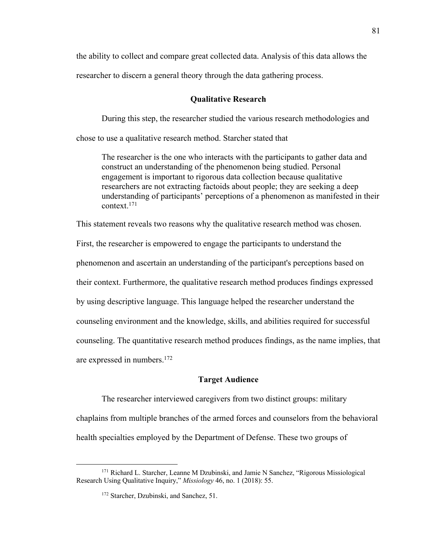the ability to collect and compare great collected data. Analysis of this data allows the researcher to discern a general theory through the data gathering process.

### **Qualitative Research**

During this step, the researcher studied the various research methodologies and

chose to use a qualitative research method. Starcher stated that

The researcher is the one who interacts with the participants to gather data and construct an understanding of the phenomenon being studied. Personal engagement is important to rigorous data collection because qualitative researchers are not extracting factoids about people; they are seeking a deep understanding of participants' perceptions of a phenomenon as manifested in their context.171

This statement reveals two reasons why the qualitative research method was chosen.

First, the researcher is empowered to engage the participants to understand the phenomenon and ascertain an understanding of the participant's perceptions based on their context. Furthermore, the qualitative research method produces findings expressed by using descriptive language. This language helped the researcher understand the counseling environment and the knowledge, skills, and abilities required for successful counseling. The quantitative research method produces findings, as the name implies, that are expressed in numbers.172

### **Target Audience**

The researcher interviewed caregivers from two distinct groups: military chaplains from multiple branches of the armed forces and counselors from the behavioral health specialties employed by the Department of Defense. These two groups of

<sup>171</sup> Richard L. Starcher, Leanne M Dzubinski, and Jamie N Sanchez, "Rigorous Missiological Research Using Qualitative Inquiry," *Missiology* 46, no. 1 (2018): 55.

<sup>&</sup>lt;sup>172</sup> Starcher, Dzubinski, and Sanchez, 51.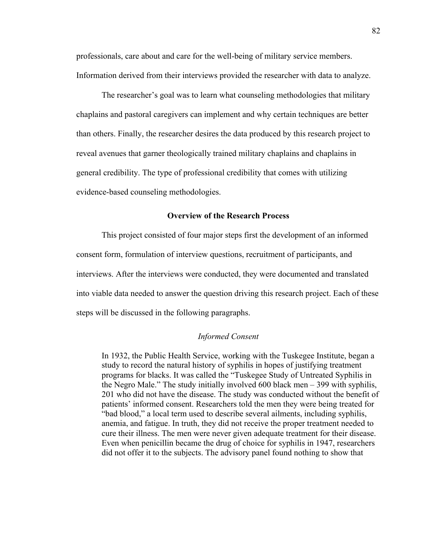professionals, care about and care for the well-being of military service members. Information derived from their interviews provided the researcher with data to analyze.

The researcher's goal was to learn what counseling methodologies that military chaplains and pastoral caregivers can implement and why certain techniques are better than others. Finally, the researcher desires the data produced by this research project to reveal avenues that garner theologically trained military chaplains and chaplains in general credibility. The type of professional credibility that comes with utilizing evidence-based counseling methodologies.

### **Overview of the Research Process**

This project consisted of four major steps first the development of an informed consent form, formulation of interview questions, recruitment of participants, and interviews. After the interviews were conducted, they were documented and translated into viable data needed to answer the question driving this research project. Each of these steps will be discussed in the following paragraphs.

### *Informed Consent*

In 1932, the Public Health Service, working with the Tuskegee Institute, began a study to record the natural history of syphilis in hopes of justifying treatment programs for blacks. It was called the "Tuskegee Study of Untreated Syphilis in the Negro Male." The study initially involved 600 black men – 399 with syphilis, 201 who did not have the disease. The study was conducted without the benefit of patients' informed consent. Researchers told the men they were being treated for "bad blood," a local term used to describe several ailments, including syphilis, anemia, and fatigue. In truth, they did not receive the proper treatment needed to cure their illness. The men were never given adequate treatment for their disease. Even when penicillin became the drug of choice for syphilis in 1947, researchers did not offer it to the subjects. The advisory panel found nothing to show that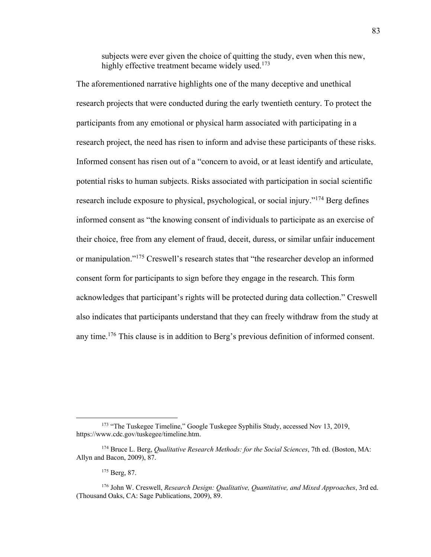subjects were ever given the choice of quitting the study, even when this new, highly effective treatment became widely used.<sup>173</sup>

The aforementioned narrative highlights one of the many deceptive and unethical research projects that were conducted during the early twentieth century. To protect the participants from any emotional or physical harm associated with participating in a research project, the need has risen to inform and advise these participants of these risks. Informed consent has risen out of a "concern to avoid, or at least identify and articulate, potential risks to human subjects. Risks associated with participation in social scientific research include exposure to physical, psychological, or social injury."<sup>174</sup> Berg defines informed consent as "the knowing consent of individuals to participate as an exercise of their choice, free from any element of fraud, deceit, duress, or similar unfair inducement or manipulation."<sup>175</sup> Creswell's research states that "the researcher develop an informed consent form for participants to sign before they engage in the research. This form acknowledges that participant's rights will be protected during data collection." Creswell also indicates that participants understand that they can freely withdraw from the study at any time.176 This clause is in addition to Berg's previous definition of informed consent.

<sup>&</sup>lt;sup>173</sup> "The Tuskegee Timeline," Google Tuskegee Syphilis Study, accessed Nov 13, 2019, https://www.cdc.gov/tuskegee/timeline.htm.

<sup>174</sup> Bruce L. Berg, *Qualitative Research Methods: for the Social Sciences*, 7th ed. (Boston, MA: Allyn and Bacon, 2009), 87.

<sup>175</sup> Berg, 87.

<sup>176</sup> John W. Creswell, *Research Design: Qualitative, Quantitative, and Mixed Approaches*, 3rd ed. (Thousand Oaks, CA: Sage Publications, 2009), 89.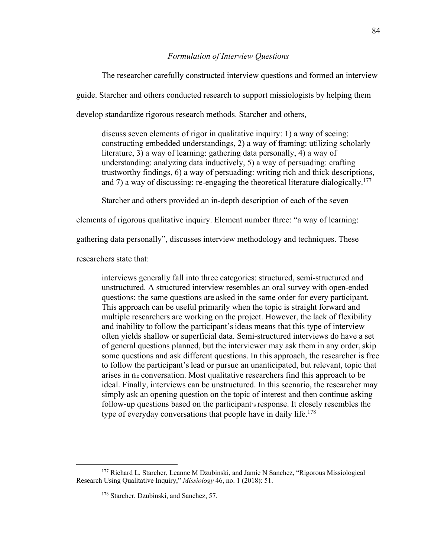### *Formulation of Interview Questions*

The researcher carefully constructed interview questions and formed an interview guide. Starcher and others conducted research to support missiologists by helping them develop standardize rigorous research methods. Starcher and others,

discuss seven elements of rigor in qualitative inquiry: 1) a way of seeing: constructing embedded understandings, 2) a way of framing: utilizing scholarly literature, 3) a way of learning: gathering data personally, 4) a way of understanding: analyzing data inductively, 5) a way of persuading: crafting trustworthy findings, 6) a way of persuading: writing rich and thick descriptions, and 7) a way of discussing: re-engaging the theoretical literature dialogically.<sup>177</sup>

Starcher and others provided an in-depth description of each of the seven

elements of rigorous qualitative inquiry. Element number three: "a way of learning:

gathering data personally", discusses interview methodology and techniques. These

researchers state that:

interviews generally fall into three categories: structured, semi-structured and unstructured. A structured interview resembles an oral survey with open-ended questions: the same questions are asked in the same order for every participant. This approach can be useful primarily when the topic is straight forward and multiple researchers are working on the project. However, the lack of flexibility and inability to follow the participant'sideas means that this type of interview often yields shallow or superficial data. Semi-structured interviews do have a set of general questions planned, but the interviewer may ask them in any order, skip some questions and ask different questions. In this approach, the researcher is free to follow the participant'slead or pursue an unanticipated, but relevant, topic that arises in the conversation. Most qualitative researchers find this approach to be ideal. Finally, interviews can be unstructured. In this scenario, the researcher may simply ask an opening question on the topic of interest and then continue asking follow-up questions based on the participant's response. It closely resembles the type of everyday conversations that people have in daily life.<sup>178</sup>

<sup>&</sup>lt;sup>177</sup> Richard L. Starcher, Leanne M Dzubinski, and Jamie N Sanchez, "Rigorous Missiological Research Using Qualitative Inquiry," *Missiology* 46, no. 1 (2018): 51.

<sup>&</sup>lt;sup>178</sup> Starcher, Dzubinski, and Sanchez, 57.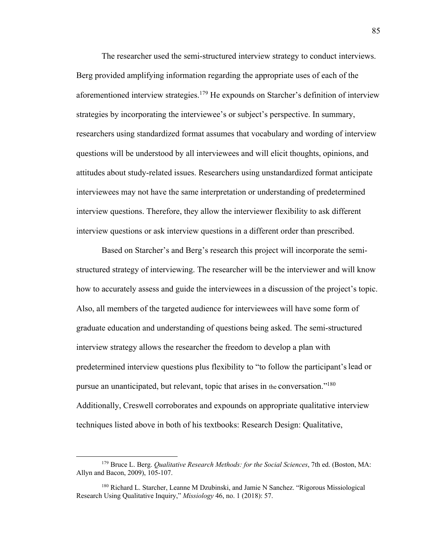The researcher used the semi-structured interview strategy to conduct interviews. Berg provided amplifying information regarding the appropriate uses of each of the aforementioned interview strategies.<sup>179</sup> He expounds on Starcher's definition of interview strategies by incorporating the interviewee's or subject's perspective. In summary, researchers using standardized format assumes that vocabulary and wording of interview questions will be understood by all interviewees and will elicit thoughts, opinions, and attitudes about study-related issues. Researchers using unstandardized format anticipate interviewees may not have the same interpretation or understanding of predetermined interview questions. Therefore, they allow the interviewer flexibility to ask different interview questions or ask interview questions in a different order than prescribed.

Based on Starcher's and Berg's research this project will incorporate the semistructured strategy of interviewing. The researcher will be the interviewer and will know how to accurately assess and guide the interviewees in a discussion of the project's topic. Also, all members of the targeted audience for interviewees will have some form of graduate education and understanding of questions being asked. The semi-structured interview strategy allows the researcher the freedom to develop a plan with predetermined interview questions plus flexibility to "to follow the participant'slead or pursue an unanticipated, but relevant, topic that arises in the conversation."180 Additionally, Creswell corroborates and expounds on appropriate qualitative interview techniques listed above in both of his textbooks: Research Design: Qualitative,

<sup>179</sup> Bruce L. Berg. *Qualitative Research Methods: for the Social Sciences*, 7th ed. (Boston, MA: Allyn and Bacon, 2009), 105-107.

<sup>180</sup> Richard L. Starcher, Leanne M Dzubinski, and Jamie N Sanchez. "Rigorous Missiological Research Using Qualitative Inquiry," *Missiology* 46, no. 1 (2018): 57.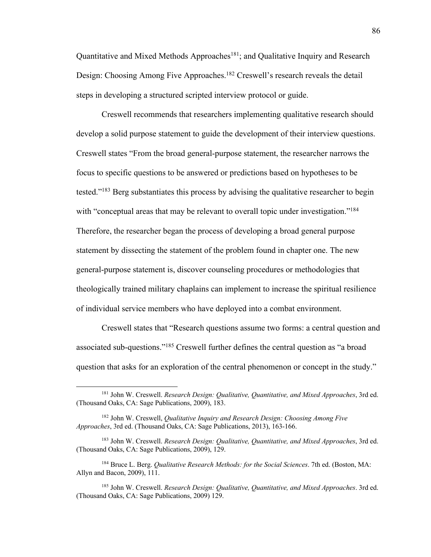Quantitative and Mixed Methods Approaches<sup>181</sup>; and Qualitative Inquiry and Research Design: Choosing Among Five Approaches.<sup>182</sup> Creswell's research reveals the detail steps in developing a structured scripted interview protocol or guide.

Creswell recommends that researchers implementing qualitative research should develop a solid purpose statement to guide the development of their interview questions. Creswell states "From the broad general-purpose statement, the researcher narrows the focus to specific questions to be answered or predictions based on hypotheses to be tested."183 Berg substantiates this process by advising the qualitative researcher to begin with "conceptual areas that may be relevant to overall topic under investigation."<sup>184</sup> Therefore, the researcher began the process of developing a broad general purpose statement by dissecting the statement of the problem found in chapter one. The new general-purpose statement is, discover counseling procedures or methodologies that theologically trained military chaplains can implement to increase the spiritual resilience of individual service members who have deployed into a combat environment.

Creswell states that "Research questions assume two forms: a central question and associated sub-questions."185 Creswell further defines the central question as "a broad question that asks for an exploration of the central phenomenon or concept in the study."

<sup>181</sup> John W. Creswell. *Research Design: Qualitative, Quantitative, and Mixed Approaches*, 3rd ed. (Thousand Oaks, CA: Sage Publications, 2009), 183.

<sup>182</sup> John W. Creswell, *Qualitative Inquiry and Research Design: Choosing Among Five Approaches*, 3rd ed. (Thousand Oaks, CA: Sage Publications, 2013), 163-166.

<sup>183</sup> John W. Creswell. *Research Design: Qualitative, Quantitative, and Mixed Approaches*, 3rd ed. (Thousand Oaks, CA: Sage Publications, 2009), 129.

<sup>184</sup> Bruce L. Berg. *Qualitative Research Methods: for the Social Sciences*. 7th ed. (Boston, MA: Allyn and Bacon, 2009), 111.

<sup>185</sup> John W. Creswell. *Research Design: Qualitative, Quantitative, and Mixed Approaches*. 3rd ed. (Thousand Oaks, CA: Sage Publications, 2009) 129.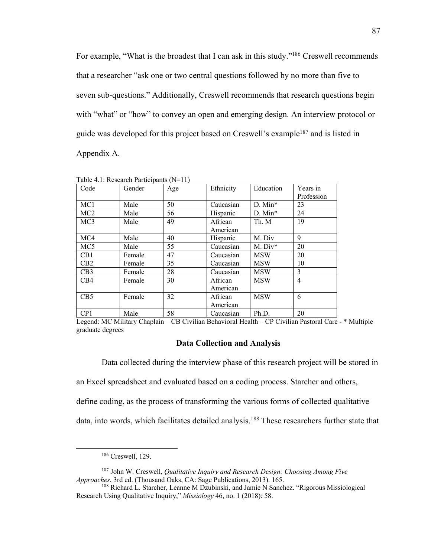For example, "What is the broadest that I can ask in this study."<sup>186</sup> Creswell recommends that a researcher "ask one or two central questions followed by no more than five to seven sub-questions." Additionally, Creswell recommends that research questions begin with "what" or "how" to convey an open and emerging design. An interview protocol or guide was developed for this project based on Creswell's example187 and is listed in Appendix A.

| Code             | Gender | Age | Ethnicity           | Education             | Years in<br>Profession |
|------------------|--------|-----|---------------------|-----------------------|------------------------|
| MC <sub>1</sub>  | Male   | 50  | Caucasian           | $D.$ Min <sup>*</sup> | 23                     |
| MC <sub>2</sub>  | Male   | 56  | Hispanic            | $D.$ Min <sup>*</sup> | 24                     |
| MC <sub>3</sub>  | Male   | 49  | African<br>American | Th. M                 | 19                     |
| MC4              | Male   | 40  | Hispanic            | M. Div                | 9                      |
| MC <sub>5</sub>  | Male   | 55  | Caucasian           | $M. Div^*$            | 20                     |
| C <sub>B</sub> 1 | Female | 47  | Caucasian           | <b>MSW</b>            | 20                     |
| CB2              | Female | 35  | Caucasian           | <b>MSW</b>            | 10                     |
| CB3              | Female | 28  | Caucasian           | <b>MSW</b>            | 3                      |
| CB4              | Female | 30  | African<br>American | <b>MSW</b>            | $\overline{4}$         |
| CB <sub>5</sub>  | Female | 32  | African<br>American | <b>MSW</b>            | 6                      |
| CP1              | Male   | 58  | Caucasian           | Ph.D.                 | 20                     |

Table 4.1: Research Participants (N=11)

Legend: MC Military Chaplain – CB Civilian Behavioral Health – CP Civilian Pastoral Care - \* Multiple graduate degrees

### **Data Collection and Analysis**

Data collected during the interview phase of this research project will be stored in

an Excel spreadsheet and evaluated based on a coding process. Starcher and others,

define coding, as the process of transforming the various forms of collected qualitative

data, into words, which facilitates detailed analysis.<sup>188</sup> These researchers further state that

<sup>186</sup> Creswell, 129.

<sup>187</sup> John W. Creswell, *Qualitative Inquiry and Research Design: Choosing Among Five Approaches*, 3rd ed. (Thousand Oaks, CA: Sage Publications, 2013). 165.

<sup>&</sup>lt;sup>188</sup> Richard L. Starcher, Leanne M Dzubinski, and Jamie N Sanchez. "Rigorous Missiological Research Using Qualitative Inquiry," *Missiology* 46, no. 1 (2018): 58.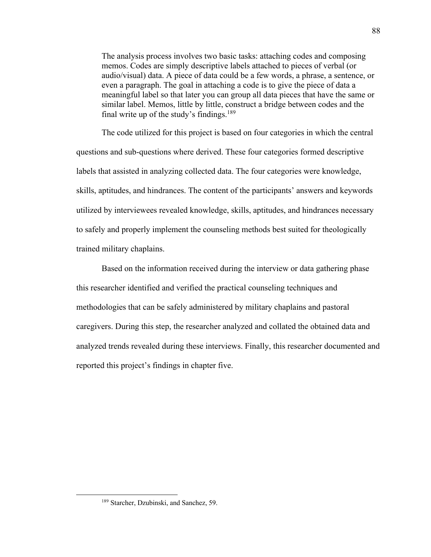The analysis process involves two basic tasks: attaching codes and composing memos. Codes are simply descriptive labels attached to pieces of verbal (or audio/visual) data. A piece of data could be a few words, a phrase, a sentence, or even a paragraph. The goal in attaching a code is to give the piece of data a meaningful label so that later you can group all data pieces that have the same or similar label. Memos, little by little, construct a bridge between codes and the final write up of the study's findings.<sup>189</sup>

The code utilized for this project is based on four categories in which the central questions and sub-questions where derived. These four categories formed descriptive labels that assisted in analyzing collected data. The four categories were knowledge, skills, aptitudes, and hindrances. The content of the participants' answers and keywords utilized by interviewees revealed knowledge, skills, aptitudes, and hindrances necessary to safely and properly implement the counseling methods best suited for theologically trained military chaplains.

Based on the information received during the interview or data gathering phase this researcher identified and verified the practical counseling techniques and methodologies that can be safely administered by military chaplains and pastoral caregivers. During this step, the researcher analyzed and collated the obtained data and analyzed trends revealed during these interviews. Finally, this researcher documented and reported this project's findings in chapter five.

<sup>&</sup>lt;sup>189</sup> Starcher, Dzubinski, and Sanchez, 59.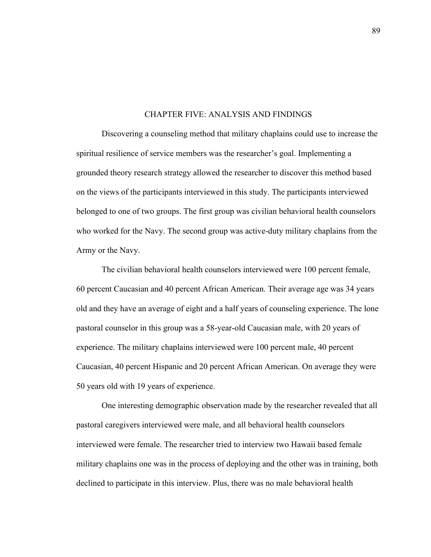#### CHAPTER FIVE: ANALYSIS AND FINDINGS

Discovering a counseling method that military chaplains could use to increase the spiritual resilience of service members was the researcher's goal. Implementing a grounded theory research strategy allowed the researcher to discover this method based on the views of the participants interviewed in this study. The participants interviewed belonged to one of two groups. The first group was civilian behavioral health counselors who worked for the Navy. The second group was active-duty military chaplains from the Army or the Navy.

The civilian behavioral health counselors interviewed were 100 percent female, 60 percent Caucasian and 40 percent African American. Their average age was 34 years old and they have an average of eight and a half years of counseling experience. The lone pastoral counselor in this group was a 58-year-old Caucasian male, with 20 years of experience. The military chaplains interviewed were 100 percent male, 40 percent Caucasian, 40 percent Hispanic and 20 percent African American. On average they were 50 years old with 19 years of experience.

One interesting demographic observation made by the researcher revealed that all pastoral caregivers interviewed were male, and all behavioral health counselors interviewed were female. The researcher tried to interview two Hawaii based female military chaplains one was in the process of deploying and the other was in training, both declined to participate in this interview. Plus, there was no male behavioral health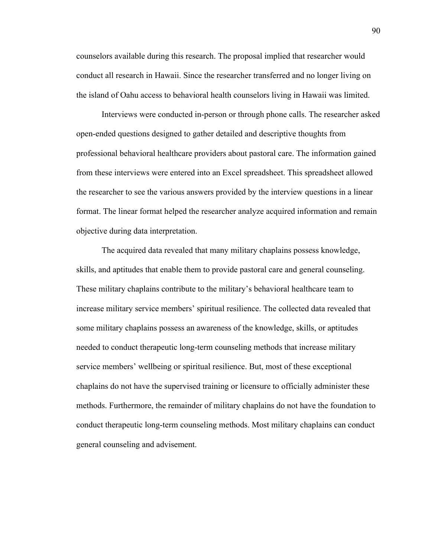counselors available during this research. The proposal implied that researcher would conduct all research in Hawaii. Since the researcher transferred and no longer living on the island of Oahu access to behavioral health counselors living in Hawaii was limited.

Interviews were conducted in-person or through phone calls. The researcher asked open-ended questions designed to gather detailed and descriptive thoughts from professional behavioral healthcare providers about pastoral care. The information gained from these interviews were entered into an Excel spreadsheet. This spreadsheet allowed the researcher to see the various answers provided by the interview questions in a linear format. The linear format helped the researcher analyze acquired information and remain objective during data interpretation.

The acquired data revealed that many military chaplains possess knowledge, skills, and aptitudes that enable them to provide pastoral care and general counseling. These military chaplains contribute to the military's behavioral healthcare team to increase military service members' spiritual resilience. The collected data revealed that some military chaplains possess an awareness of the knowledge, skills, or aptitudes needed to conduct therapeutic long-term counseling methods that increase military service members' wellbeing or spiritual resilience. But, most of these exceptional chaplains do not have the supervised training or licensure to officially administer these methods. Furthermore, the remainder of military chaplains do not have the foundation to conduct therapeutic long-term counseling methods. Most military chaplains can conduct general counseling and advisement.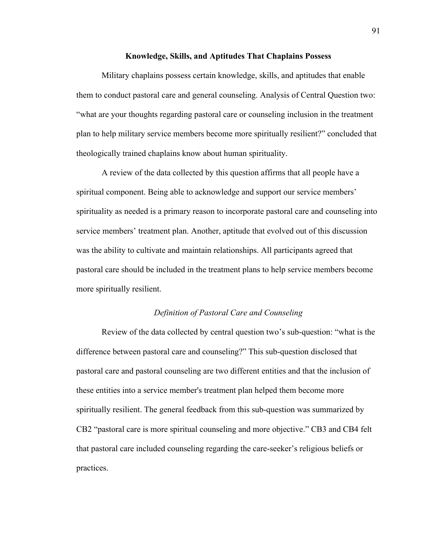### **Knowledge, Skills, and Aptitudes That Chaplains Possess**

Military chaplains possess certain knowledge, skills, and aptitudes that enable them to conduct pastoral care and general counseling. Analysis of Central Question two: "what are your thoughts regarding pastoral care or counseling inclusion in the treatment plan to help military service members become more spiritually resilient?" concluded that theologically trained chaplains know about human spirituality.

A review of the data collected by this question affirms that all people have a spiritual component. Being able to acknowledge and support our service members' spirituality as needed is a primary reason to incorporate pastoral care and counseling into service members' treatment plan. Another, aptitude that evolved out of this discussion was the ability to cultivate and maintain relationships. All participants agreed that pastoral care should be included in the treatment plans to help service members become more spiritually resilient.

## *Definition of Pastoral Care and Counseling*

Review of the data collected by central question two's sub-question: "what is the difference between pastoral care and counseling?" This sub-question disclosed that pastoral care and pastoral counseling are two different entities and that the inclusion of these entities into a service member's treatment plan helped them become more spiritually resilient. The general feedback from this sub-question was summarized by CB2 "pastoral care is more spiritual counseling and more objective." CB3 and CB4 felt that pastoral care included counseling regarding the care-seeker's religious beliefs or practices.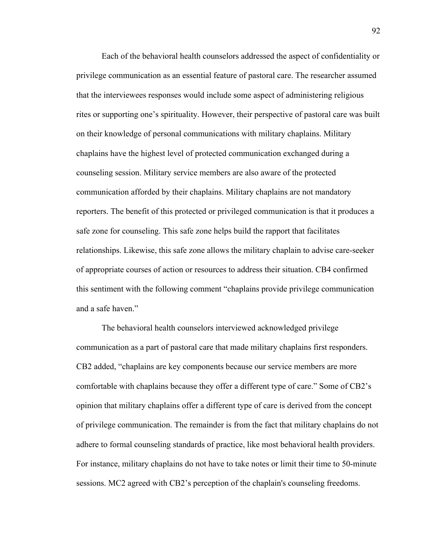Each of the behavioral health counselors addressed the aspect of confidentiality or privilege communication as an essential feature of pastoral care. The researcher assumed that the interviewees responses would include some aspect of administering religious rites or supporting one's spirituality. However, their perspective of pastoral care was built on their knowledge of personal communications with military chaplains. Military chaplains have the highest level of protected communication exchanged during a counseling session. Military service members are also aware of the protected communication afforded by their chaplains. Military chaplains are not mandatory reporters. The benefit of this protected or privileged communication is that it produces a safe zone for counseling. This safe zone helps build the rapport that facilitates relationships. Likewise, this safe zone allows the military chaplain to advise care-seeker of appropriate courses of action or resources to address their situation. CB4 confirmed this sentiment with the following comment "chaplains provide privilege communication and a safe haven."

The behavioral health counselors interviewed acknowledged privilege communication as a part of pastoral care that made military chaplains first responders. CB2 added, "chaplains are key components because our service members are more comfortable with chaplains because they offer a different type of care." Some of CB2's opinion that military chaplains offer a different type of care is derived from the concept of privilege communication. The remainder is from the fact that military chaplains do not adhere to formal counseling standards of practice, like most behavioral health providers. For instance, military chaplains do not have to take notes or limit their time to 50-minute sessions. MC2 agreed with CB2's perception of the chaplain's counseling freedoms.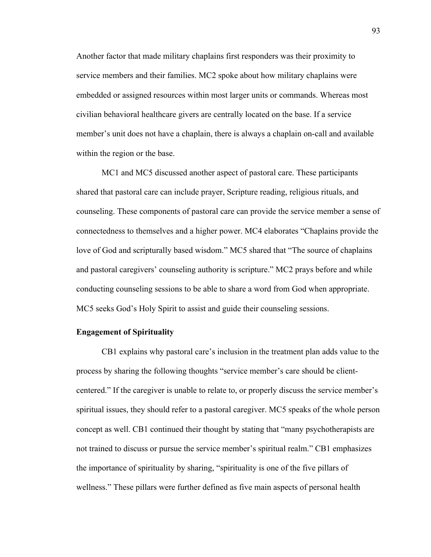Another factor that made military chaplains first responders was their proximity to service members and their families. MC2 spoke about how military chaplains were embedded or assigned resources within most larger units or commands. Whereas most civilian behavioral healthcare givers are centrally located on the base. If a service member's unit does not have a chaplain, there is always a chaplain on-call and available within the region or the base.

MC1 and MC5 discussed another aspect of pastoral care. These participants shared that pastoral care can include prayer, Scripture reading, religious rituals, and counseling. These components of pastoral care can provide the service member a sense of connectedness to themselves and a higher power. MC4 elaborates "Chaplains provide the love of God and scripturally based wisdom." MC5 shared that "The source of chaplains and pastoral caregivers' counseling authority is scripture." MC2 prays before and while conducting counseling sessions to be able to share a word from God when appropriate. MC5 seeks God's Holy Spirit to assist and guide their counseling sessions.

### **Engagement of Spirituality**

CB1 explains why pastoral care's inclusion in the treatment plan adds value to the process by sharing the following thoughts "service member's care should be clientcentered." If the caregiver is unable to relate to, or properly discuss the service member's spiritual issues, they should refer to a pastoral caregiver. MC5 speaks of the whole person concept as well. CB1 continued their thought by stating that "many psychotherapists are not trained to discuss or pursue the service member's spiritual realm." CB1 emphasizes the importance of spirituality by sharing, "spirituality is one of the five pillars of wellness." These pillars were further defined as five main aspects of personal health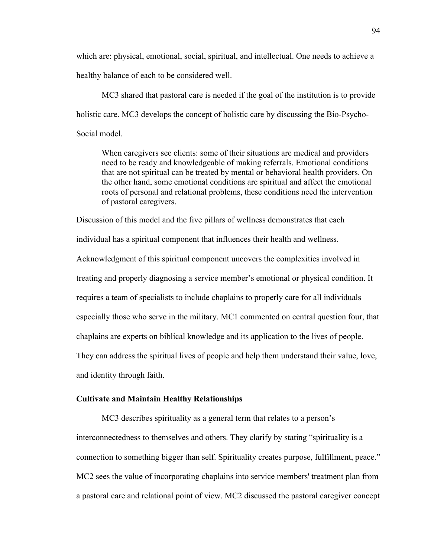which are: physical, emotional, social, spiritual, and intellectual. One needs to achieve a healthy balance of each to be considered well.

MC3 shared that pastoral care is needed if the goal of the institution is to provide holistic care. MC3 develops the concept of holistic care by discussing the Bio-Psycho-Social model.

When caregivers see clients: some of their situations are medical and providers need to be ready and knowledgeable of making referrals. Emotional conditions that are not spiritual can be treated by mental or behavioral health providers. On the other hand, some emotional conditions are spiritual and affect the emotional roots of personal and relational problems, these conditions need the intervention of pastoral caregivers.

Discussion of this model and the five pillars of wellness demonstrates that each individual has a spiritual component that influences their health and wellness. Acknowledgment of this spiritual component uncovers the complexities involved in treating and properly diagnosing a service member's emotional or physical condition. It requires a team of specialists to include chaplains to properly care for all individuals especially those who serve in the military. MC1 commented on central question four, that chaplains are experts on biblical knowledge and its application to the lives of people. They can address the spiritual lives of people and help them understand their value, love, and identity through faith.

## **Cultivate and Maintain Healthy Relationships**

MC3 describes spirituality as a general term that relates to a person's interconnectedness to themselves and others. They clarify by stating "spirituality is a connection to something bigger than self. Spirituality creates purpose, fulfillment, peace." MC2 sees the value of incorporating chaplains into service members' treatment plan from a pastoral care and relational point of view. MC2 discussed the pastoral caregiver concept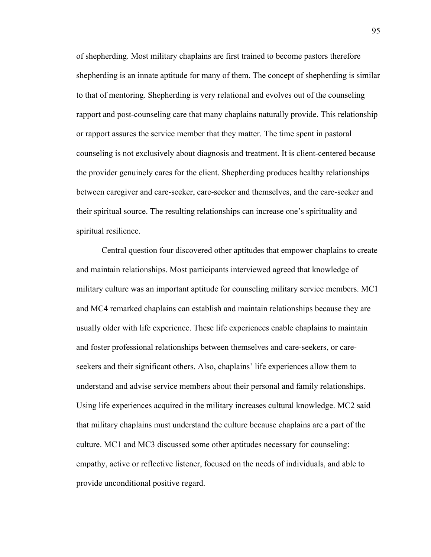of shepherding. Most military chaplains are first trained to become pastors therefore shepherding is an innate aptitude for many of them. The concept of shepherding is similar to that of mentoring. Shepherding is very relational and evolves out of the counseling rapport and post-counseling care that many chaplains naturally provide. This relationship or rapport assures the service member that they matter. The time spent in pastoral counseling is not exclusively about diagnosis and treatment. It is client-centered because the provider genuinely cares for the client. Shepherding produces healthy relationships between caregiver and care-seeker, care-seeker and themselves, and the care-seeker and their spiritual source. The resulting relationships can increase one's spirituality and spiritual resilience.

Central question four discovered other aptitudes that empower chaplains to create and maintain relationships. Most participants interviewed agreed that knowledge of military culture was an important aptitude for counseling military service members. MC1 and MC4 remarked chaplains can establish and maintain relationships because they are usually older with life experience. These life experiences enable chaplains to maintain and foster professional relationships between themselves and care-seekers, or careseekers and their significant others. Also, chaplains' life experiences allow them to understand and advise service members about their personal and family relationships. Using life experiences acquired in the military increases cultural knowledge. MC2 said that military chaplains must understand the culture because chaplains are a part of the culture. MC1 and MC3 discussed some other aptitudes necessary for counseling: empathy, active or reflective listener, focused on the needs of individuals, and able to provide unconditional positive regard.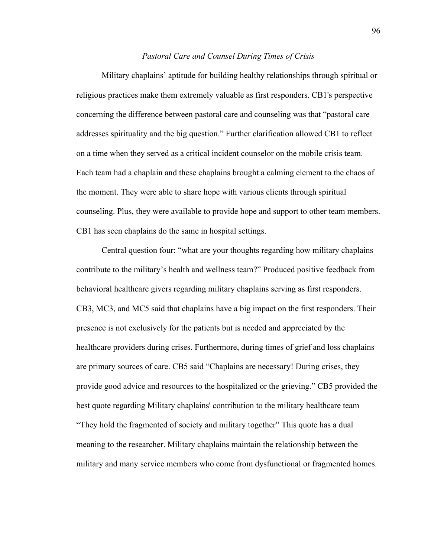### *Pastoral Care and Counsel During Times of Crisis*

Military chaplains' aptitude for building healthy relationships through spiritual or religious practices make them extremely valuable as first responders. CB1's perspective concerning the difference between pastoral care and counseling was that "pastoral care addresses spirituality and the big question." Further clarification allowed CB1 to reflect on a time when they served as a critical incident counselor on the mobile crisis team. Each team had a chaplain and these chaplains brought a calming element to the chaos of the moment. They were able to share hope with various clients through spiritual counseling. Plus, they were available to provide hope and support to other team members. CB1 has seen chaplains do the same in hospital settings.

Central question four: "what are your thoughts regarding how military chaplains contribute to the military's health and wellness team?" Produced positive feedback from behavioral healthcare givers regarding military chaplains serving as first responders. CB3, MC3, and MC5 said that chaplains have a big impact on the first responders. Their presence is not exclusively for the patients but is needed and appreciated by the healthcare providers during crises. Furthermore, during times of grief and loss chaplains are primary sources of care. CB5 said "Chaplains are necessary! During crises, they provide good advice and resources to the hospitalized or the grieving." CB5 provided the best quote regarding Military chaplains' contribution to the military healthcare team "They hold the fragmented of society and military together" This quote has a dual meaning to the researcher. Military chaplains maintain the relationship between the military and many service members who come from dysfunctional or fragmented homes.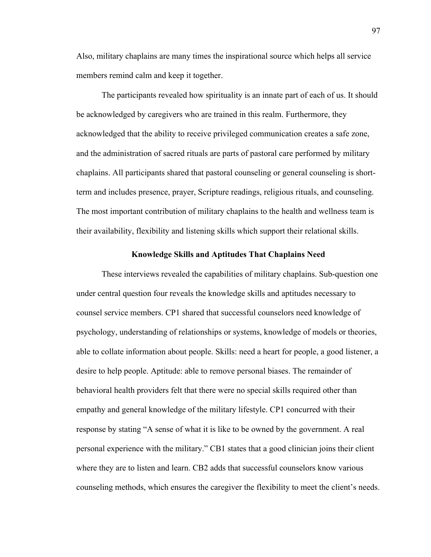Also, military chaplains are many times the inspirational source which helps all service members remind calm and keep it together.

The participants revealed how spirituality is an innate part of each of us. It should be acknowledged by caregivers who are trained in this realm. Furthermore, they acknowledged that the ability to receive privileged communication creates a safe zone, and the administration of sacred rituals are parts of pastoral care performed by military chaplains. All participants shared that pastoral counseling or general counseling is shortterm and includes presence, prayer, Scripture readings, religious rituals, and counseling. The most important contribution of military chaplains to the health and wellness team is their availability, flexibility and listening skills which support their relational skills.

### **Knowledge Skills and Aptitudes That Chaplains Need**

These interviews revealed the capabilities of military chaplains. Sub-question one under central question four reveals the knowledge skills and aptitudes necessary to counsel service members. CP1 shared that successful counselors need knowledge of psychology, understanding of relationships or systems, knowledge of models or theories, able to collate information about people. Skills: need a heart for people, a good listener, a desire to help people. Aptitude: able to remove personal biases. The remainder of behavioral health providers felt that there were no special skills required other than empathy and general knowledge of the military lifestyle. CP1 concurred with their response by stating "A sense of what it is like to be owned by the government. A real personal experience with the military." CB1 states that a good clinician joins their client where they are to listen and learn. CB2 adds that successful counselors know various counseling methods, which ensures the caregiver the flexibility to meet the client's needs.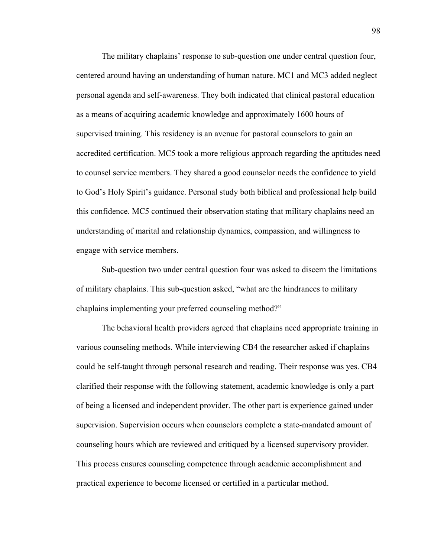The military chaplains' response to sub-question one under central question four, centered around having an understanding of human nature. MC1 and MC3 added neglect personal agenda and self-awareness. They both indicated that clinical pastoral education as a means of acquiring academic knowledge and approximately 1600 hours of supervised training. This residency is an avenue for pastoral counselors to gain an accredited certification. MC5 took a more religious approach regarding the aptitudes need to counsel service members. They shared a good counselor needs the confidence to yield to God's Holy Spirit's guidance. Personal study both biblical and professional help build this confidence. MC5 continued their observation stating that military chaplains need an understanding of marital and relationship dynamics, compassion, and willingness to engage with service members.

Sub-question two under central question four was asked to discern the limitations of military chaplains. This sub-question asked, "what are the hindrances to military chaplains implementing your preferred counseling method?"

The behavioral health providers agreed that chaplains need appropriate training in various counseling methods. While interviewing CB4 the researcher asked if chaplains could be self-taught through personal research and reading. Their response was yes. CB4 clarified their response with the following statement, academic knowledge is only a part of being a licensed and independent provider. The other part is experience gained under supervision. Supervision occurs when counselors complete a state-mandated amount of counseling hours which are reviewed and critiqued by a licensed supervisory provider. This process ensures counseling competence through academic accomplishment and practical experience to become licensed or certified in a particular method.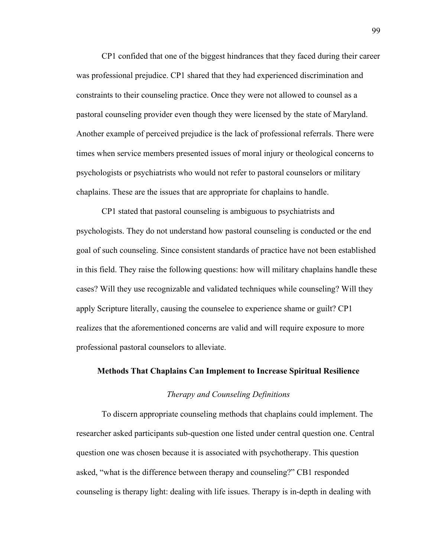CP1 confided that one of the biggest hindrances that they faced during their career was professional prejudice. CP1 shared that they had experienced discrimination and constraints to their counseling practice. Once they were not allowed to counsel as a pastoral counseling provider even though they were licensed by the state of Maryland. Another example of perceived prejudice is the lack of professional referrals. There were times when service members presented issues of moral injury or theological concerns to psychologists or psychiatrists who would not refer to pastoral counselors or military chaplains. These are the issues that are appropriate for chaplains to handle.

CP1 stated that pastoral counseling is ambiguous to psychiatrists and psychologists. They do not understand how pastoral counseling is conducted or the end goal of such counseling. Since consistent standards of practice have not been established in this field. They raise the following questions: how will military chaplains handle these cases? Will they use recognizable and validated techniques while counseling? Will they apply Scripture literally, causing the counselee to experience shame or guilt? CP1 realizes that the aforementioned concerns are valid and will require exposure to more professional pastoral counselors to alleviate.

# **Methods That Chaplains Can Implement to Increase Spiritual Resilience**

### *Therapy and Counseling Definitions*

To discern appropriate counseling methods that chaplains could implement. The researcher asked participants sub-question one listed under central question one. Central question one was chosen because it is associated with psychotherapy. This question asked, "what is the difference between therapy and counseling?" CB1 responded counseling is therapy light: dealing with life issues. Therapy is in-depth in dealing with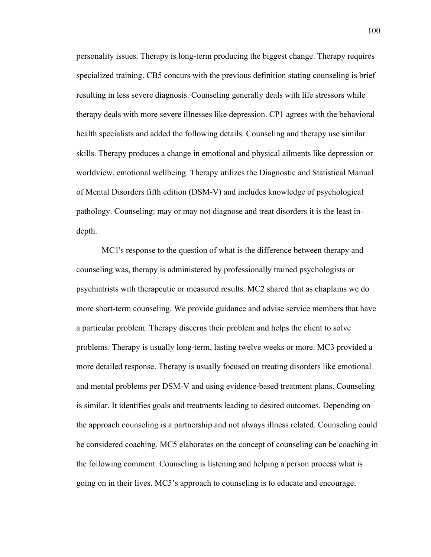personality issues. Therapy is long-term producing the biggest change. Therapy requires specialized training. CB5 concurs with the previous definition stating counseling is brief resulting in less severe diagnosis. Counseling generally deals with life stressors while therapy deals with more severe illnesses like depression. CP1 agrees with the behavioral health specialists and added the following details. Counseling and therapy use similar skills. Therapy produces a change in emotional and physical ailments like depression or worldview, emotional wellbeing. Therapy utilizes the Diagnostic and Statistical Manual of Mental Disorders fifth edition (DSM-V) and includes knowledge of psychological pathology. Counseling: may or may not diagnose and treat disorders it is the least indepth.

MC1's response to the question of what is the difference between therapy and counseling was, therapy is administered by professionally trained psychologists or psychiatrists with therapeutic or measured results. MC2 shared that as chaplains we do more short-term counseling. We provide guidance and advise service members that have a particular problem. Therapy discerns their problem and helps the client to solve problems. Therapy is usually long-term, lasting twelve weeks or more. MC3 provided a more detailed response. Therapy is usually focused on treating disorders like emotional and mental problems per DSM-V and using evidence-based treatment plans. Counseling is similar. It identifies goals and treatments leading to desired outcomes. Depending on the approach counseling is a partnership and not always illness related. Counseling could be considered coaching. MC5 elaborates on the concept of counseling can be coaching in the following comment. Counseling is listening and helping a person process what is going on in their lives. MC5's approach to counseling is to educate and encourage.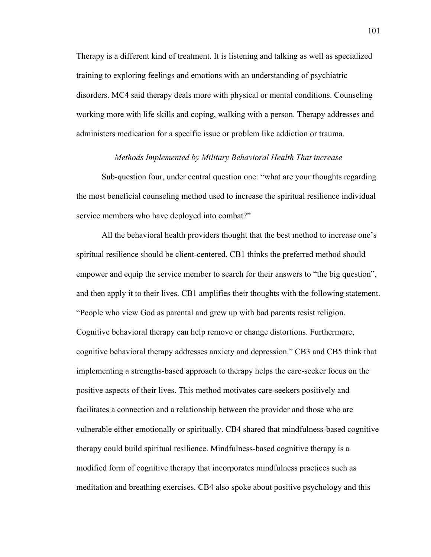Therapy is a different kind of treatment. It is listening and talking as well as specialized training to exploring feelings and emotions with an understanding of psychiatric disorders. MC4 said therapy deals more with physical or mental conditions. Counseling working more with life skills and coping, walking with a person. Therapy addresses and administers medication for a specific issue or problem like addiction or trauma.

#### *Methods Implemented by Military Behavioral Health That increase*

Sub-question four, under central question one: "what are your thoughts regarding the most beneficial counseling method used to increase the spiritual resilience individual service members who have deployed into combat?"

All the behavioral health providers thought that the best method to increase one's spiritual resilience should be client-centered. CB1 thinks the preferred method should empower and equip the service member to search for their answers to "the big question", and then apply it to their lives. CB1 amplifies their thoughts with the following statement. "People who view God as parental and grew up with bad parents resist religion. Cognitive behavioral therapy can help remove or change distortions. Furthermore, cognitive behavioral therapy addresses anxiety and depression." CB3 and CB5 think that implementing a strengths-based approach to therapy helps the care-seeker focus on the positive aspects of their lives. This method motivates care-seekers positively and facilitates a connection and a relationship between the provider and those who are vulnerable either emotionally or spiritually. CB4 shared that mindfulness-based cognitive therapy could build spiritual resilience. Mindfulness-based cognitive therapy is a modified form of cognitive therapy that incorporates mindfulness practices such as meditation and breathing exercises. CB4 also spoke about positive psychology and this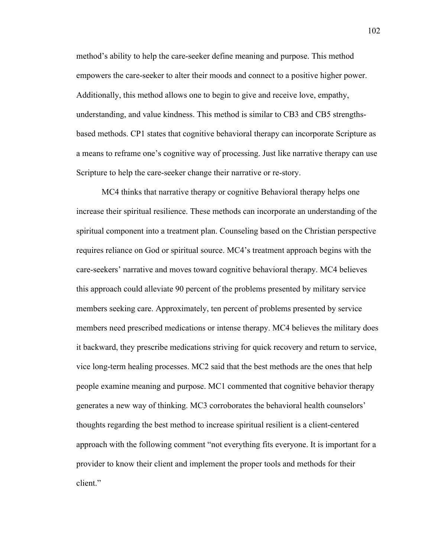method's ability to help the care-seeker define meaning and purpose. This method empowers the care-seeker to alter their moods and connect to a positive higher power. Additionally, this method allows one to begin to give and receive love, empathy, understanding, and value kindness. This method is similar to CB3 and CB5 strengthsbased methods. CP1 states that cognitive behavioral therapy can incorporate Scripture as a means to reframe one's cognitive way of processing. Just like narrative therapy can use Scripture to help the care-seeker change their narrative or re-story.

MC4 thinks that narrative therapy or cognitive Behavioral therapy helps one increase their spiritual resilience. These methods can incorporate an understanding of the spiritual component into a treatment plan. Counseling based on the Christian perspective requires reliance on God or spiritual source. MC4's treatment approach begins with the care-seekers' narrative and moves toward cognitive behavioral therapy. MC4 believes this approach could alleviate 90 percent of the problems presented by military service members seeking care. Approximately, ten percent of problems presented by service members need prescribed medications or intense therapy. MC4 believes the military does it backward, they prescribe medications striving for quick recovery and return to service, vice long-term healing processes. MC2 said that the best methods are the ones that help people examine meaning and purpose. MC1 commented that cognitive behavior therapy generates a new way of thinking. MC3 corroborates the behavioral health counselors' thoughts regarding the best method to increase spiritual resilient is a client-centered approach with the following comment "not everything fits everyone. It is important for a provider to know their client and implement the proper tools and methods for their client."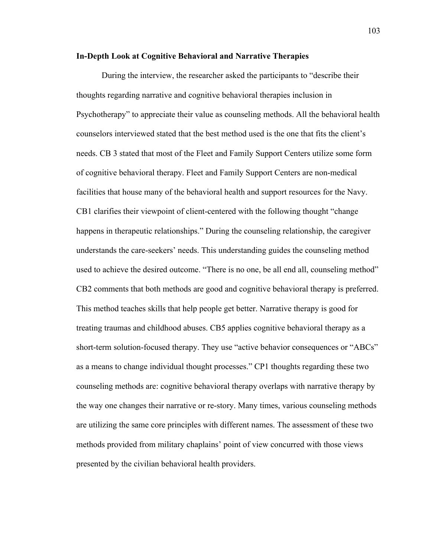### **In-Depth Look at Cognitive Behavioral and Narrative Therapies**

During the interview, the researcher asked the participants to "describe their thoughts regarding narrative and cognitive behavioral therapies inclusion in Psychotherapy" to appreciate their value as counseling methods. All the behavioral health counselors interviewed stated that the best method used is the one that fits the client's needs. CB 3 stated that most of the Fleet and Family Support Centers utilize some form of cognitive behavioral therapy. Fleet and Family Support Centers are non-medical facilities that house many of the behavioral health and support resources for the Navy. CB1 clarifies their viewpoint of client-centered with the following thought "change happens in therapeutic relationships." During the counseling relationship, the caregiver understands the care-seekers' needs. This understanding guides the counseling method used to achieve the desired outcome. "There is no one, be all end all, counseling method" CB2 comments that both methods are good and cognitive behavioral therapy is preferred. This method teaches skills that help people get better. Narrative therapy is good for treating traumas and childhood abuses. CB5 applies cognitive behavioral therapy as a short-term solution-focused therapy. They use "active behavior consequences or "ABCs" as a means to change individual thought processes." CP1 thoughts regarding these two counseling methods are: cognitive behavioral therapy overlaps with narrative therapy by the way one changes their narrative or re-story. Many times, various counseling methods are utilizing the same core principles with different names. The assessment of these two methods provided from military chaplains' point of view concurred with those views presented by the civilian behavioral health providers.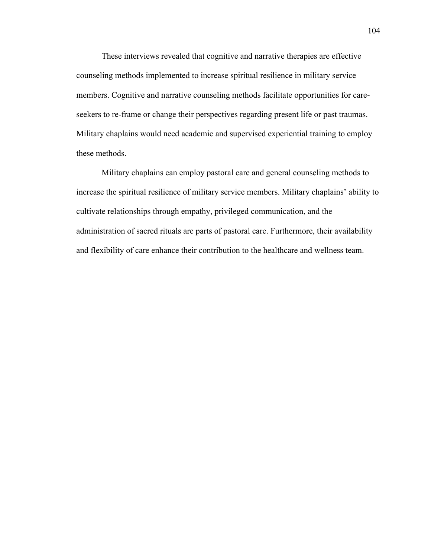These interviews revealed that cognitive and narrative therapies are effective counseling methods implemented to increase spiritual resilience in military service members. Cognitive and narrative counseling methods facilitate opportunities for careseekers to re-frame or change their perspectives regarding present life or past traumas. Military chaplains would need academic and supervised experiential training to employ these methods.

Military chaplains can employ pastoral care and general counseling methods to increase the spiritual resilience of military service members. Military chaplains' ability to cultivate relationships through empathy, privileged communication, and the administration of sacred rituals are parts of pastoral care. Furthermore, their availability and flexibility of care enhance their contribution to the healthcare and wellness team.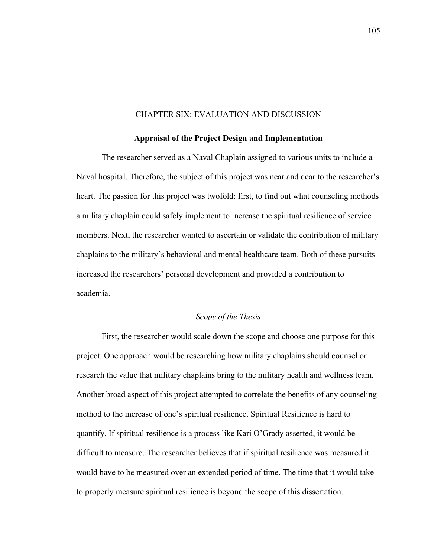#### CHAPTER SIX: EVALUATION AND DISCUSSION

#### **Appraisal of the Project Design and Implementation**

The researcher served as a Naval Chaplain assigned to various units to include a Naval hospital. Therefore, the subject of this project was near and dear to the researcher's heart. The passion for this project was twofold: first, to find out what counseling methods a military chaplain could safely implement to increase the spiritual resilience of service members. Next, the researcher wanted to ascertain or validate the contribution of military chaplains to the military's behavioral and mental healthcare team. Both of these pursuits increased the researchers' personal development and provided a contribution to academia.

# *Scope of the Thesis*

First, the researcher would scale down the scope and choose one purpose for this project. One approach would be researching how military chaplains should counsel or research the value that military chaplains bring to the military health and wellness team. Another broad aspect of this project attempted to correlate the benefits of any counseling method to the increase of one's spiritual resilience. Spiritual Resilience is hard to quantify. If spiritual resilience is a process like Kari O'Grady asserted, it would be difficult to measure. The researcher believes that if spiritual resilience was measured it would have to be measured over an extended period of time. The time that it would take to properly measure spiritual resilience is beyond the scope of this dissertation.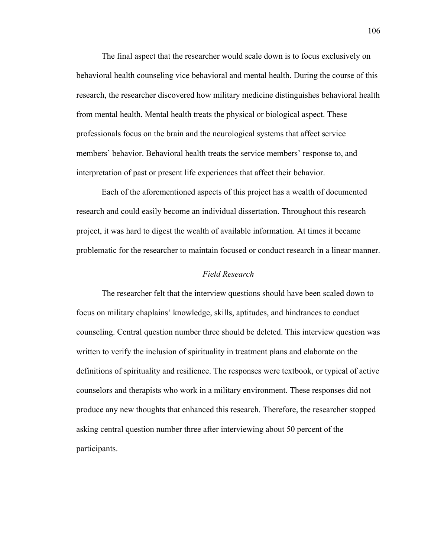The final aspect that the researcher would scale down is to focus exclusively on behavioral health counseling vice behavioral and mental health. During the course of this research, the researcher discovered how military medicine distinguishes behavioral health from mental health. Mental health treats the physical or biological aspect. These professionals focus on the brain and the neurological systems that affect service members' behavior. Behavioral health treats the service members' response to, and interpretation of past or present life experiences that affect their behavior.

Each of the aforementioned aspects of this project has a wealth of documented research and could easily become an individual dissertation. Throughout this research project, it was hard to digest the wealth of available information. At times it became problematic for the researcher to maintain focused or conduct research in a linear manner.

### *Field Research*

The researcher felt that the interview questions should have been scaled down to focus on military chaplains' knowledge, skills, aptitudes, and hindrances to conduct counseling. Central question number three should be deleted. This interview question was written to verify the inclusion of spirituality in treatment plans and elaborate on the definitions of spirituality and resilience. The responses were textbook, or typical of active counselors and therapists who work in a military environment. These responses did not produce any new thoughts that enhanced this research. Therefore, the researcher stopped asking central question number three after interviewing about 50 percent of the participants.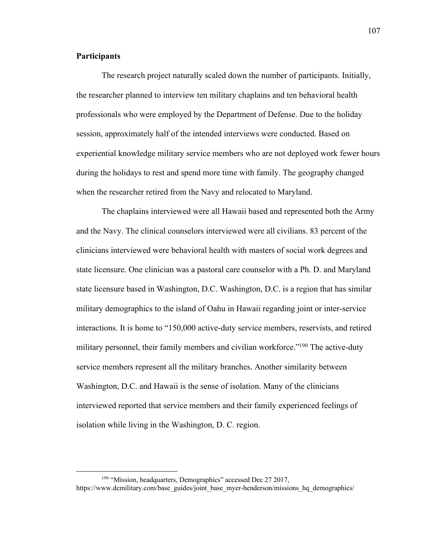## **Participants**

The research project naturally scaled down the number of participants. Initially, the researcher planned to interview ten military chaplains and ten behavioral health professionals who were employed by the Department of Defense. Due to the holiday session, approximately half of the intended interviews were conducted. Based on experiential knowledge military service members who are not deployed work fewer hours during the holidays to rest and spend more time with family. The geography changed when the researcher retired from the Navy and relocated to Maryland.

The chaplains interviewed were all Hawaii based and represented both the Army and the Navy. The clinical counselors interviewed were all civilians. 83 percent of the clinicians interviewed were behavioral health with masters of social work degrees and state licensure. One clinician was a pastoral care counselor with a Ph. D. and Maryland state licensure based in Washington, D.C. Washington, D.C. is a region that has similar military demographics to the island of Oahu in Hawaii regarding joint or inter-service interactions. It is home to "150,000 active-duty service members, reservists, and retired military personnel, their family members and civilian workforce."<sup>190</sup> The active-duty service members represent all the military branches. Another similarity between Washington, D.C. and Hawaii is the sense of isolation. Many of the clinicians interviewed reported that service members and their family experienced feelings of isolation while living in the Washington, D. C. region.

<sup>&</sup>lt;sup>190</sup> "Mission, headquarters, Demographics" accessed Dec 27 2017, https://www.dcmilitary.com/base\_guides/joint\_base\_myer-henderson/missions\_hq\_demographics/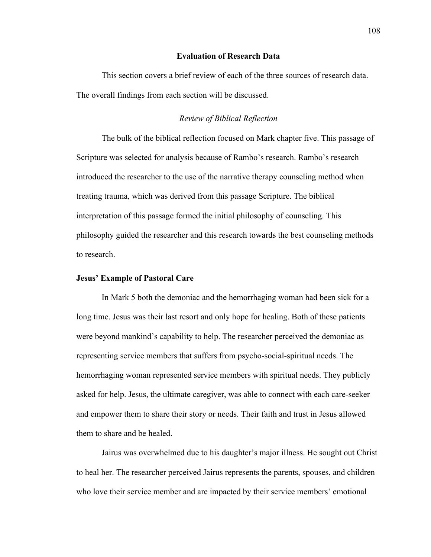### **Evaluation of Research Data**

This section covers a brief review of each of the three sources of research data. The overall findings from each section will be discussed.

#### *Review of Biblical Reflection*

The bulk of the biblical reflection focused on Mark chapter five. This passage of Scripture was selected for analysis because of Rambo's research. Rambo's research introduced the researcher to the use of the narrative therapy counseling method when treating trauma, which was derived from this passage Scripture. The biblical interpretation of this passage formed the initial philosophy of counseling. This philosophy guided the researcher and this research towards the best counseling methods to research.

#### **Jesus' Example of Pastoral Care**

In Mark 5 both the demoniac and the hemorrhaging woman had been sick for a long time. Jesus was their last resort and only hope for healing. Both of these patients were beyond mankind's capability to help. The researcher perceived the demoniac as representing service members that suffers from psycho-social-spiritual needs. The hemorrhaging woman represented service members with spiritual needs. They publicly asked for help. Jesus, the ultimate caregiver, was able to connect with each care-seeker and empower them to share their story or needs. Their faith and trust in Jesus allowed them to share and be healed.

Jairus was overwhelmed due to his daughter's major illness. He sought out Christ to heal her. The researcher perceived Jairus represents the parents, spouses, and children who love their service member and are impacted by their service members' emotional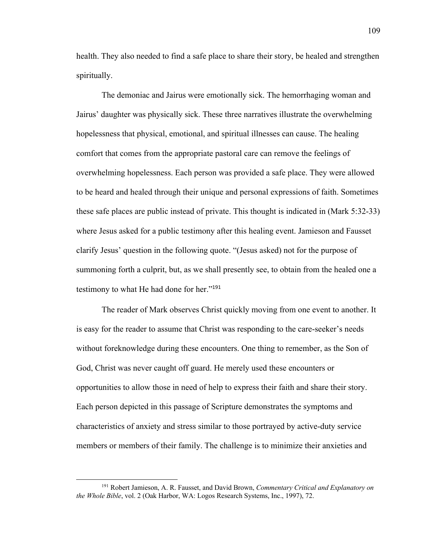health. They also needed to find a safe place to share their story, be healed and strengthen spiritually.

The demoniac and Jairus were emotionally sick. The hemorrhaging woman and Jairus' daughter was physically sick. These three narratives illustrate the overwhelming hopelessness that physical, emotional, and spiritual illnesses can cause. The healing comfort that comes from the appropriate pastoral care can remove the feelings of overwhelming hopelessness. Each person was provided a safe place. They were allowed to be heard and healed through their unique and personal expressions of faith. Sometimes these safe places are public instead of private. This thought is indicated in (Mark 5:32-33) where Jesus asked for a public testimony after this healing event. Jamieson and Fausset clarify Jesus' question in the following quote. "(Jesus asked) not for the purpose of summoning forth a culprit, but, as we shall presently see, to obtain from the healed one a testimony to what He had done for her."<sup>191</sup>

The reader of Mark observes Christ quickly moving from one event to another. It is easy for the reader to assume that Christ was responding to the care-seeker's needs without foreknowledge during these encounters. One thing to remember, as the Son of God, Christ was never caught off guard. He merely used these encounters or opportunities to allow those in need of help to express their faith and share their story. Each person depicted in this passage of Scripture demonstrates the symptoms and characteristics of anxiety and stress similar to those portrayed by active-duty service members or members of their family. The challenge is to minimize their anxieties and

<sup>191</sup> Robert Jamieson, A. R. Fausset, and David Brown, *Commentary Critical and Explanatory on the Whole Bible*, vol. 2 (Oak Harbor, WA: Logos Research Systems, Inc., 1997), 72.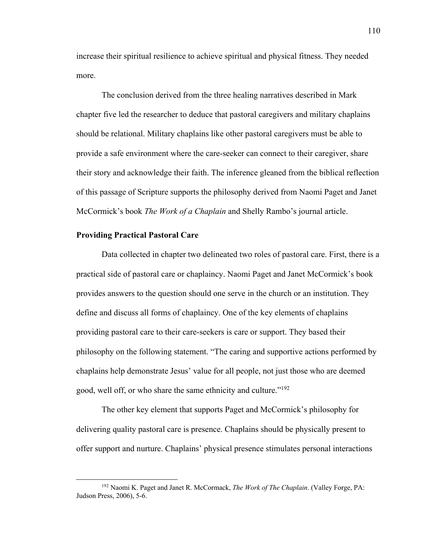increase their spiritual resilience to achieve spiritual and physical fitness. They needed more.

The conclusion derived from the three healing narratives described in Mark chapter five led the researcher to deduce that pastoral caregivers and military chaplains should be relational. Military chaplains like other pastoral caregivers must be able to provide a safe environment where the care-seeker can connect to their caregiver, share their story and acknowledge their faith. The inference gleaned from the biblical reflection of this passage of Scripture supports the philosophy derived from Naomi Paget and Janet McCormick's book *The Work of a Chaplain* and Shelly Rambo's journal article.

### **Providing Practical Pastoral Care**

Data collected in chapter two delineated two roles of pastoral care. First, there is a practical side of pastoral care or chaplaincy. Naomi Paget and Janet McCormick's book provides answers to the question should one serve in the church or an institution. They define and discuss all forms of chaplaincy. One of the key elements of chaplains providing pastoral care to their care-seekers is care or support. They based their philosophy on the following statement. "The caring and supportive actions performed by chaplains help demonstrate Jesus' value for all people, not just those who are deemed good, well off, or who share the same ethnicity and culture."192

The other key element that supports Paget and McCormick's philosophy for delivering quality pastoral care is presence. Chaplains should be physically present to offer support and nurture. Chaplains' physical presence stimulates personal interactions

<sup>192</sup> Naomi K. Paget and Janet R. McCormack, *The Work of The Chaplain*. (Valley Forge, PA: Judson Press, 2006), 5-6.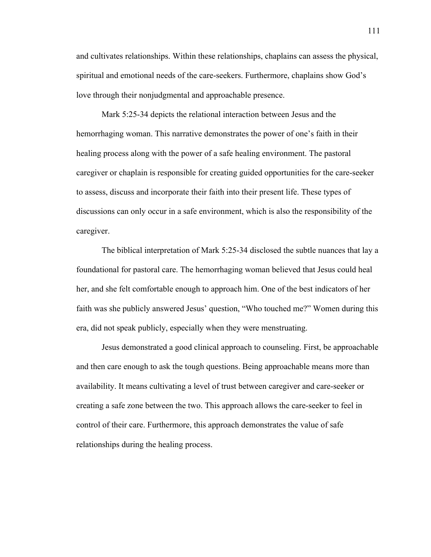and cultivates relationships. Within these relationships, chaplains can assess the physical, spiritual and emotional needs of the care-seekers. Furthermore, chaplains show God's love through their nonjudgmental and approachable presence.

Mark 5:25-34 depicts the relational interaction between Jesus and the hemorrhaging woman. This narrative demonstrates the power of one's faith in their healing process along with the power of a safe healing environment. The pastoral caregiver or chaplain is responsible for creating guided opportunities for the care-seeker to assess, discuss and incorporate their faith into their present life. These types of discussions can only occur in a safe environment, which is also the responsibility of the caregiver.

The biblical interpretation of Mark 5:25-34 disclosed the subtle nuances that lay a foundational for pastoral care. The hemorrhaging woman believed that Jesus could heal her, and she felt comfortable enough to approach him. One of the best indicators of her faith was she publicly answered Jesus' question, "Who touched me?" Women during this era, did not speak publicly, especially when they were menstruating.

Jesus demonstrated a good clinical approach to counseling. First, be approachable and then care enough to ask the tough questions. Being approachable means more than availability. It means cultivating a level of trust between caregiver and care-seeker or creating a safe zone between the two. This approach allows the care-seeker to feel in control of their care. Furthermore, this approach demonstrates the value of safe relationships during the healing process.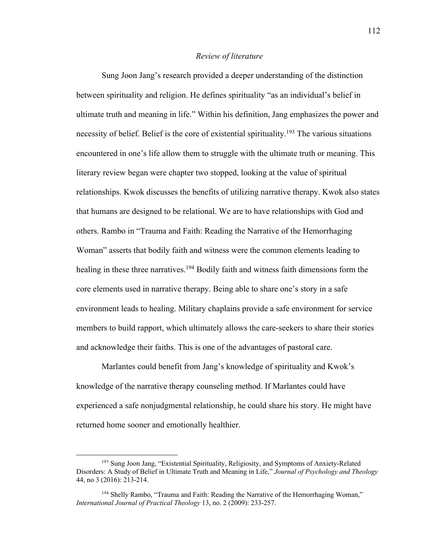## *Review of literature*

Sung Joon Jang's research provided a deeper understanding of the distinction between spirituality and religion. He defines spirituality "as an individual's belief in ultimate truth and meaning in life." Within his definition, Jang emphasizes the power and necessity of belief. Belief is the core of existential spirituality.<sup>193</sup> The various situations encountered in one's life allow them to struggle with the ultimate truth or meaning. This literary review began were chapter two stopped, looking at the value of spiritual relationships. Kwok discusses the benefits of utilizing narrative therapy. Kwok also states that humans are designed to be relational. We are to have relationships with God and others. Rambo in "Trauma and Faith: Reading the Narrative of the Hemorrhaging Woman" asserts that bodily faith and witness were the common elements leading to healing in these three narratives.<sup>194</sup> Bodily faith and witness faith dimensions form the core elements used in narrative therapy. Being able to share one's story in a safe environment leads to healing. Military chaplains provide a safe environment for service members to build rapport, which ultimately allows the care-seekers to share their stories and acknowledge their faiths. This is one of the advantages of pastoral care.

Marlantes could benefit from Jang's knowledge of spirituality and Kwok's knowledge of the narrative therapy counseling method. If Marlantes could have experienced a safe nonjudgmental relationship, he could share his story. He might have returned home sooner and emotionally healthier.

<sup>193</sup> Sung Joon Jang, "Existential Spirituality, Religiosity, and Symptoms of Anxiety-Related Disorders: A Study of Belief in Ultimate Truth and Meaning in Life," *Journal of Psychology and Theology* 44, no 3 (2016): 213-214.

<sup>&</sup>lt;sup>194</sup> Shelly Rambo, "Trauma and Faith: Reading the Narrative of the Hemorrhaging Woman," *International Journal of Practical Theology* 13, no. 2 (2009): 233-257.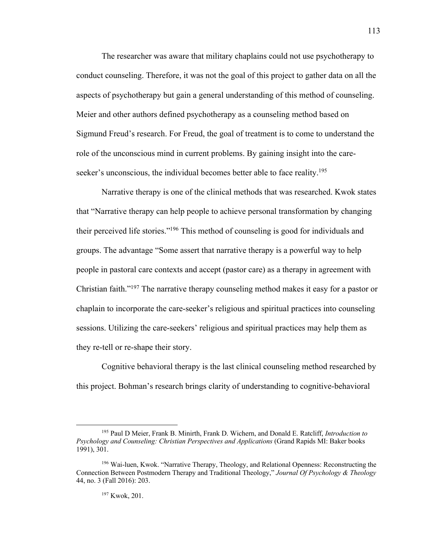The researcher was aware that military chaplains could not use psychotherapy to conduct counseling. Therefore, it was not the goal of this project to gather data on all the aspects of psychotherapy but gain a general understanding of this method of counseling. Meier and other authors defined psychotherapy as a counseling method based on Sigmund Freud's research. For Freud, the goal of treatment is to come to understand the role of the unconscious mind in current problems. By gaining insight into the careseeker's unconscious, the individual becomes better able to face reality.<sup>195</sup>

Narrative therapy is one of the clinical methods that was researched. Kwok states that "Narrative therapy can help people to achieve personal transformation by changing their perceived life stories."196 This method of counseling is good for individuals and groups. The advantage "Some assert that narrative therapy is a powerful way to help people in pastoral care contexts and accept (pastor care) as a therapy in agreement with Christian faith."197 The narrative therapy counseling method makes it easy for a pastor or chaplain to incorporate the care-seeker's religious and spiritual practices into counseling sessions. Utilizing the care-seekers' religious and spiritual practices may help them as they re-tell or re-shape their story.

Cognitive behavioral therapy is the last clinical counseling method researched by this project. Bohman's research brings clarity of understanding to cognitive-behavioral

<sup>195</sup> Paul D Meier, Frank B. Minirth, Frank D. Wichern, and Donald E. Ratcliff, *Introduction to Psychology and Counseling: Christian Perspectives and Applications* (Grand Rapids MI: Baker books 1991), 301.

<sup>196</sup> Wai-luen, Kwok. "Narrative Therapy, Theology, and Relational Openness: Reconstructing the Connection Between Postmodern Therapy and Traditional Theology," *Journal Of Psychology & Theology* 44, no. 3 (Fall 2016): 203.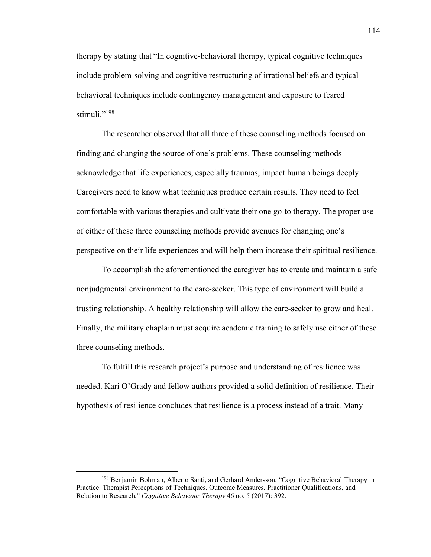therapy by stating that "In cognitive-behavioral therapy, typical cognitive techniques include problem-solving and cognitive restructuring of irrational beliefs and typical behavioral techniques include contingency management and exposure to feared stimuli."<sup>198</sup>

The researcher observed that all three of these counseling methods focused on finding and changing the source of one's problems. These counseling methods acknowledge that life experiences, especially traumas, impact human beings deeply. Caregivers need to know what techniques produce certain results. They need to feel comfortable with various therapies and cultivate their one go-to therapy. The proper use of either of these three counseling methods provide avenues for changing one's perspective on their life experiences and will help them increase their spiritual resilience.

To accomplish the aforementioned the caregiver has to create and maintain a safe nonjudgmental environment to the care-seeker. This type of environment will build a trusting relationship. A healthy relationship will allow the care-seeker to grow and heal. Finally, the military chaplain must acquire academic training to safely use either of these three counseling methods.

To fulfill this research project's purpose and understanding of resilience was needed. Kari O'Grady and fellow authors provided a solid definition of resilience. Their hypothesis of resilience concludes that resilience is a process instead of a trait. Many

<sup>&</sup>lt;sup>198</sup> Benjamin Bohman, Alberto Santi, and Gerhard Andersson, "Cognitive Behavioral Therapy in Practice: Therapist Perceptions of Techniques, Outcome Measures, Practitioner Qualifications, and Relation to Research," *Cognitive Behaviour Therapy* 46 no. 5 (2017): 392.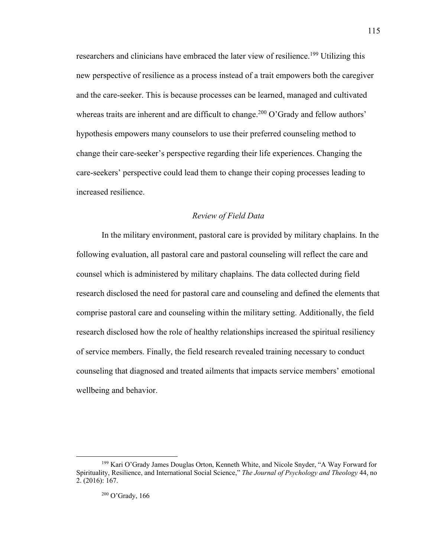researchers and clinicians have embraced the later view of resilience.<sup>199</sup> Utilizing this new perspective of resilience as a process instead of a trait empowers both the caregiver and the care-seeker. This is because processes can be learned, managed and cultivated whereas traits are inherent and are difficult to change.<sup>200</sup> O'Grady and fellow authors' hypothesis empowers many counselors to use their preferred counseling method to change their care-seeker's perspective regarding their life experiences. Changing the care-seekers' perspective could lead them to change their coping processes leading to increased resilience.

#### *Review of Field Data*

In the military environment, pastoral care is provided by military chaplains. In the following evaluation, all pastoral care and pastoral counseling will reflect the care and counsel which is administered by military chaplains. The data collected during field research disclosed the need for pastoral care and counseling and defined the elements that comprise pastoral care and counseling within the military setting. Additionally, the field research disclosed how the role of healthy relationships increased the spiritual resiliency of service members. Finally, the field research revealed training necessary to conduct counseling that diagnosed and treated ailments that impacts service members' emotional wellbeing and behavior.

115

<sup>199</sup> Kari O'Grady James Douglas Orton, Kenneth White, and Nicole Snyder, "A Way Forward for Spirituality, Resilience, and International Social Science," *The Journal of Psychology and Theology* 44, no 2. (2016): 167.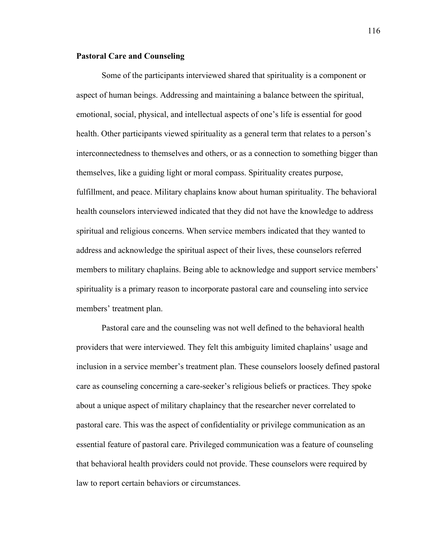## **Pastoral Care and Counseling**

Some of the participants interviewed shared that spirituality is a component or aspect of human beings. Addressing and maintaining a balance between the spiritual, emotional, social, physical, and intellectual aspects of one's life is essential for good health. Other participants viewed spirituality as a general term that relates to a person's interconnectedness to themselves and others, or as a connection to something bigger than themselves, like a guiding light or moral compass. Spirituality creates purpose, fulfillment, and peace. Military chaplains know about human spirituality. The behavioral health counselors interviewed indicated that they did not have the knowledge to address spiritual and religious concerns. When service members indicated that they wanted to address and acknowledge the spiritual aspect of their lives, these counselors referred members to military chaplains. Being able to acknowledge and support service members' spirituality is a primary reason to incorporate pastoral care and counseling into service members' treatment plan.

Pastoral care and the counseling was not well defined to the behavioral health providers that were interviewed. They felt this ambiguity limited chaplains' usage and inclusion in a service member's treatment plan. These counselors loosely defined pastoral care as counseling concerning a care-seeker's religious beliefs or practices. They spoke about a unique aspect of military chaplaincy that the researcher never correlated to pastoral care. This was the aspect of confidentiality or privilege communication as an essential feature of pastoral care. Privileged communication was a feature of counseling that behavioral health providers could not provide. These counselors were required by law to report certain behaviors or circumstances.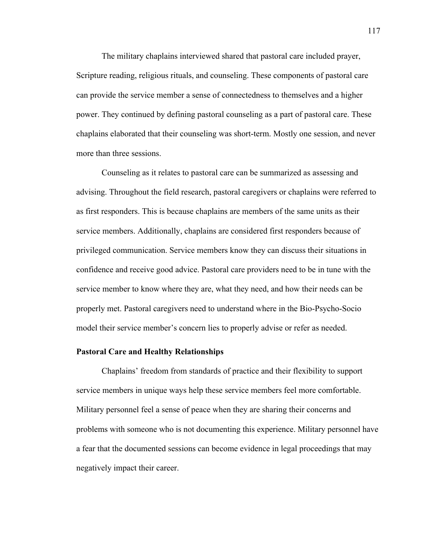The military chaplains interviewed shared that pastoral care included prayer, Scripture reading, religious rituals, and counseling. These components of pastoral care can provide the service member a sense of connectedness to themselves and a higher power. They continued by defining pastoral counseling as a part of pastoral care. These chaplains elaborated that their counseling was short-term. Mostly one session, and never more than three sessions.

Counseling as it relates to pastoral care can be summarized as assessing and advising. Throughout the field research, pastoral caregivers or chaplains were referred to as first responders. This is because chaplains are members of the same units as their service members. Additionally, chaplains are considered first responders because of privileged communication. Service members know they can discuss their situations in confidence and receive good advice. Pastoral care providers need to be in tune with the service member to know where they are, what they need, and how their needs can be properly met. Pastoral caregivers need to understand where in the Bio-Psycho-Socio model their service member's concern lies to properly advise or refer as needed.

## **Pastoral Care and Healthy Relationships**

Chaplains' freedom from standards of practice and their flexibility to support service members in unique ways help these service members feel more comfortable. Military personnel feel a sense of peace when they are sharing their concerns and problems with someone who is not documenting this experience. Military personnel have a fear that the documented sessions can become evidence in legal proceedings that may negatively impact their career.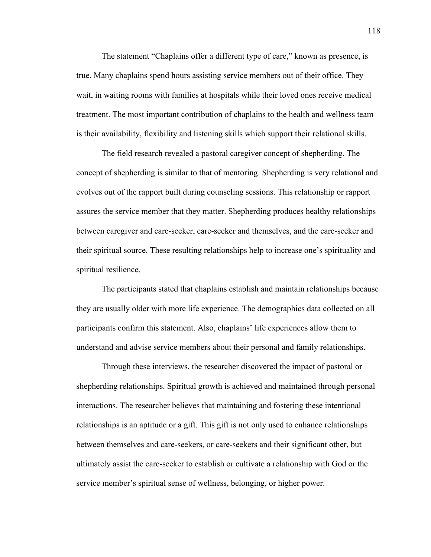The statement "Chaplains offer a different type of care," known as presence, is true. Many chaplains spend hours assisting service members out of their office. They wait, in waiting rooms with families at hospitals while their loved ones receive medical treatment. The most important contribution of chaplains to the health and wellness team is their availability, flexibility and listening skills which support their relational skills.

The field research revealed a pastoral caregiver concept of shepherding. The concept of shepherding is similar to that of mentoring. Shepherding is very relational and evolves out of the rapport built during counseling sessions. This relationship or rapport assures the service member that they matter. Shepherding produces healthy relationships between caregiver and care-seeker, care-seeker and themselves, and the care-seeker and their spiritual source. These resulting relationships help to increase one's spirituality and spiritual resilience.

The participants stated that chaplains establish and maintain relationships because they are usually older with more life experience. The demographics data collected on all participants confirm this statement. Also, chaplains' life experiences allow them to understand and advise service members about their personal and family relationships.

Through these interviews, the researcher discovered the impact of pastoral or shepherding relationships. Spiritual growth is achieved and maintained through personal interactions. The researcher believes that maintaining and fostering these intentional relationships is an aptitude or a gift. This gift is not only used to enhance relationships between themselves and care-seekers, or care-seekers and their significant other, but ultimately assist the care-seeker to establish or cultivate a relationship with God or the service member's spiritual sense of wellness, belonging, or higher power.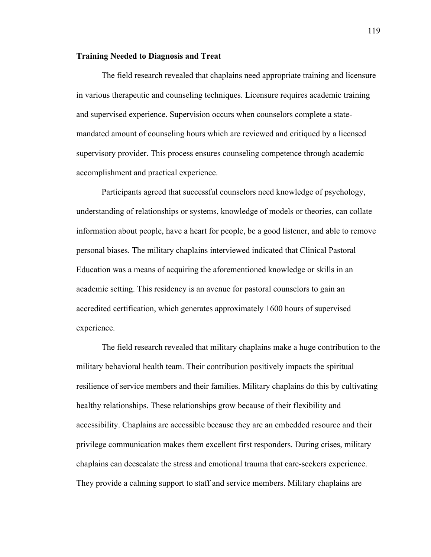### **Training Needed to Diagnosis and Treat**

The field research revealed that chaplains need appropriate training and licensure in various therapeutic and counseling techniques. Licensure requires academic training and supervised experience. Supervision occurs when counselors complete a statemandated amount of counseling hours which are reviewed and critiqued by a licensed supervisory provider. This process ensures counseling competence through academic accomplishment and practical experience.

Participants agreed that successful counselors need knowledge of psychology, understanding of relationships or systems, knowledge of models or theories, can collate information about people, have a heart for people, be a good listener, and able to remove personal biases. The military chaplains interviewed indicated that Clinical Pastoral Education was a means of acquiring the aforementioned knowledge or skills in an academic setting. This residency is an avenue for pastoral counselors to gain an accredited certification, which generates approximately 1600 hours of supervised experience.

The field research revealed that military chaplains make a huge contribution to the military behavioral health team. Their contribution positively impacts the spiritual resilience of service members and their families. Military chaplains do this by cultivating healthy relationships. These relationships grow because of their flexibility and accessibility. Chaplains are accessible because they are an embedded resource and their privilege communication makes them excellent first responders. During crises, military chaplains can deescalate the stress and emotional trauma that care-seekers experience. They provide a calming support to staff and service members. Military chaplains are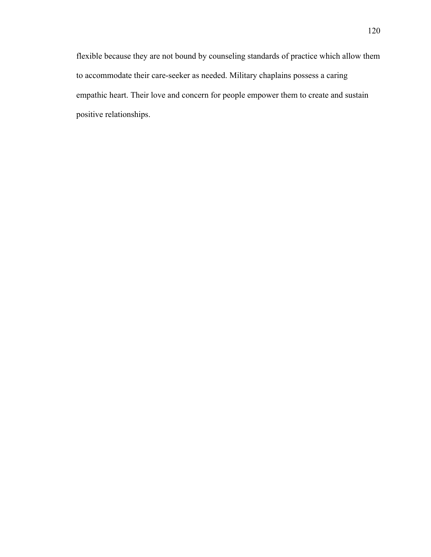flexible because they are not bound by counseling standards of practice which allow them to accommodate their care-seeker as needed. Military chaplains possess a caring empathic heart. Their love and concern for people empower them to create and sustain positive relationships.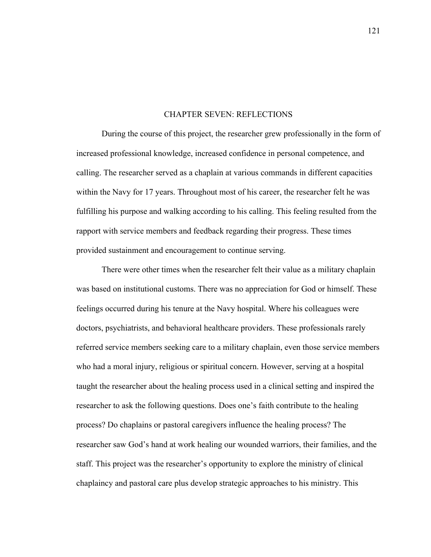#### CHAPTER SEVEN: REFLECTIONS

During the course of this project, the researcher grew professionally in the form of increased professional knowledge, increased confidence in personal competence, and calling. The researcher served as a chaplain at various commands in different capacities within the Navy for 17 years. Throughout most of his career, the researcher felt he was fulfilling his purpose and walking according to his calling. This feeling resulted from the rapport with service members and feedback regarding their progress. These times provided sustainment and encouragement to continue serving.

There were other times when the researcher felt their value as a military chaplain was based on institutional customs. There was no appreciation for God or himself. These feelings occurred during his tenure at the Navy hospital. Where his colleagues were doctors, psychiatrists, and behavioral healthcare providers. These professionals rarely referred service members seeking care to a military chaplain, even those service members who had a moral injury, religious or spiritual concern. However, serving at a hospital taught the researcher about the healing process used in a clinical setting and inspired the researcher to ask the following questions. Does one's faith contribute to the healing process? Do chaplains or pastoral caregivers influence the healing process? The researcher saw God's hand at work healing our wounded warriors, their families, and the staff. This project was the researcher's opportunity to explore the ministry of clinical chaplaincy and pastoral care plus develop strategic approaches to his ministry. This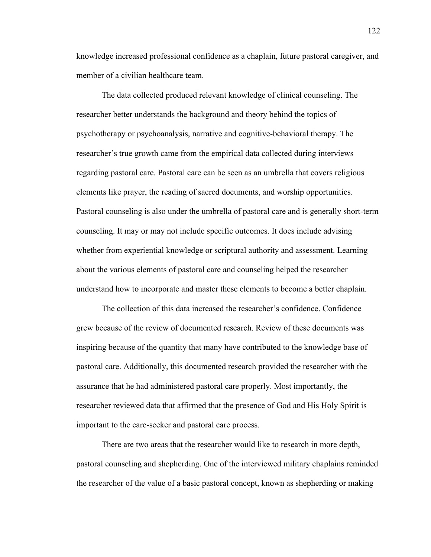knowledge increased professional confidence as a chaplain, future pastoral caregiver, and member of a civilian healthcare team.

The data collected produced relevant knowledge of clinical counseling. The researcher better understands the background and theory behind the topics of psychotherapy or psychoanalysis, narrative and cognitive-behavioral therapy. The researcher's true growth came from the empirical data collected during interviews regarding pastoral care. Pastoral care can be seen as an umbrella that covers religious elements like prayer, the reading of sacred documents, and worship opportunities. Pastoral counseling is also under the umbrella of pastoral care and is generally short-term counseling. It may or may not include specific outcomes. It does include advising whether from experiential knowledge or scriptural authority and assessment. Learning about the various elements of pastoral care and counseling helped the researcher understand how to incorporate and master these elements to become a better chaplain.

The collection of this data increased the researcher's confidence. Confidence grew because of the review of documented research. Review of these documents was inspiring because of the quantity that many have contributed to the knowledge base of pastoral care. Additionally, this documented research provided the researcher with the assurance that he had administered pastoral care properly. Most importantly, the researcher reviewed data that affirmed that the presence of God and His Holy Spirit is important to the care-seeker and pastoral care process.

There are two areas that the researcher would like to research in more depth, pastoral counseling and shepherding. One of the interviewed military chaplains reminded the researcher of the value of a basic pastoral concept, known as shepherding or making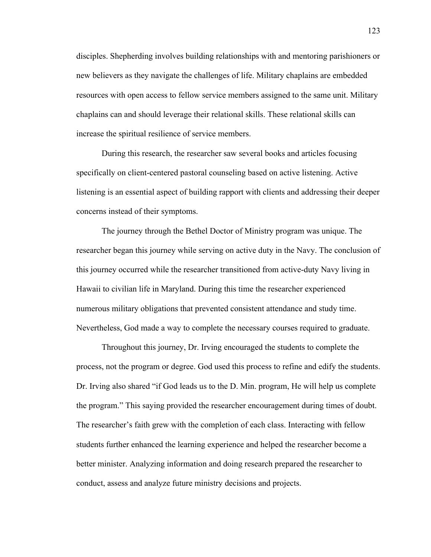disciples. Shepherding involves building relationships with and mentoring parishioners or new believers as they navigate the challenges of life. Military chaplains are embedded resources with open access to fellow service members assigned to the same unit. Military chaplains can and should leverage their relational skills. These relational skills can increase the spiritual resilience of service members.

During this research, the researcher saw several books and articles focusing specifically on client-centered pastoral counseling based on active listening. Active listening is an essential aspect of building rapport with clients and addressing their deeper concerns instead of their symptoms.

The journey through the Bethel Doctor of Ministry program was unique. The researcher began this journey while serving on active duty in the Navy. The conclusion of this journey occurred while the researcher transitioned from active-duty Navy living in Hawaii to civilian life in Maryland. During this time the researcher experienced numerous military obligations that prevented consistent attendance and study time. Nevertheless, God made a way to complete the necessary courses required to graduate.

Throughout this journey, Dr. Irving encouraged the students to complete the process, not the program or degree. God used this process to refine and edify the students. Dr. Irving also shared "if God leads us to the D. Min. program, He will help us complete the program." This saying provided the researcher encouragement during times of doubt. The researcher's faith grew with the completion of each class. Interacting with fellow students further enhanced the learning experience and helped the researcher become a better minister. Analyzing information and doing research prepared the researcher to conduct, assess and analyze future ministry decisions and projects.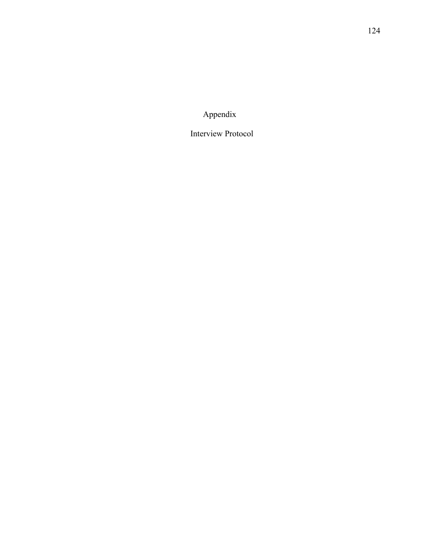Appendix

Interview Protocol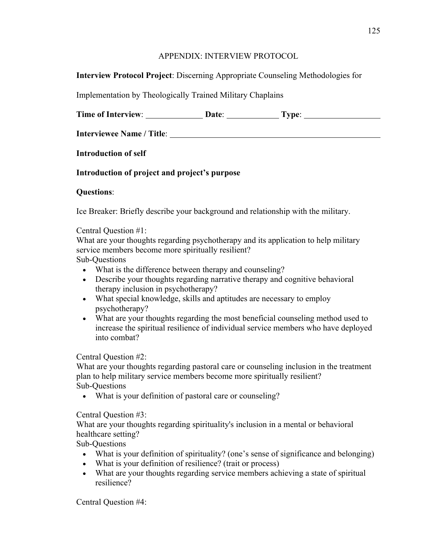# APPENDIX: INTERVIEW PROTOCOL

# **Interview Protocol Project**: Discerning Appropriate Counseling Methodologies for

Implementation by Theologically Trained Military Chaplains

|  | <b>Time of Interview:</b> | <b>Date:</b> | vpe: |
|--|---------------------------|--------------|------|
|--|---------------------------|--------------|------|

**Interviewee Name / Title**:

**Introduction of self** 

# **Introduction of project and project's purpose**

# **Questions**:

Ice Breaker: Briefly describe your background and relationship with the military.

# Central Question #1:

What are your thoughts regarding psychotherapy and its application to help military service members become more spiritually resilient?

Sub-Questions

- What is the difference between therapy and counseling?
- Describe your thoughts regarding narrative therapy and cognitive behavioral therapy inclusion in psychotherapy?
- What special knowledge, skills and aptitudes are necessary to employ psychotherapy?
- What are your thoughts regarding the most beneficial counseling method used to increase the spiritual resilience of individual service members who have deployed into combat?

Central Question #2:

What are your thoughts regarding pastoral care or counseling inclusion in the treatment plan to help military service members become more spiritually resilient? Sub-Questions

• What is your definition of pastoral care or counseling?

Central Question #3:

What are your thoughts regarding spirituality's inclusion in a mental or behavioral healthcare setting?

Sub-Questions

- What is your definition of spirituality? (one's sense of significance and belonging)
- What is your definition of resilience? (trait or process)
- What are your thoughts regarding service members achieving a state of spiritual resilience?

Central Question #4: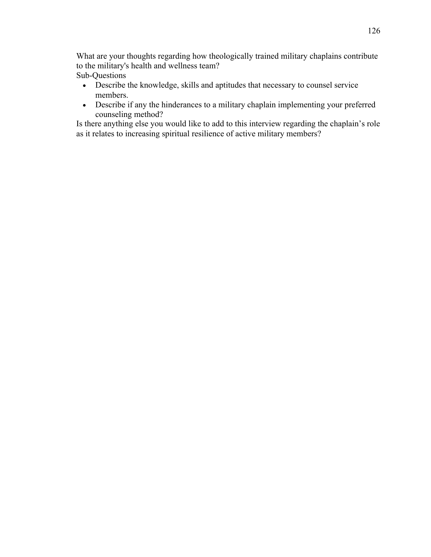What are your thoughts regarding how theologically trained military chaplains contribute to the military's health and wellness team? Sub-Questions

- Describe the knowledge, skills and aptitudes that necessary to counsel service members.
- Describe if any the hinderances to a military chaplain implementing your preferred counseling method?

Is there anything else you would like to add to this interview regarding the chaplain's role as it relates to increasing spiritual resilience of active military members?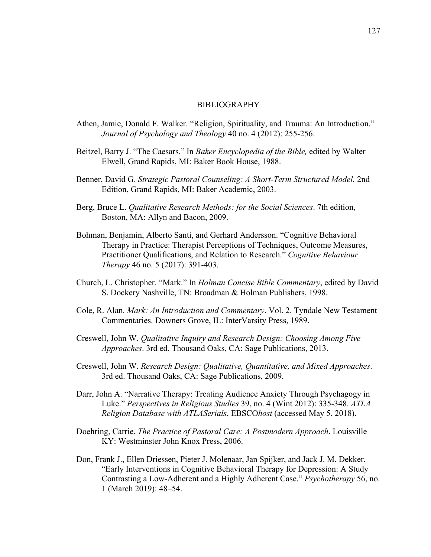### BIBLIOGRAPHY

- Athen, Jamie, Donald F. Walker. "Religion, Spirituality, and Trauma: An Introduction." *Journal of Psychology and Theology* 40 no. 4 (2012): 255-256.
- Beitzel, Barry J. "The Caesars." In *Baker Encyclopedia of the Bible,* edited by Walter Elwell, Grand Rapids, MI: Baker Book House, 1988.
- Benner, David G. *Strategic Pastoral Counseling: A Short-Term Structured Model.* 2nd Edition, Grand Rapids, MI: Baker Academic, 2003.
- Berg, Bruce L. *Qualitative Research Methods: for the Social Sciences*. 7th edition, Boston, MA: Allyn and Bacon, 2009.
- Bohman, Benjamin, Alberto Santi, and Gerhard Andersson. "Cognitive Behavioral Therapy in Practice: Therapist Perceptions of Techniques, Outcome Measures, Practitioner Qualifications, and Relation to Research." *Cognitive Behaviour Therapy* 46 no. 5 (2017): 391-403.
- Church, L. Christopher. "Mark." In *Holman Concise Bible Commentary*, edited by David S. Dockery Nashville, TN: Broadman & Holman Publishers, 1998.
- Cole, R. Alan. *Mark: An Introduction and Commentary*. Vol. 2. Tyndale New Testament Commentaries. Downers Grove, IL: InterVarsity Press, 1989.
- Creswell, John W. *Qualitative Inquiry and Research Design: Choosing Among Five Approaches*. 3rd ed. Thousand Oaks, CA: Sage Publications, 2013.
- Creswell, John W. *Research Design: Qualitative, Quantitative, and Mixed Approaches*. 3rd ed. Thousand Oaks, CA: Sage Publications, 2009.
- Darr, John A. "Narrative Therapy: Treating Audience Anxiety Through Psychagogy in Luke." *Perspectives in Religious Studies* 39, no. 4 (Wint 2012): 335-348. *ATLA Religion Database with ATLASerials*, EBSCO*host* (accessed May 5, 2018).
- Doehring, Carrie. *The Practice of Pastoral Care: A Postmodern Approach*. Louisville KY: Westminster John Knox Press, 2006.
- Don, Frank J., Ellen Driessen, Pieter J. Molenaar, Jan Spijker, and Jack J. M. Dekker. "Early Interventions in Cognitive Behavioral Therapy for Depression: A Study Contrasting a Low-Adherent and a Highly Adherent Case." *Psychotherapy* 56, no. 1 (March 2019): 48–54.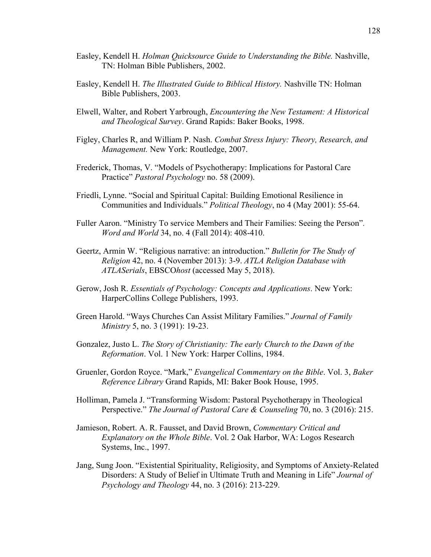- Easley, Kendell H. *Holman Quicksource Guide to Understanding the Bible.* Nashville, TN: Holman Bible Publishers, 2002.
- Easley, Kendell H. *The Illustrated Guide to Biblical History.* Nashville TN: Holman Bible Publishers, 2003.
- Elwell, Walter, and Robert Yarbrough, *Encountering the New Testament: A Historical and Theological Survey*. Grand Rapids: Baker Books, 1998.
- Figley, Charles R, and William P. Nash. *Combat Stress Injury: Theory, Research, and Management.* New York: Routledge, 2007.
- Frederick, Thomas, V. "Models of Psychotherapy: Implications for Pastoral Care Practice" *Pastoral Psychology* no. 58 (2009).
- Friedli, Lynne. "Social and Spiritual Capital: Building Emotional Resilience in Communities and Individuals." *Political Theology*, no 4 (May 2001): 55-64.
- Fuller Aaron. "Ministry To service Members and Their Families: Seeing the Person"*. Word and World* 34, no. 4 (Fall 2014): 408-410.
- Geertz, Armin W. "Religious narrative: an introduction." *Bulletin for The Study of Religion* 42, no. 4 (November 2013): 3-9. *ATLA Religion Database with ATLASerials*, EBSCO*host* (accessed May 5, 2018).
- Gerow, Josh R. *Essentials of Psychology: Concepts and Applications*. New York: HarperCollins College Publishers, 1993.
- Green Harold. "Ways Churches Can Assist Military Families." *Journal of Family Ministry* 5, no. 3 (1991): 19-23.
- Gonzalez, Justo L. *The Story of Christianity: The early Church to the Dawn of the Reformation*. Vol. 1 New York: Harper Collins, 1984.
- Gruenler, Gordon Royce. "Mark," *Evangelical Commentary on the Bible*. Vol. 3, *Baker Reference Library* Grand Rapids, MI: Baker Book House, 1995.
- Holliman, Pamela J. "Transforming Wisdom: Pastoral Psychotherapy in Theological Perspective." *The Journal of Pastoral Care & Counseling* 70, no. 3 (2016): 215.
- Jamieson, Robert. A. R. Fausset, and David Brown, *Commentary Critical and Explanatory on the Whole Bible*. Vol. 2 Oak Harbor, WA: Logos Research Systems, Inc., 1997.
- Jang, Sung Joon. "Existential Spirituality, Religiosity, and Symptoms of Anxiety-Related Disorders: A Study of Belief in Ultimate Truth and Meaning in Life" *Journal of Psychology and Theology* 44, no. 3 (2016): 213-229.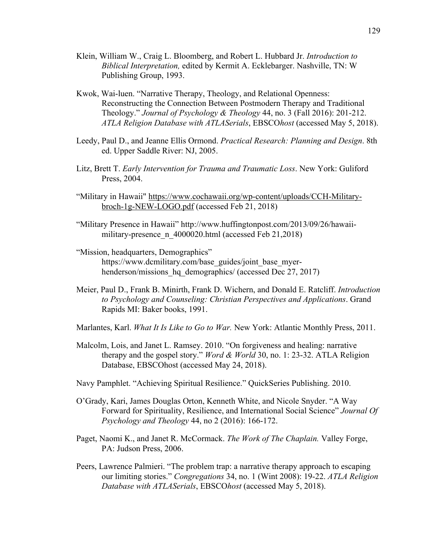- Klein, William W., Craig L. Bloomberg, and Robert L. Hubbard Jr. *Introduction to Biblical Interpretation,* edited by Kermit A. Ecklebarger. Nashville, TN: W Publishing Group, 1993.
- Kwok, Wai-luen. "Narrative Therapy, Theology, and Relational Openness: Reconstructing the Connection Between Postmodern Therapy and Traditional Theology." *Journal of Psychology & Theology* 44, no. 3 (Fall 2016): 201-212. *ATLA Religion Database with ATLASerials*, EBSCO*host* (accessed May 5, 2018).
- Leedy, Paul D., and Jeanne Ellis Ormond. *Practical Research: Planning and Design*. 8th ed. Upper Saddle River: NJ, 2005.
- Litz, Brett T. *Early Intervention for Trauma and Traumatic Loss*. New York: Guliford Press, 2004.
- "Military in Hawaii" https://www.cochawaii.org/wp-content/uploads/CCH-Militarybroch-1g-NEW-LOGO.pdf (accessed Feb 21, 2018)
- "Military Presence in Hawaii" http://www.huffingtonpost.com/2013/09/26/hawaiimilitary-presence n 4000020.html (accessed Feb 21,2018)
- "Mission, headquarters, Demographics" https://www.dcmilitary.com/base\_guides/joint\_base\_myerhenderson/missions hq demographics/ (accessed Dec 27, 2017)
- Meier, Paul D., Frank B. Minirth, Frank D. Wichern, and Donald E. Ratcliff. *Introduction to Psychology and Counseling: Christian Perspectives and Applications*. Grand Rapids MI: Baker books, 1991.
- Marlantes, Karl. *What It Is Like to Go to War.* New York: Atlantic Monthly Press, 2011.
- Malcolm, Lois, and Janet L. Ramsey. 2010. "On forgiveness and healing: narrative therapy and the gospel story." *Word & World* 30, no. 1: 23-32. ATLA Religion Database, EBSCOhost (accessed May 24, 2018).
- Navy Pamphlet. "Achieving Spiritual Resilience." QuickSeries Publishing. 2010.
- O'Grady, Kari, James Douglas Orton, Kenneth White, and Nicole Snyder. "A Way Forward for Spirituality, Resilience, and International Social Science" *Journal Of Psychology and Theology* 44, no 2 (2016): 166-172.
- Paget, Naomi K., and Janet R. McCormack. *The Work of The Chaplain.* Valley Forge, PA: Judson Press, 2006.
- Peers, Lawrence Palmieri. "The problem trap: a narrative therapy approach to escaping our limiting stories." *Congregations* 34, no. 1 (Wint 2008): 19-22. *ATLA Religion Database with ATLASerials*, EBSCO*host* (accessed May 5, 2018).